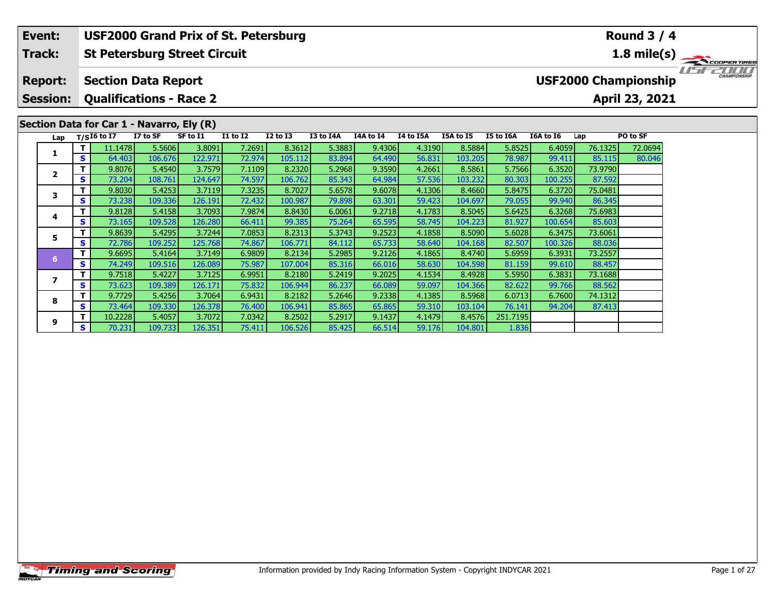### **Event:Round 3 / 4 USF2000 Grand Prix of St. Petersburg Track:St Petersburg Street Circuit 1.8 mile(s)** 11515211111 **Report: Section Data Report USF2000 Championship Session: Qualifications - Race 2 April 23, 2021 Section Data for Car 1 - Navarro, Ely (R) Lap T/SI6 to I7 I7 to SF SF to I1 I1 to I2 I2 to I3 I3 to I4A I4A to I4 I4 to I5A I5A to I5 I5 to I6A I6A to I6 Lap PO to SF <sup>T</sup>** 11.1478 5.5606 3.8091 7.2691 8.3612 5.3883 9.4306 4.3190 8.5884 5.8525 6.4059 76.1325 72.0694 **<sup>S</sup>** 64.403 106.676 122.971 72.974 105.112 83.894 64.490 56.831 103.205 78.987 99.411 85.115 80.046**1 <sup>T</sup>** 9.8076 5.4540 3.7579 7.1109 8.2320 5.2968 9.3590 4.2661 8.5861 5.7566 6.3520 73.9790 **<sup>S</sup>** 73.204 108.761 124.647 74.597 106.762 85.343 64.984 57.536 103.232 80.303 100.255 87.592**2 <sup>T</sup>** 9.8030 5.4253 3.7119 7.3235 8.7027 5.6578 9.6078 4.1306 8.4660 5.8475 6.3720 75.0481 **<sup>S</sup>** 73.238 109.336 126.191 72.432 100.987 79.898 63.301 59.423 104.697 79.055 99.940 86.345**3 <sup>T</sup>** 9.8128 5.4158 3.7093 7.9874 8.8430 6.0061 9.2718 4.1783 8.5045 5.6425 6.3268 75.6983 **<sup>S</sup>** 73.165 109.528 126.280 66.411 99.385 75.264 65.595 58.745 104.223 81.927 100.654 85.603**4**

**<sup>T</sup>** 9.8639 5.4295 3.7244 7.0853 8.2313 5.3743 9.2523 4.1858 8.5090 5.6028 6.3475 73.6061 **<sup>S</sup>** 72.786 109.252 125.768 74.867 106.771 84.112 65.733 58.640 104.168 82.507 100.326 88.036

**<sup>T</sup>** 9.6695 5.4164 3.7149 6.9809 8.2134 5.2985 9.2126 4.1865 8.4740 5.6959 6.3931 73.2557 **<sup>S</sup>** 74.249 109.516 126.089 75.987 107.004 85.316 66.016 58.630 104.598 81.159 99.610 88.457

**<sup>T</sup>** 9.7518 5.4227 3.7125 6.9951 8.2180 5.2419 9.2025 4.1534 8.4928 5.5950 6.3831 73.1688 **<sup>S</sup>** 73.623 109.389 126.171 75.832 106.944 86.237 66.089 59.097 104.366 82.622 99.766 88.562

**<sup>T</sup>** 9.7729 5.4256 3.7064 6.9431 8.2182 5.2646 9.2338 4.1385 8.5968 6.0713 6.7600 74.1312 **<sup>S</sup>** 73.464 109.330 126.378 76.400 106.941 85.865 65.865 59.310 103.104 76.141 94.204 87.413

**<sup>T</sup>** 10.2228 5.4057 3.7072 7.0342 8.2502 5.2917 9.1437 4.1479 8.4576 251.7195 **<sup>S</sup>** 70.231 109.733 126.351 75.411 106.526 85.425 66.514 59.176 104.801 1.836

**5**

**6**

**7**

**8**

**9**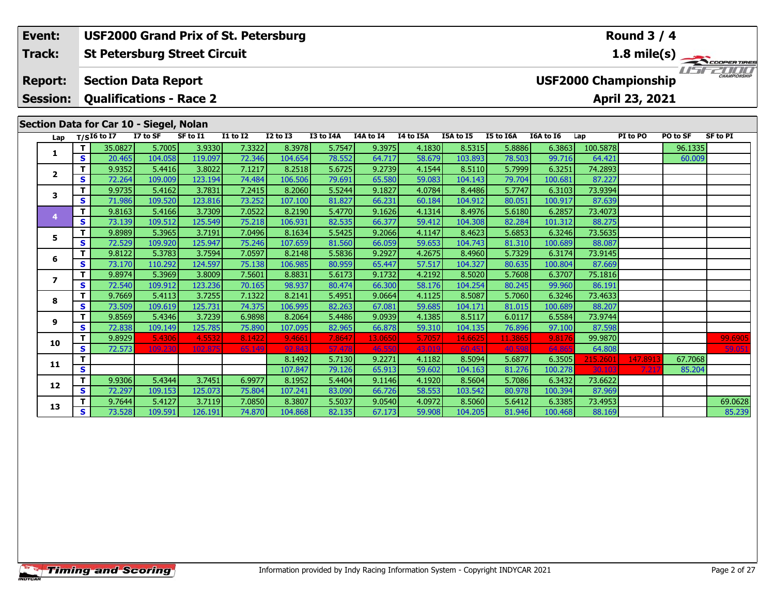#### **St Petersburg Street Circuit Section Data Report April 23, 2021 Event: USF2000 Grand Prix of St. Petersburg Track: Report: Session: Qualifications - Race 2 USF2000 Championship**

# **Section Data for Car 10 - Siegel, Nolan**

| Lap          |          | $T/SI6$ to $\overline{I7}$ | I7 to SF          | SF to I1          | <b>I1 to I2</b>  | <b>I2 to I3</b>   | I3 to I4A       | I4A to I4         | I4 to I5A        | I5A to I5         | <b>I5 to I6A</b>  | <b>I6A to 16</b> | Lap               | PI to PO | PO to SF | <b>SF to PI</b>   |
|--------------|----------|----------------------------|-------------------|-------------------|------------------|-------------------|-----------------|-------------------|------------------|-------------------|-------------------|------------------|-------------------|----------|----------|-------------------|
|              |          | 35.0827                    | 5.7005            | 3.9330            | 7.3322           | 8.3978            | 5.7547          | 9.3975            | 4.1830           | 8.5315            | 5.8886            | 6.3863           | 100.5878          |          | 96.1335  |                   |
| 1            | s        | 20.465                     | 104.058           | 119.097           | 72.346           | 104.654           | 78.552          | 64.717            | 58.679           | 103.893           | 78.503            | 99.716           | 64.421            |          | 60.009   |                   |
| $\mathbf{2}$ |          | 9.9352                     | 5.4416            | 3.8022            | 7.1217           | 8.2518            | 5.6725          | 9.2739            | 4.1544           | 8.5110            | 5.7999            | 6.3251           | 74.2893           |          |          |                   |
|              | S        | 72.264                     | 109.009           | 123.194           | 74.484           | 106.506           | 79.691          | 65.580            | 59.083           | 104.143           | 79.704            | 100.681          | 87.227            |          |          |                   |
| 3            |          | 9.9735                     | 5.4162            | 3.7831            | 7.2415           | 8.2060            | 5.5244          | 9.1827            | 4.0784           | 8.4486            | 5.7747            | 6.3103           | 73.9394           |          |          |                   |
|              | S        | 71.986                     | 109.520           | 123.816           | 73.252           | 107.100           | 81.827          | 66.231            | 60.184           | 104.912           | 80.051            | 100.917          | 87.639            |          |          |                   |
|              | T.       | 9.8163                     | 5.4166            | 3.7309            | 7.0522           | 8.2190            | 5.4770          | 9.1626            | 4.1314           | 8.4976            | 5.6180            | 6.2857           | 73.4073           |          |          |                   |
|              | S        | 73.139                     | 109.512           | 125.549           | 75.218           | 106.931           | 82.535          | 66.377            | 59.412           | 104.308           | 82.284            | 101.312          | 88.275            |          |          |                   |
| 5            |          | 9.8989                     | 5.3965            | 3.7191            | 7.0496           | 8.1634            | 5.5425          | 9.2066            | 4.1147           | 8.4623            | 5.6853            | 6.3246           | 73.5635           |          |          |                   |
|              | S        | 72.529                     | 109.920           | 125.947           | 75.246           | 107.659           | 81.560          | 66.059            | 59.653           | 104.743           | 81.310            | 100.689          | 88.087            |          |          |                   |
| 6            |          | 9.8122                     | 5.3783            | 3.7594            | 7.0597           | 8.2148            | 5.5836          | 9.2927            | 4.2675           | 8.4960            | 5.7329            | 6.3174           | 73.9145           |          |          |                   |
|              | s        | 73.170                     | 110.292           | 124.597           | 75.138           | 106.985           | 80.959          | 65.447            | 57.517           | 104.327           | 80.635            | 100.804          | 87.669            |          |          |                   |
|              | т        | 9.8974                     | 5.3969            | 3.8009            | 7.5601           | 8.8831            | 5.6173          | 9.1732            | 4.2192           | 8.5020            | 5.7608            | 6.3707           | 75.1816           |          |          |                   |
|              | S        | 72.540                     | 109.912           | 123.236           | 70.165           | 98.937            | 80.474          | 66.300            | 58.176           | 104.254           | 80.245            | 99.960           | 86.191            |          |          |                   |
| 8            |          | 9.7669                     | 5.4113            | 3.7255            | 7.1322           | 8.2141            | 5.4951          | 9.0664            | 4.1125           | 8.5087            | 5.7060            | 6.3246           | 73.4633           |          |          |                   |
|              | <b>S</b> | 73.509                     | 109.619           | 125.731           | 74.375           | 106.995           | 82.263          | 67.081            | 59.685           | 104.171           | 81.015            | 100.689          | 88.207            |          |          |                   |
| 9            | т        | 9.8569<br>72.838           | 5.4346            | 3.7239            | 6.9898           | 8.2064<br>107.095 | 5.4486          | 9.0939            | 4.1385<br>59.310 | 8.5117            | 6.0117            | 6.5584<br>97.100 | 73.9744           |          |          |                   |
|              | S<br>т   | 9.8929                     | 109.149           | 125.785           | 75.890           |                   | 82.965          | 66.878            | 5.7057           | 104.135           | 76.896            |                  | 87.598<br>99.9870 |          |          |                   |
| 10           | S.       | 72.573                     | 5.4306<br>109.230 | 4.5532<br>102.875 | 8.1422<br>65.149 | 9.4661<br>92.843  | 7.864<br>57.478 | 13.0650<br>46.550 | 43.019           | 14.6625<br>60.451 | 11.3865<br>40.598 | 9.8176<br>64.86  | 64.808            |          |          | 99.6905<br>59.051 |
|              |          |                            |                   |                   |                  | 8.1492            | 5.7130          | 9.2271            | 4.1182           | 8.5094            | 5.6877            | 6.3505           | 215.2601          | 147.8913 | 67.7068  |                   |
| 11           | S        |                            |                   |                   |                  | 107.847           | 79.126          | 65.913            | 59.602           | 104.163           | 81.276            | 100.278          | 30.103            | 7.21     | 85.204   |                   |
|              | т        | 9.9306                     | 5.4344            | 3.7451            | 6.9977           | 8.1952            | 5.4404          | 9.1146            | 4.1920           | 8.5604            | 5.7086            | 6.3432           | 73.6622           |          |          |                   |
| 12           | s        | 72.297                     | 109.153           | 125.073           | 75.804           | 107.241           | 83.090          | 66.726            | 58.553           | 103.542           | 80.978            | 100.394          | 87.969            |          |          |                   |
|              |          | 9.7644                     | 5.4127            | 3.7119            | 7.0850           | 8.3807            | 5.5037          | 9.0540            | 4.0972           | 8.5060            | 5.6412            | 6.3385           | 73.4953           |          |          | 69.0628           |
| 13           | S        | 73.528                     | 109.591           | 126.191           | 74.870           | 104.868           | 82.135          | 67.173            | 59.908           | 104.205           | 81.946            | 100.468          | 88.169            |          |          | 85.239            |

**Round 3 / 4**

**1.8 mile(s)** TERRET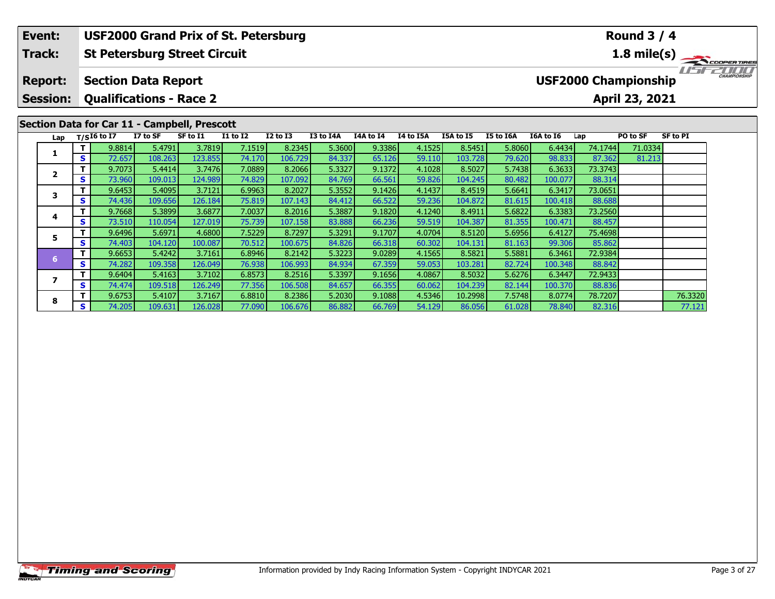#### **Event:Round 3 / 4 USF2000 Grand Prix of St. Petersburg Track:St Petersburg Street Circuit 1.8 mile(s)** 15221111 **Report: Section Data Report USF2000 Championship Session: Qualifications - Race 2 April 23, 2021 Section Data for Car 11 - Campbell, Prescott Lap T/SI6 to I7 I7 to SF SF to I1 I1 to I2 I2 to I3 I3 to I4A I4A to I4 I4 to I5A I5A to I5 I5 to I6A I6A to I6 Lap PO to SF SF to PI <sup>T</sup>** 9.8814 5.4791 3.7819 7.1519 8.2345 5.3600 9.3386 4.1525 8.5451 5.8060 6.4434 74.1744 71.0334 **<sup>S</sup>** 72.657 108.263 123.855 74.170 106.729 84.337 65.126 59.110 103.728 79.620 98.833 87.362 81.213**1**

**<sup>T</sup>** 9.6753 5.4107 3.7167 6.8810 8.2386 5.2030 9.1088 4.5346 10.2998 7.5748 8.0774 78.7207 76.3320 **<sup>S</sup>** 74.205 109.631 126.028 77.090 106.676 86.882 66.769 54.129 86.056 61.028 78.840 82.316 77.121

**<sup>T</sup>** 9.7073 5.4414 3.7476 7.0889 8.2066 5.3327 9.1372 4.1028 8.5027 5.7438 6.3633 73.3743 **<sup>S</sup>** 73.960 109.013 124.989 74.829 107.092 84.769 66.561 59.826 104.245 80.482 100.077 88.314

**<sup>T</sup>** 9.6453 5.4095 3.7121 6.9963 8.2027 5.3552 9.1426 4.1437 8.4519 5.6641 6.3417 73.0651 **<sup>S</sup>** 74.436 109.656 126.184 75.819 107.143 84.412 66.522 59.236 104.872 81.615 100.418 88.688

**<sup>T</sup>** 9.7668 5.3899 3.6877 7.0037 8.2016 5.3887 9.1820 4.1240 8.4911 5.6822 6.3383 73.2560 **<sup>S</sup>** 73.510 110.054 127.019 75.739 107.158 83.888 66.236 59.519 104.387 81.355 100.471 88.457

**<sup>T</sup>** 9.6496 5.6971 4.6800 7.5229 8.7297 5.3291 9.1707 4.0704 8.5120 5.6956 6.4127 75.4698 **<sup>S</sup>** 74.403 104.120 100.087 70.512 100.675 84.826 66.318 60.302 104.131 81.163 99.306 85.862

**<sup>T</sup>** 9.6653 5.4242 3.7161 6.8946 8.2142 5.3223 9.0289 4.1565 8.5821 5.5881 6.3461 72.9384 **<sup>S</sup>** 74.282 109.358 126.049 76.938 106.993 84.934 67.359 59.053 103.281 82.724 100.348 88.842

**<sup>T</sup>** 9.6404 5.4163 3.7102 6.8573 8.2516 5.3397 9.1656 4.0867 8.5032 5.6276 6.3447 72.9433 **<sup>S</sup>** 74.474 109.518 126.249 77.356 106.508 84.657 66.355 60.062 104.239 82.144 100.370 88.836

**2**

**3**

**4**

**5**

**6**

**7**

**8**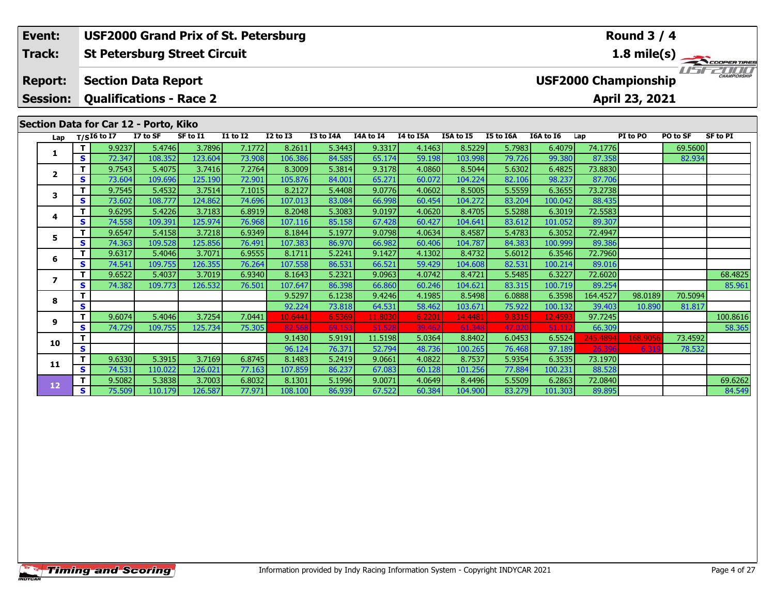#### **St Petersburg Street Circuit Section Data Report Event: USF2000 Grand Prix of St. Petersburg Track: Report: USF2000 Championship 1.8 mile(s)**<br> **1.8 mile(s)**<br> **151-2000**

**Session:Qualifications - Race 2**

# **Section Data for Car 12 - Porto, Kiko**

| Lap                     |   | $T/SI6$ to I7 | I7 to SF | SF to I1 | <b>I1 to I2</b> | <b>I2 to I3</b> | I3 to I4A | I4A to I4 | I4 to I5A | <b>I5A to I5</b> | <b>I5 to I6A</b> | I6A to I6 | Lap      | PI to PO | PO to SF | <b>SF to PI</b> |
|-------------------------|---|---------------|----------|----------|-----------------|-----------------|-----------|-----------|-----------|------------------|------------------|-----------|----------|----------|----------|-----------------|
|                         |   | 9.9237        | 5.4746   | 3.7896   | 7.1772          | 8.2611          | 5.3443    | 9.3317    | 4.1463    | 8.5229           | 5.7983           | 6.4079    | 74.1776  |          | 69.5600  |                 |
|                         | S | 72.347        | 108.352  | 123.604  | 73.908          | 106.386         | 84.585    | 65.174    | 59.198    | 103.998          | 79.726           | 99.380    | 87.358   |          | 82.934   |                 |
| $\overline{\mathbf{2}}$ |   | 9.7543        | 5.4075   | 3.7416   | 7.2764          | 8.3009          | 5.3814    | 9.3178    | 4.0860    | 8.5044           | 5.6302           | 6.4825    | 73.8830  |          |          |                 |
|                         | S | 73.604        | 109.696  | 125.190  | 72.901          | 105.876         | 84.001    | 65.271    | 60.072    | 104.224          | 82.106           | 98.237    | 87.706   |          |          |                 |
| 3                       |   | 9.7545        | 5.4532   | 3.7514   | 7.1015          | 8.2127          | 5.4408    | 9.0776    | 4.0602    | 8.5005           | 5.5559           | 6.3655    | 73.2738  |          |          |                 |
|                         | S | 73.602        | 108.777  | 124.862  | 74.696          | 107.013         | 83.084    | 66.998    | 60.454    | 104.272          | 83.204           | 100.042   | 88.435   |          |          |                 |
| 4                       |   | 9.6295        | 5.4226   | 3.7183   | 6.8919          | 8.2048          | 5.3083    | 9.0197    | 4.0620    | 8.4705           | 5.5288           | 6.3019    | 72.5583  |          |          |                 |
|                         | S | 74.558        | 109.391  | 125.974  | 76.968          | 107.116         | 85.158    | 67.428    | 60.427    | 104.641          | 83.612           | 101.052   | 89.307   |          |          |                 |
| 5                       |   | 9.6547        | 5.4158   | 3.7218   | 6.9349          | 8.1844          | 5.1977    | 9.0798    | 4.0634    | 8.4587           | 5.4783           | 6.3052    | 72.4947  |          |          |                 |
|                         | s | 74.363        | 109.528  | 125.856  | 76.491          | 107.383         | 86.970    | 66.982    | 60.406    | 104.787          | 84.383           | 100.999   | 89.386   |          |          |                 |
| 6                       |   | 9.6317        | 5.4046   | 3.7071   | 6.9555          | 8.1711          | 5.2241    | 9.1427    | 4.1302    | 8.4732           | 5.6012           | 6.3546    | 72.7960  |          |          |                 |
|                         | S | 74.541        | 109.755  | 126.355  | 76.264          | 107.558         | 86.531    | 66.521    | 59.429    | 104.608          | 82.531           | 100.214   | 89.016   |          |          |                 |
|                         |   | 9.6522        | 5.4037   | 3.7019   | 6.9340          | 8.1643          | 5.2321    | 9.0963    | 4.0742    | 8.4721           | 5.5485           | 6.3227    | 72.6020  |          |          | 68.4825         |
|                         | S | 74.382        | 109.773  | 126.532  | 76.501          | 107.647         | 86.398    | 66.860    | 60.246    | 104.621          | 83.315           | 100.719   | 89.254   |          |          | 85.961          |
| 8                       |   |               |          |          |                 | 9.5297          | 6.1238    | 9.4246    | 4.1985    | 8.5498           | 6.0888           | 6.3598    | 164.4527 | 98.0189  | 70.5094  |                 |
|                         | S |               |          |          |                 | 92.224          | 73.818    | 64.531    | 58.462    | 103.671          | 75.922           | 100.132   | 39.403   | 10.890   | 81.817   |                 |
| 9                       | т | 9.6074        | 5.4046   | 3.7254   | 7.0441          | 10.6441         | 6.5369    | 11.8030   | 6.2201    | 14.4481          | 9.8315           | 12.4593   | 97.7245  |          |          | 100.8616        |
|                         | S | 74.729        | 109.755  | 125.734  | 75.305          | 82.568          | 69.153    | 51.528    | 39.462    | 61.348           | 47.020           | 51.112    | 66.309   |          |          | 58.365          |
| 10                      |   |               |          |          |                 | 9.1430          | 5.9191    | 11.5198   | 5.0364    | 8.8402           | 6.0453           | 6.5524    | 245.4894 | 168.9056 | 73.4592  |                 |
|                         | S |               |          |          |                 | 96.124          | 76.371    | 52.794    | 48.736    | 100.265          | 76.468           | 97.189    | 26.396   | 6.319    | 78.532   |                 |
| 11                      |   | 9.6330        | 5.3915   | 3.7169   | 6.8745          | 8.1483          | 5.2419    | 9.0661    | 4.0822    | 8.7537           | 5.9354           | 6.3535    | 73.1970  |          |          |                 |
|                         | S | 74.531        | 110.022  | 126.021  | 77.163          | 107.859         | 86.237    | 67.083    | 60.128    | 101.256          | 77.884           | 100.231   | 88.528   |          |          |                 |
| 12                      |   | 9.5082        | 5.3838   | 3.7003   | 6.8032          | 8.1301          | 5.1996    | 9.0071    | 4.0649    | 8.4496           | 5.5509           | 6.2863    | 72.0840  |          |          | 69.6262         |
|                         | S | 75.509        | 110.179  | 126.587  | 77.971          | 108.100         | 86.939    | 67.522    | 60.384    | 104.900          | 83.279           | 101.303   | 89.895   |          |          | 84.549          |

# **Round 3 / 4**

**April 23, 2021**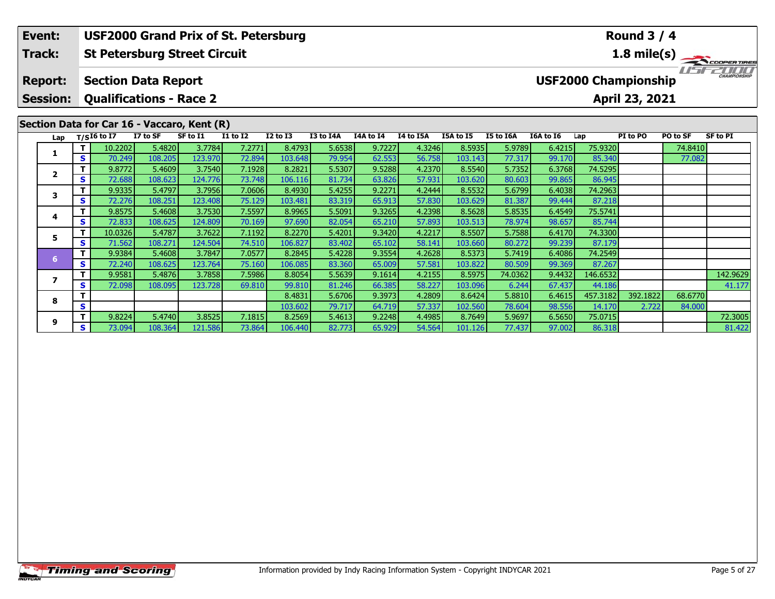| Event:          | <b>USF2000 Grand Prix of St. Petersburg</b><br><b>Round 3 / 4</b><br><b>St Petersburg Street Circuit</b><br>$1.8 \text{ mile(s)}$<br><b>USF2000 Championship</b><br><b>Section Data Report</b><br><b>Qualifications - Race 2</b><br>April 23, 2021 |                        |                    |                                                         |                 |                 |           |           |           |           |           |           |                |          |          |                 |
|-----------------|----------------------------------------------------------------------------------------------------------------------------------------------------------------------------------------------------------------------------------------------------|------------------------|--------------------|---------------------------------------------------------|-----------------|-----------------|-----------|-----------|-----------|-----------|-----------|-----------|----------------|----------|----------|-----------------|
| <b>Track:</b>   |                                                                                                                                                                                                                                                    |                        |                    |                                                         |                 |                 |           |           |           |           |           |           |                |          |          |                 |
| <b>Report:</b>  |                                                                                                                                                                                                                                                    |                        |                    |                                                         |                 |                 |           |           |           |           |           |           |                |          |          | CHAMPIONSHIP    |
| <b>Session:</b> |                                                                                                                                                                                                                                                    |                        |                    |                                                         |                 |                 |           |           |           |           |           |           |                |          |          |                 |
|                 |                                                                                                                                                                                                                                                    |                        |                    | Section Data for Car 16 - Vaccaro, Kent (R)<br>SF to I1 | <b>I1 to I2</b> | <b>I2 to I3</b> | I3 to I4A | I4A to I4 | I4 to I5A | I5A to I5 | I5 to I6A | I6A to I6 |                | PI to PO | PO to SF | <b>SF to PI</b> |
| Lap             |                                                                                                                                                                                                                                                    | T/SI6 to I7<br>10.2202 | I7 to SF<br>5.4820 | 3.7784                                                  | 7.2771          | 8.4793          | 5.6538    | 9.7227    | 4.3246    | 8.5935    | 5.9789    | 6.4215    | Lap<br>75.9320 |          | 74.8410  |                 |
|                 | S                                                                                                                                                                                                                                                  | 70.249                 | 108.205            | 123.970                                                 | 72.894          | 103.648         | 79.954    | 62.553    | 56.758    | 103.143   | 77.317    | 99.170    | 85.340         |          | 77.082   |                 |
|                 |                                                                                                                                                                                                                                                    | 9.8772                 | 5.4609             | 3.7540                                                  | 7.1928          | 8.2821          | 5.5307    | 9.5288    | 4.2370    | 8.5540    | 5.7352    | 6.3768    | 74.5295        |          |          |                 |
| $\mathbf{2}$    | S                                                                                                                                                                                                                                                  | 72.688                 | 108.623            | 124.776                                                 | 73.748          | 106.116         | 81.734    | 63.826    | 57.931    | 103.620   | 80.603    | 99.865    | 86.945         |          |          |                 |
| 3               |                                                                                                                                                                                                                                                    | 9.9335                 | 5.4797             | 3.7956                                                  | 7.0606          | 8.4930          | 5.4255    | 9.2271    | 4.2444    | 8.5532    | 5.6799    | 6.4038    | 74.2963        |          |          |                 |
|                 | S                                                                                                                                                                                                                                                  | 72.276                 | 108.251            | 123.408                                                 | 75.129          | 103.481         | 83.319    | 65.913    | 57.830    | 103.629   | 81.387    | 99.444    | 87.218         |          |          |                 |
| 4               |                                                                                                                                                                                                                                                    | 9.8575                 | 5.4608             | 3.7530                                                  | 7.5597          | 8.9965          | 5.5091    | 9.3265    | 4.2398    | 8.5628    | 5.8535    | 6.4549    | 75.5741        |          |          |                 |
|                 | S                                                                                                                                                                                                                                                  | 72.833                 | 108.625            | 124.809                                                 | 70.169          | 97.690          | 82.054    | 65.210    | 57.893    | 103.513   | 78.974    | 98.657    | 85.744         |          |          |                 |
| 5               |                                                                                                                                                                                                                                                    | 10.0326                | 5.4787             | 3.7622                                                  | 7.1192          | 8.2270          | 5.4201    | 9.3420    | 4.2217    | 8.5507    | 5.7588    | 6.4170    | 74.3300        |          |          |                 |
|                 | S                                                                                                                                                                                                                                                  | 71.562                 | 108.271            | 124.504                                                 | 74.510          | 106.827         | 83.402    | 65.102    | 58.141    | 103.660   | 80.272    | 99.239    | 87.179         |          |          |                 |
| 6               |                                                                                                                                                                                                                                                    | 9.9384                 | 5.4608             | 3.7847                                                  | 7.0577          | 8.2845          | 5.4228    | 9.3554    | 4.2628    | 8.5373    | 5.7419    | 6.4086    | 74.2549        |          |          |                 |
|                 | S                                                                                                                                                                                                                                                  | 72.240                 | 108.625            | 123.764                                                 | 75.160          | 106.085         | 83.360    | 65,009    | 57.581    | 103.8221  | 80.509    | 99.369    | 87.267         |          |          |                 |

**<sup>T</sup>** 9.9581 5.4876 3.7858 7.5986 8.8054 5.5639 9.1614 4.2155 8.5975 74.0362 9.4432 146.6532 142.9629 **<sup>S</sup>** 72.098 108.095 123.728 69.810 99.810 81.246 66.385 58.227 103.096 6.244 67.437 44.186 41.177

**<sup>T</sup>** 9.8224 5.4740 3.8525 7.1815 8.2569 5.4613 9.2248 4.4985 8.7649 5.9697 6.5650 75.0715 72.3005 **<sup>S</sup>** 73.094 108.364 121.586 73.864 106.440 82.773 65.929 54.564 101.126 77.437 97.002 86.318 81.422

**<sup>T</sup>** 8.4831 5.6706 9.3973 4.2809 8.6424 5.8810 6.4615 457.3182 392.1822 68.6770 **<sup>S</sup>** 103.602 79.717 64.719 57.337 102.560 78.604 98.556 14.170 2.722 84.000

**7**

**8**

**9**

41.177

81.422

84.000

 $\frac{87.267}{146.6532}$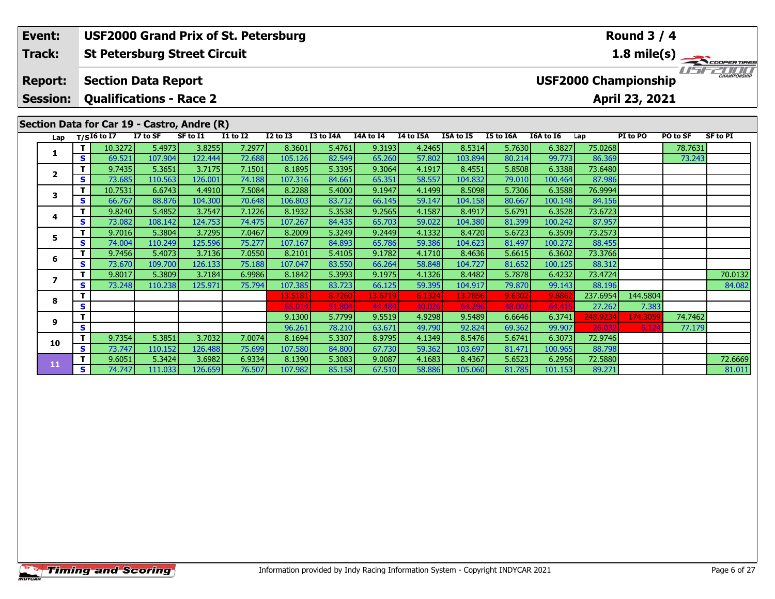| Event:          |                |                                                                      |          |                                             | <b>USF2000 Grand Prix of St. Petersburg</b> |                 |                 |           |           |           |           |           |          | <b>Round 3 / 4</b>          |          |             |
|-----------------|----------------|----------------------------------------------------------------------|----------|---------------------------------------------|---------------------------------------------|-----------------|-----------------|-----------|-----------|-----------|-----------|-----------|----------|-----------------------------|----------|-------------|
| Track:          |                |                                                                      |          | <b>St Petersburg Street Circuit</b>         |                                             |                 |                 |           |           |           |           |           |          |                             |          | 1.8 mile(s) |
| <b>Report:</b>  |                | <b>Section Data Report</b>                                           |          |                                             |                                             |                 |                 |           |           |           |           |           |          | <b>USF2000 Championship</b> |          |             |
| <b>Session:</b> |                | <b>Qualifications - Race 2</b>                                       |          |                                             |                                             |                 |                 |           |           |           |           |           |          | April 23, 2021              |          |             |
|                 |                |                                                                      |          | Section Data for Car 19 - Castro, Andre (R) |                                             |                 |                 |           |           |           |           |           |          |                             |          |             |
| Lap             |                | $T/SI6$ to I7                                                        | I7 to SF | SF to I1                                    | <b>I1 to I2</b>                             | <b>I2 to I3</b> | I3 to I4A       | I4A to I4 | I4 to I5A | I5A to I5 | I5 to I6A | I6A to I6 | Lap      | PI to PO                    | PO to SF | SF to PI    |
| 1               |                | 10.3272                                                              | 5.4973   | 3.8255                                      | 7.2977                                      | 8.3601          | 5.4761          | 9.3193    | 4.2465    | 8.5314    | 5.7630    | 6.3827    | 75.0268  |                             | 78.7631  |             |
|                 | S              | 69.521                                                               | 107.904  | 122.444                                     | 72.688                                      | 105.126         | 82.549          | 65.260    | 57.802    | 103.894   | 80.214    | 99.773    | 86.369   |                             | 73.243   |             |
| $\mathbf{2}$    | т              | 9.7435                                                               | 5.3651   | 3.7175                                      | 7.1501                                      | 8.1895          | 5.3395          | 9.3064    | 4.1917    | 8.4551    | 5.8508    | 6.3388    | 73.6480  |                             |          |             |
|                 | S              | 73.685                                                               | 110.563  | 126.001                                     | 74.188                                      | 107.316         | 84.661          | 65.351    | 58.557    | 104.832   | 79.010    | 100.464   | 87.986   |                             |          |             |
| 3               |                | 10.7531                                                              | 6.6743   | 4.4910                                      | 7.5084                                      | 8.2288          | 5.4000          | 9.1947    | 4.1499    | 8.5098    | 5.7306    | 6.3588    | 76.9994  |                             |          |             |
|                 | S              | 66.767                                                               | 88.876   | 104.300                                     | 70.648                                      | 106.803         | 83.712          | 66.145    | 59.147    | 104.158   | 80.667    | 100.148   | 84.156   |                             |          |             |
| 4               |                | 9.8240                                                               | 5.4852   | 3.7547                                      | 7.1226                                      | 8.1932          | 5.3538          | 9.2565    | 4.1587    | 8.4917    | 5.6791    | 6.3528    | 73.6723  |                             |          |             |
|                 | S              | 73.082                                                               | 108.142  | 124.753                                     | 74.475                                      | 107.267         | 84.435          | 65.703    | 59.022    | 104.380   | 81.399    | 100.242   | 87.957   |                             |          |             |
| 5               | т              | 9.7016                                                               | 5.3804   | 3.7295                                      | 7.0467                                      | 8.2009          | 5.3249          | 9.2449    | 4.1332    | 8.4720    | 5.6723    | 6.3509    | 73.2573  |                             |          |             |
|                 | S              | 74.004                                                               | 110.249  | 125.596                                     | 75.277                                      | 107.167         | 84.893          | 65.786    | 59.386    | 104.623   | 81.497    | 100.272   | 88.455   |                             |          |             |
|                 |                | 9.7456                                                               | 5.4073   | 3.7136                                      | 7.0550                                      | 8.2101          | 5.4105          | 9.1782    | 4.1710    | 8.4636    | 5.6615    | 6.3602    | 73.3766  |                             |          |             |
| 6<br>S          |                |                                                                      | 126.133  | 75.188                                      | 107.047                                     | 83.550          | 66.264          | 58.848    | 104.727   | 81.652    | 100.125   | 88.312    |          |                             |          |             |
|                 | $\overline{ }$ |                                                                      |          | 3.7184                                      | 6.9986                                      | 8.1842          | 5.3993          | 9.1975    | 4.1326    | 8.4482    | 5.7878    | 6.4232    | 73.4724  |                             |          | 70.0132     |
|                 |                | 73.670<br>109.700<br>9.8017<br>5.3809<br>S<br>73.248<br>110.238<br>S | 125.971  | 75.794                                      | 107.385                                     | 83.723          | 66.125          | 59.395    | 104.917   | 79.870    | 99.143    | 88.196    |          |                             | 84.082   |             |
|                 |                |                                                                      |          |                                             | 13.5181                                     | 8.7260          | 13.6719         | 6.1324    | 13.7856   | 9.6302    | 9.886     | 237.6954  | 144.5804 |                             |          |             |
|                 |                |                                                                      |          |                                             | 65.014                                      | 51.804          | 44.484          | 40.026    | 64.296    | 48.002    | 64.41     | 27.262    | 7.383    |                             |          |             |
|                 | 8<br>9<br>S    |                                                                      |          |                                             |                                             | 9.1300          | 5.7799          | 9.5519    | 4.9298    | 9.5489    | 6.6646    | 6.3741    | 248.9234 | 174.3059                    | 74.7462  |             |
|                 |                |                                                                      |          |                                             |                                             | 96.261          | 78.210 <b>1</b> | 63.671    | 49.790    | 92.824    | 69.362    | 99.907    |          |                             | 77.179   |             |

**<sup>T</sup>** 9.7354 5.3851 3.7032 7.0074 8.1694 5.3307 8.9795 4.1349 8.5476 5.6741 6.3073 72.9746 **<sup>S</sup>** 73.747 110.152 126.488 75.699 107.580 84.800 67.730 59.362 103.697 81.471 100.965 88.798

**10**

**11**

**<sup>T</sup>** 9.6051 5.3424 3.6982 6.9334 8.1390 5.3083 9.0087 4.1683 8.4367 5.6523 6.2956 72.5880 72.6669 **<sup>S</sup>** 74.747 111.033 126.659 76.507 107.982 85.158 67.510 58.886 105.060 81.785 101.153 89.271 81.011

81.011

77.179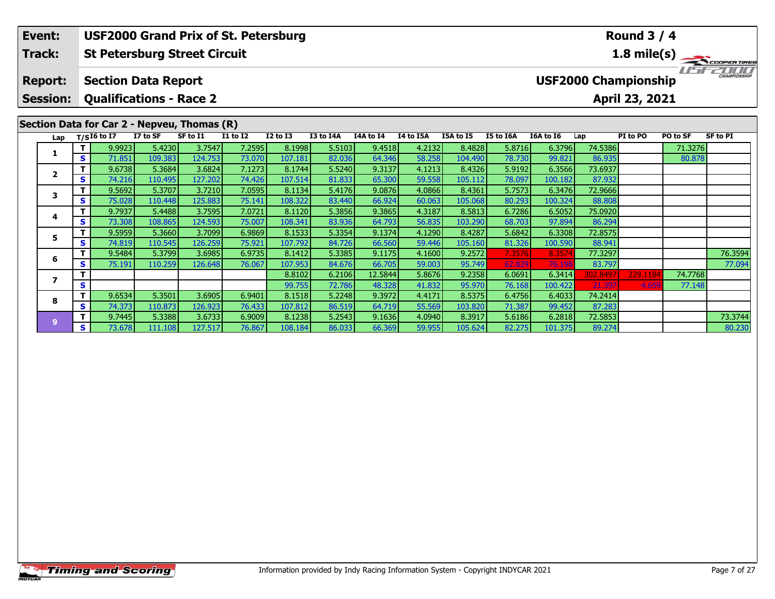| Event:          |    | <b>USF2000 Grand Prix of St. Petersburg</b>                    |          |          |                 |                 |           |           |           |           |           |           |          | <b>Round 3 / 4</b>          |          |              |
|-----------------|----|----------------------------------------------------------------|----------|----------|-----------------|-----------------|-----------|-----------|-----------|-----------|-----------|-----------|----------|-----------------------------|----------|--------------|
| Track:          |    | <b>St Petersburg Street Circuit</b>                            |          |          |                 |                 |           |           |           |           |           |           |          |                             |          | 1.8 mile(s)  |
| <b>Report:</b>  |    | <b>Section Data Report</b>                                     |          |          |                 |                 |           |           |           |           |           |           |          | <b>USF2000 Championship</b> |          | CHAMPIONSHIP |
| <b>Session:</b> |    | <b>Qualifications - Race 2</b>                                 |          |          |                 |                 |           |           |           |           |           |           |          | April 23, 2021              |          |              |
| Lap             |    | Section Data for Car 2 - Nepveu, Thomas (R)<br>$T/SI6$ to $I7$ | I7 to SF | SF to I1 | <b>I1 to I2</b> | <b>I2 to I3</b> | I3 to I4A | I4A to I4 | I4 to I5A | I5A to I5 | I5 to I6A | I6A to I6 | Lap      | PI to PO                    | PO to SF | SF to PI     |
|                 |    | 9.9923                                                         | 5.4230   | 3.7547   | 7.2595          | 8.1998          | 5.5103    | 9.4518    | 4.2132    | 8.4828    | 5.8716    | 6.3796    | 74.5386  |                             | 71.3276  |              |
|                 | S  | 71.851                                                         | 109.383  | 124.753  | 73.070          | 107.181         | 82.036    | 64.346    | 58.258    | 104.490   | 78.730    | 99.821    | 86.935   |                             | 80.878   |              |
| $\mathbf{2}$    |    | 9.6738                                                         | 5.3684   | 3.6824   | 7.1273          | 8.1744          | 5.5240    | 9.3137    | 4.1213    | 8.4326    | 5.9192    | 6.3566    | 73.6937  |                             |          |              |
|                 | S. | 74.216                                                         | 110.495  | 127.202  | 74.426          | 107.514         | 81.833    | 65.300    | 59.558    | 105.112   | 78.097    | 100.182   | 87.932   |                             |          |              |
| 3               |    | 9.5692                                                         | 5.3707   | 3.7210   | 7.0595          | 8.1134          | 5.4176    | 9.0876    | 4.0866    | 8.4361    | 5.7573    | 6.3476    | 72.9666  |                             |          |              |
|                 | S. | 75.028                                                         | 110.448  | 125.883  | 75.141          | 108.322         | 83.440    | 66.924    | 60.063    | 105.068   | 80.293    | 100.324   | 88.808   |                             |          |              |
| 4               |    | 9.7937                                                         | 5.4488   | 3.7595   | 7.0721          | 8.1120          | 5.3856    | 9.3865    | 4.3187    | 8.5813    | 6.7286    | 6.5052    | 75.0920  |                             |          |              |
|                 | S. | 73.308                                                         | 108.865  | 124.593  | 75.007          | 108.341         | 83.936    | 64.793    | 56.835    | 103.290   | 68.703    | 97.894    | 86.294   |                             |          |              |
| 5.              |    | 9.5959                                                         | 5.3660   | 3.7099   | 6.9869          | 8.1533          | 5.3354    | 9.1374    | 4.1290    | 8.4287    | 5.6842    | 6.3308    | 72.8575  |                             |          |              |
|                 | S. | 74.819                                                         | 110.545  | 126.259  | 75.921          | 107.792         | 84.726    | 66.560    | 59.446    | 105.160   | 81.326    | 100.590   | 88.941   |                             |          |              |
| 6               |    | 9.5484                                                         | 5.3799   | 3.6985   | 6.9735          | 8.1412          | 5.3385    | 9.1175    | 4.1600    | 9.2572    | 7.3576    | 8.3574    | 77.3297  |                             |          | 76.3594      |
|                 | S. | 75.191                                                         | 110.259  | 126.648  | 76.067          | 107.953         | 84.676    | 66.705    | 59.003    | 95.749    | 62.829    | 76.198    | 83.797   |                             |          | 77.094       |
|                 |    |                                                                |          |          |                 | 8.8102          | 6.2106    | 12.5844   | 5.8676    | 9.2358    | 6.0691    | 6.3414    | 302.8497 | 229.1184                    | 74.7768  |              |
|                 | s. |                                                                |          |          |                 | 99.755          | 72.786    | 48.328    | 41.832    | 95.970    | 76.168    | 100.422   | 21.397   | 4.659                       | 77.148   |              |

**<sup>T</sup>** 9.7445 5.3388 3.6733 6.9009 8.1238 5.2543 9.1636 4.0940 8.3917 5.6186 6.2818 72.5853 73.3744 **<sup>S</sup>** 73.678 111.108 127.517 76.867 108.184 86.033 66.369 59.955 105.624 82.275 101.375 89.274 80.230

**<sup>T</sup>** 9.6534 5.3501 3.6905 6.9401 8.1518 5.2248 9.3972 4.4171 8.5375 6.4756 6.4033 74.2414 **<sup>S</sup>** 74.373 110.873 126.923 76.433 107.812 86.519 64.719 55.569 103.820 71.387 99.452 87.283

**8**

**9**

80.230

77.148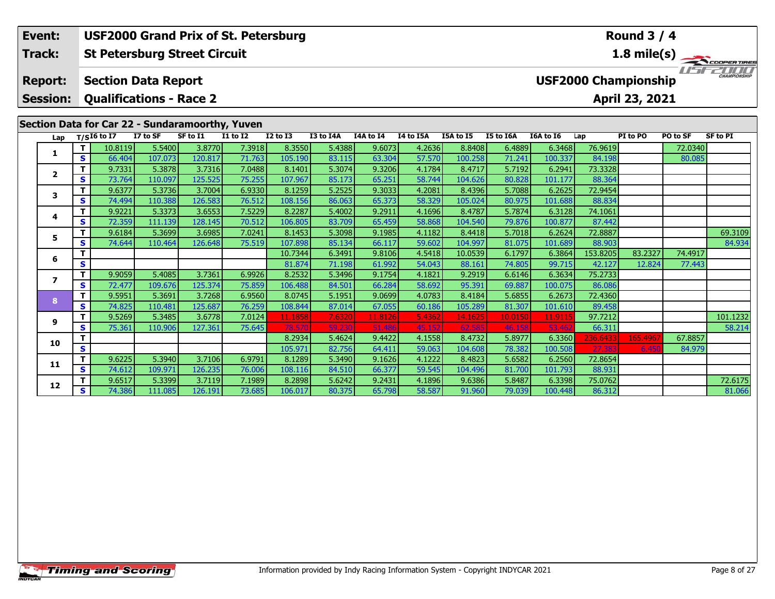| USF2000 Grand Prix of St. Petersburg<br>Event:<br><b>St Petersburg Street Circuit</b> |                                   |    |                                                              | Round $3/4$       |                   |                  |                   |                  |                  |                  |                   |                  |                   |                             |                |          |             |
|---------------------------------------------------------------------------------------|-----------------------------------|----|--------------------------------------------------------------|-------------------|-------------------|------------------|-------------------|------------------|------------------|------------------|-------------------|------------------|-------------------|-----------------------------|----------------|----------|-------------|
|                                                                                       | Track:                            |    |                                                              |                   |                   |                  |                   |                  |                  |                  |                   |                  |                   |                             |                |          | 1.8 mile(s) |
|                                                                                       | <b>Report:</b><br><b>Session:</b> |    | <b>Section Data Report</b><br><b>Qualifications - Race 2</b> |                   |                   |                  |                   |                  |                  |                  |                   |                  |                   | <b>USF2000 Championship</b> | April 23, 2021 | l l'al-  | CHAMPIONSHI |
|                                                                                       |                                   |    | Section Data for Car 22 - Sundaramoorthy, Yuven              |                   |                   |                  |                   |                  |                  |                  |                   |                  |                   |                             |                |          |             |
|                                                                                       | Lap                               |    | $T/SI6$ to I7                                                | I7 to SF          | SF to I1          | <b>I1 to I2</b>  | <b>I2 to I3</b>   | I3 to I4A        | I4A to I4        | I4 to I5A        | I5A to I5         | I5 to I6A        | I6A to I6         | Lap                         | PI to PO       | PO to SF | SF to PI    |
|                                                                                       | 1                                 |    | 10.8119                                                      | 5.5400            | 3.8770            | 7.3918           | 8.3550            | 5.4388           | 9.6073           | 4.2636           | 8.8408            | 6.4889           | 6.3468            | 76.9619                     |                | 72.0340  |             |
|                                                                                       |                                   | S. | 66.404<br>9.7331                                             | 107.073<br>5.3878 | 120.817<br>3.7316 | 71.763<br>7.0488 | 105.190<br>8.1401 | 83.115<br>5.3074 | 63.304<br>9.3206 | 57.570<br>4.1784 | 100.258<br>8.4717 | 71.241<br>5.7192 | 100.337<br>6.2941 | 84.198<br>73.3328           |                | 80.085   |             |
|                                                                                       | $\overline{2}$                    | S. | 73.764                                                       | 110.097           | 125.525           | 75.255           | 107.967           | 85.173           | 65.251           | 58.744           | 104.626           | 80.828           | 101.177           | 88.364                      |                |          |             |
|                                                                                       |                                   | т  | 9.6377                                                       | 5.3736            | 3.7004            | 6.9330           | 8.1259            | 5.2525           | 9.3033           | 4.2081           | 8.4396            | 5.7088           | 6.2625            | 72.9454                     |                |          |             |
|                                                                                       | 3                                 | S  | 74.494                                                       | 110.388           | 126.583           | 76.512           | 108.156           | 86.063           | 65.373           | 58.329           | 105.024           | 80.975           | 101.688           | 88.834                      |                |          |             |
|                                                                                       |                                   | т  | 9.9221                                                       | 5.3373            | 3.6553            | 7.5229           | 8.2287            | 5.4002           | 9.2911           | 4.1696           | 8.4787            | 5.7874           | 6.3128            | 74.1061                     |                |          |             |
|                                                                                       | 4                                 | S. | 72.359                                                       | 111.139           | 128.145           | 70.512           | 106.805           | 83.709           | 65.459           | 58.868           | 104.540           | 79.876           | 100.877           | 87.442                      |                |          |             |
|                                                                                       |                                   | т  | 9.6184                                                       | 5.3699            | 3.6985            | 7.0241           | 8.1453            | 5.3098           | 9.1985           | 4.1182           | 8.4418            | 5.7018           | 6.2624            | 72.8887                     |                |          | 69.3109     |
|                                                                                       | 5.                                | S  | 74.644                                                       | 110.464           | 126.648           | 75.519           | 107.898           | 85.134           | 66.117           | 59.602           | 104.997           | 81.075           | 101.689           | 88.903                      |                |          | 84.934      |
|                                                                                       |                                   |    |                                                              |                   |                   |                  | 10.7344           | 6.3491           | 9.8106           | 4.5418           | 10.0539           | 6.1797           | 6.3864            | 153.8205                    | 83.2327        | 74.4917  |             |
|                                                                                       | 6                                 | S  |                                                              |                   |                   |                  | 81.874            | 71.198           | 61.992           | 54.043           | 88.161            | 74.805           | 99.715            | 42.127                      | 12.824         | 77.443   |             |
|                                                                                       | $\overline{ }$                    | т  | 9.9059                                                       | 5.4085            | 3.7361            | 6.9926           | 8.2532            | 5.3496           | 9.1754           | 4.1821           | 9.2919            | 6.6146           | 6.3634            | 75.2733                     |                |          |             |
|                                                                                       |                                   | S  | 72.477                                                       | 109.676           | 125.374           | 75.859           | 106.488           | 84.501           | 66.284           | 58.692           | 95.391            | 69.887           | 100.075           | 86.086                      |                |          |             |
|                                                                                       | 8                                 | т  | 9.5951                                                       | 5.3691            | 3.7268            | 6.9560           | 8.0745            | 5.1951           | 9.0699           | 4.0783           | 8.4184            | 5.6855           | 6.2673            | 72.4360                     |                |          |             |
|                                                                                       |                                   | S. | 74.825                                                       | 110.481           | 125.687           | 76.259           | 108.844           | 87.014           | 67.055           | 60.186           | 105.289           | 81.307           | 101.610           | 89.458                      |                |          |             |
|                                                                                       | 9                                 |    | 9.5269                                                       | 5.3485            | 3.6778            | 7.0124           | 11.1858           | 7.6320           | 11.8126          | 5.4362           | 14.1625           | 10.0150          | 11.9115           | 97.7212                     |                |          | 101.1232    |
|                                                                                       |                                   | S  | 75.361                                                       | 110.906           | 127.361           | 75.645           | 78.57             | 59.230           | 51.486           | 45.152           | 62.585            | 46.158           | 53.46             | 66.311                      |                |          | 58.214      |
|                                                                                       | 10                                |    |                                                              |                   |                   |                  | 8.2934            | 5.4624           | 9.4422           | 4.1558           | 8.4732            | 5.8977           | 6.3360            | 236.6433                    | 165.496        | 67.8857  |             |
|                                                                                       |                                   | S. |                                                              |                   |                   |                  | 105.971           | 82.756           | 64.411           | 59.063           | 104.608           | 78.382           | 100.508           | 27.383                      | 6.450          | 84.979   |             |

**<sup>T</sup>** 9.6225 5.3940 3.7106 6.9791 8.1289 5.3490 9.1626 4.1222 8.4823 5.6582 6.2560 72.8654 **<sup>S</sup>** 74.612 109.971 126.235 76.006 108.116 84.510 66.377 59.545 104.496 81.700 101.793 88.931

**11**

**12**

**<sup>T</sup>** 9.6517 5.3399 3.7119 7.1989 8.2898 5.6242 9.2431 4.1896 9.6386 5.8487 6.3398 75.0762 72.6175 **<sup>S</sup>** 74.386 111.085 126.191 73.685 106.017 80.375 65.798 58.587 91.960 79.039 100.448 86.312 81.066

81.066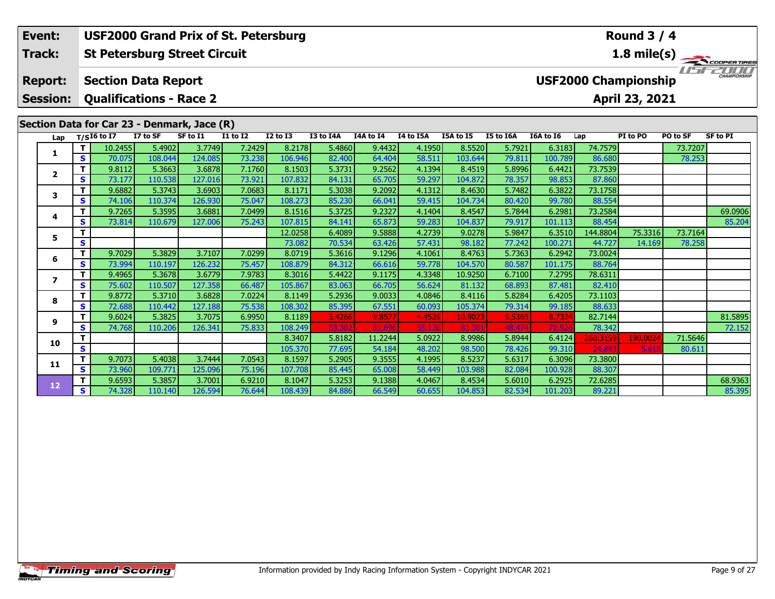### **Round 3 / 4Event: USF2000 Grand Prix of St. Petersburg Track:St Petersburg Street Circuit 1.8 mile(s)** USF2000 **Report: Section Data Report USF2000 Championship Session: Qualifications - Race 2 April 23, 2021 Section Data for Car 23 - Denmark, Jace (R)**<br>Lap T/SI6 to I7 I7 to SF SF to I1 II to **Lap T/SI6 to I7 I7 to SF SF to I1 I1 to I2 I2 to I3 I3 to I4A I4A to I4 I4 to I5A I5A to I5 I5 to I6A I6A to I6 Lap PI to PO PO to SF SF to PI <sup>T</sup>** 10.2455 5.4902 3.7749 7.2429 8.2178 5.4860 9.4432 4.1950 8.5520 5.7921 6.3183 74.7579 73.7207 **<sup>S</sup>** 70.075 108.044 124.085 73.238 106.946 82.400 64.404 58.511 103.644 79.811 100.789 86.680 78.253**1 <sup>T</sup>** 9.8112 5.3663 3.6878 7.1760 8.1503 5.3731 9.2562 4.1394 8.4519 5.8996 6.4421 73.7539 **<sup>S</sup>** 73.177 110.538 127.016 73.921 107.832 84.131 65.705 59.297 104.872 78.357 98.853 87.860**2**87.860 **<sup>T</sup>** 9.6882 5.3743 3.6903 7.0683 8.1171 5.3038 9.2092 4.1312 8.4630 5.7482 6.3822 73.1758 **<sup>S</sup>** 74.106 110.374 126.930 75.047 108.273 85.230 66.041 59.415 104.734 80.420 99.780 88.554**3**

|    |    | 9.000Z | <b>1.97451</b> | ו כטפס.כ | 7.U00J | 0.11/1  | ן סכטכ.כ | 9.ZUYZ  | 4.1912 | 0.40501 | 3.740Z | 0.30ZZ  | 79.17901 |          |         |         |
|----|----|--------|----------------|----------|--------|---------|----------|---------|--------|---------|--------|---------|----------|----------|---------|---------|
|    | S  | 74.106 | 110.374        |          | 75.047 | 108.273 | 85.230   | 66.041  | 59.415 | 104.734 | 80.420 | 99.780  | 88.554   |          |         |         |
|    | т  | 9.7265 | 5.3595         | 3.6881   | 7.0499 | 8.1516  | 5.3725   | 9.2327  | 4.1404 | 8.4547  | 5.7844 | 6.2981  | 73.2584  |          |         | 69.0906 |
| 4  | S. | 73.814 | 110.679        | 127.006  | 75.243 | 107.815 | 84.141   | 65.873  | 59.283 | 104.837 | 79.917 | 101.113 | 88.454   |          |         | 85.204  |
| 5  | т  |        |                |          |        | 12.0258 | 6.4089   | 9.5888  | 4.2739 | 9.0278  | 5.9847 | 6.3510  | 144.8804 | 75.3316  | 73.7164 |         |
|    | S  |        |                |          |        | 73.082  | 70.534   | 63.426  | 57.431 | 98.182  | 77.242 | 100.271 | 44.727   | 14.169   | 78.258  |         |
| 6  | т  | 9.7029 | 5.3829         | 3.7107   | 7.0299 | 8.0719  | 5.3616   | 9.1296  | 4.1061 | 8.4763  | 5.7363 | 6.2942  | 73.0024  |          |         |         |
|    | S. | 73.994 | 110.197        | 126.232  | 75.457 | 108.879 | 84.312   | 66.616  | 59.778 | 104.570 | 80.587 | 101.175 | 88.764   |          |         |         |
|    | т  | 9.4965 | 5.3678         | 3.6779   | 7.9783 | 8.3016  | 5.4422   | 9.1175  | 4.3348 | 10.9250 | 6.7100 | 7.2795  | 78.6311  |          |         |         |
|    | S. | 75.602 | 110.507        | 127.358  | 66.487 | 105.867 | 83.063   | 66.705  | 56.624 | 81.132  | 68.893 | 87.481  | 82.410   |          |         |         |
| 8  | т  | 9.8772 | 5.3710         | 3.6828   | 7.0224 | 8.1149  | 5.2936   | 9.0033  | 4.0846 | 8.4116  | 5.8284 | 6.4205  | 73.1103  |          |         |         |
|    | S. | 72.688 | 110.442        | 127.188  | 75.538 | 108.302 | 85.395   | 67.551  | 60.093 | 105.374 | 79.314 | 99.185  | 88.633   |          |         |         |
| 9  | т  | 9.6024 | 5.3825         | 3.7075   | 6.9950 | 8.1189  | 5.4266   | 9.8577  | 4.4526 | 10.9023 | 9.5365 | 8.7324  | 82.7144  |          |         | 81.5895 |
|    | S. | 74.768 | 110.206        | 126.341  | 75.833 | 108.249 | 83.302   | 61.696  | 55.126 | 81.301  | 48.474 | 72.92   | 78.342   |          |         | 72.152  |
| 10 | т  |        |                |          |        | 8.3407  | 5.8182   | 11.2244 | 5.0922 | 8.9986  | 5.8944 | 6.4124  | 260.3159 | 190.0024 | 71.5646 |         |
|    | S  |        |                |          |        | 105.370 | 77.695   | 54.184  | 48.202 | 98.500  | 78.426 | 99.310  | 24.893   | 5.618    | 80.611  |         |
| 11 | т  | 9.7073 | 5.4038         | 3.7444   | 7.0543 | 8.1597  | 5.2905   | 9.3555  | 4.1995 | 8.5237  | 5.6317 | 6.3096  | 73.3800  |          |         |         |
|    | S. | 73.960 | 109.771        | 125.096  | 75.196 | 107.708 | 85.445   | 65.008  | 58.449 | 103.988 | 82.084 | 100.928 | 88.307   |          |         |         |
| 12 | т  | 9.6593 | 5.3857         | 3.7001   | 6.9210 | 8.1047  | 5.3253   | 9.1388  | 4.0467 | 8.4534  | 5.6010 | 6.2925  | 72.6285  |          |         | 68.9363 |
|    | S. | 74.328 | 110.140        | 126.594  | 76.644 | 108.439 | 84.886   | 66.549  | 60.655 | 104.853 | 82.534 | 101.203 | 89.221   |          |         | 85.395  |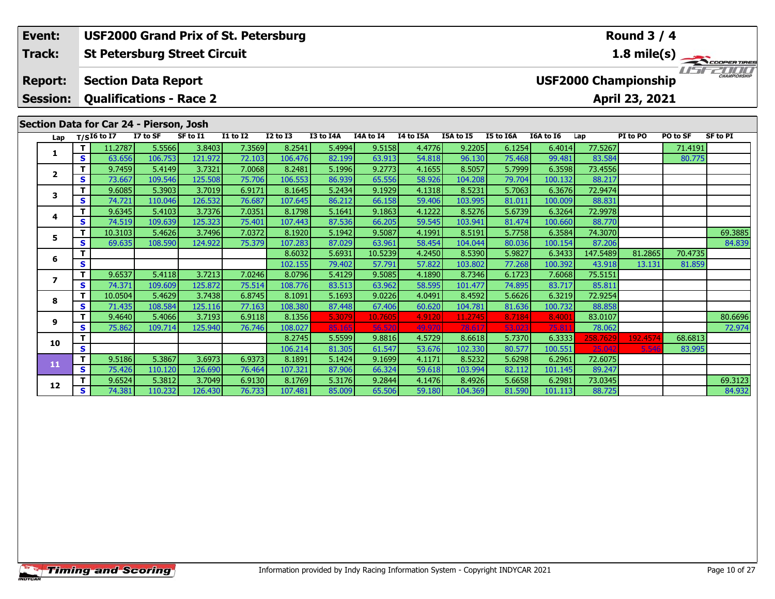### **St Petersburg Street Circuit Section Data Report Event: USF2000 Grand Prix of St. Petersburg Track: Report: USF2000 Championship**

**Session:Qualifications - Race 2**

# **Section Data for Car 24 - Pierson, Josh**

| Lap            |   | $T/SI6$ to I7 | I7 to SF | SF to I1 | <b>I1 to I2</b> | <b>I2 to I3</b> | I3 to I4A | I4A to I4 | <b>I4 to I5A</b> | I5A to I5 | I5 to I6A | <b>I6A to 16</b> | Lap      | PI to PO | PO to SF | <b>SF to PI</b> |
|----------------|---|---------------|----------|----------|-----------------|-----------------|-----------|-----------|------------------|-----------|-----------|------------------|----------|----------|----------|-----------------|
| 1              |   | 11.2787       | 5.5566   | 3.8403   | 7.3569          | 8.2541          | 5.4994    | 9.5158    | 4.4776           | 9.2205    | 6.1254    | 6.4014           | 77.5267  |          | 71.4191  |                 |
|                | s | 63.656        | 106.753  | 121.972  | 72.103          | 106.476         | 82.199    | 63.913    | 54.818           | 96.130    | 75.468    | 99.481           | 83.584   |          | 80.775   |                 |
| $\overline{2}$ |   | 9.7459        | 5.4149   | 3.7321   | 7.0068          | 8.2481          | 5.1996    | 9.2773    | 4.1655           | 8.5057    | 5.7999    | 6.3598           | 73.4556  |          |          |                 |
|                | S | 73.667        | 109.546  | 125.508  | 75.706          | 106.553         | 86.939    | 65.556    | 58.926           | 104.208   | 79.704    | 100.132          | 88.217   |          |          |                 |
| 3              |   | 9.6085        | 5.3903   | 3.7019   | 6.9171          | 8.1645          | 5.2434    | 9.1929    | 4.1318           | 8.5231    | 5.7063    | 6.3676           | 72.9474  |          |          |                 |
|                | s | 74.721        | 110.046  | 126.532  | 76.687          | 107.645         | 86.212    | 66.158    | 59.406           | 103.995   | 81.011    | 100.009          | 88.831   |          |          |                 |
| 4              |   | 9.6345        | 5.4103   | 3.7376   | 7.0351          | 8.1798          | 5.1641    | 9.1863    | 4.1222           | 8.5276    | 5.6739    | 6.3264           | 72.9978  |          |          |                 |
|                | s | 74.519        | 109.639  | 125.323  | 75.401          | 107.443         | 87.536    | 66.205    | 59.545           | 103.941   | 81.474    | 100.660          | 88.770   |          |          |                 |
| 5              |   | 10.3103       | 5.4626   | 3.7496   | 7.0372          | 8.1920          | 5.1942    | 9.5087    | 4.1991           | 8.5191    | 5.7758    | 6.3584           | 74.3070  |          |          | 69.3885         |
|                | s | 69.635        | 108.590  | 124.922  | 75.379          | 107.283         | 87.029    | 63.961    | 58.454           | 104.044   | 80.036    | 100.154          | 87.206   |          |          | 84.839          |
| 6              |   |               |          |          |                 | 8.6032          | 5.6931    | 10.5239   | 4.2450           | 8.5390    | 5.9827    | 6.3433           | 147.5489 | 81.2865  | 70.4735  |                 |
|                | S |               |          |          |                 | 102.155         | 79.402    | 57.791    | 57.822           | 103.802   | 77.268    | 100.392          | 43.918   | 13.131   | 81.859   |                 |
| 7              |   | 9.6537        | 5.4118   | 3.7213   | 7.0246          | 8.0796          | 5.4129    | 9.5085    | 4.1890           | 8.7346    | 6.1723    | 7.6068           | 75.5151  |          |          |                 |
|                | S | 74.371        | 109.609  | 125.872  | 75.514          | 108.776         | 83.513    | 63.962    | 58.595           | 101.477   | 74.895    | 83.717           | 85.811   |          |          |                 |
| 8              |   | 10.0504       | 5.4629   | 3.7438   | 6.8745          | 8.1091          | 5.1693    | 9.0226    | 4.0491           | 8.4592    | 5.6626    | 6.3219           | 72.9254  |          |          |                 |
|                | S | 71.435        | 108.584  | 125.116  | 77.163          | 108.380         | 87.448    | 67.406    | 60.620           | 104.781   | 81.636    | 100.732          | 88.858   |          |          |                 |
| 9              |   | 9.4640        | 5.4066   | 3.7193   | 6.9118          | 8.1356          | 5.3079    | 10.7605   | 4.9120           | 11.2745   | 8.7184    | 8.4001           | 83.0107  |          |          | 80.6696         |
|                | s | 75.862        | 109.714  | 125.940  | 76.746          | 108.027         | 85.165    | 56.520    | 49.970           | 78.617    | 53.023    | 75.81            | 78.062   |          |          | 72.974          |
| 10             |   |               |          |          |                 | 8.2745          | 5.5599    | 9.8816    | 4.5729           | 8.6618    | 5.7370    | 6.3333           | 258.7629 | 192.4574 | 68.6813  |                 |
|                | S |               |          |          |                 | 106.214         | 81.305    | 61.547    | 53.676           | 102.330   | 80.577    | 100.551          | 25.042   | 5.546    | 83.995   |                 |
| 11             |   | 9.5186        | 5.3867   | 3.6973   | 6.9373          | 8.1891          | 5.1424    | 9.1699    | 4.1171           | 8.5232    | 5.6298    | 6.2961           | 72.6075  |          |          |                 |
|                | S | 75.426        | 110.120  | 126.690  | 76.464          | 107.321         | 87.906    | 66.324    | 59.618           | 103.994   | 82.112    | 101.145          | 89.247   |          |          |                 |
| 12             |   | 9.6524        | 5.3812   | 3.7049   | 6.9130          | 8.1769          | 5.3176    | 9.2844    | 4.1476           | 8.4926    | 5.6658    | 6.2981           | 73.0345  |          |          | 69.3123         |
|                | S | 74.381        | 110.232  | 126.430  | 76.733          | 107.481         | 85.009    | 65.506    | 59.180           | 104.369   | 81.590    | 101.113          | 88.725   |          |          | 84.932          |

# **Round 3 / 4**

**April 23, 2021**

**1.8 mile(s)**

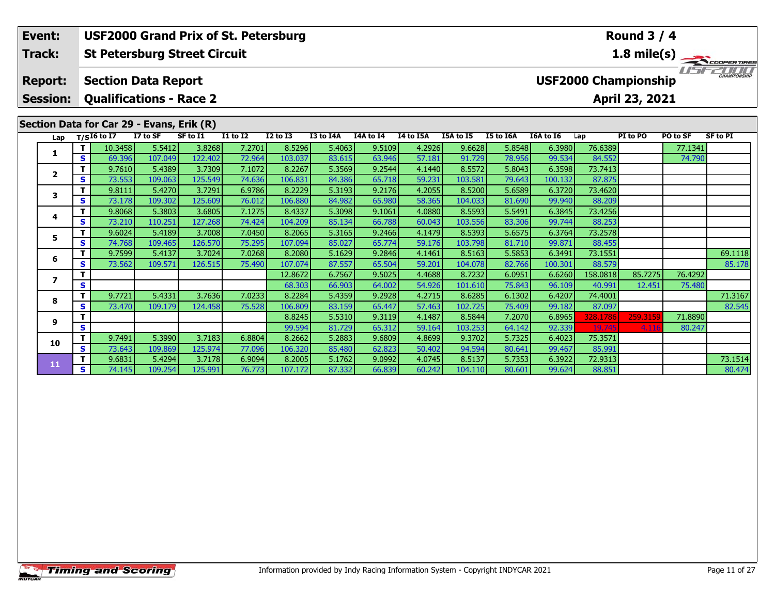| Event:                   |   |                            |                                           | <b>USF2000 Grand Prix of St. Petersburg</b> |                                    |                   |                  |                  |                  |                  |                  |                  |                   | <b>Round 3 / 4</b>          |                   |                 |
|--------------------------|---|----------------------------|-------------------------------------------|---------------------------------------------|------------------------------------|-------------------|------------------|------------------|------------------|------------------|------------------|------------------|-------------------|-----------------------------|-------------------|-----------------|
| Track:                   |   |                            |                                           | <b>St Petersburg Street Circuit</b>         |                                    |                   |                  |                  |                  |                  |                  |                  |                   |                             |                   | 1.8 mile(s)     |
| <b>Report:</b>           |   |                            | <b>Section Data Report</b>                |                                             |                                    |                   |                  |                  |                  |                  |                  |                  |                   | <b>USF2000 Championship</b> | <i>rest</i>       | CHAMPIONSHIP    |
| <b>Session:</b>          |   |                            | <b>Qualifications - Race 2</b>            |                                             |                                    |                   |                  |                  |                  |                  |                  |                  |                   | April 23, 2021              |                   |                 |
|                          |   |                            | Section Data for Car 29 - Evans, Erik (R) |                                             |                                    |                   |                  |                  |                  |                  |                  |                  |                   |                             |                   |                 |
| Lap                      |   | $T/SI6$ to $\overline{I7}$ | I7 to SF                                  | SF to I1                                    | $\overline{11}$ to $\overline{12}$ | <b>I2 to I3</b>   | <b>I3 to I4A</b> | I4A to I4        | I4 to I5A        | I5A to I5        | I5 to I6A        | I6A to I6        | Lap               | PI to PO                    | PO to SF          | <b>SF to PI</b> |
| 1                        | s | 10.3458<br>69.396          | 5.5412<br>107.049                         | 3.8268<br>122.402                           | 7.2701<br>72.964                   | 8.5296<br>103.037 | 5.4063<br>83.615 | 9.5109<br>63.946 | 4.2926<br>57.181 | 9.6628<br>91.729 | 5.8548<br>78.956 | 6.3980<br>99.534 | 76.6389<br>84.552 |                             | 77.1341<br>74.790 |                 |
|                          |   | 9.7610                     | 5.4389                                    | 3.7309                                      | 7.1072                             | 8.2267            | 5.3569           | 9.2544           | 4.1440           | 8.5572           | 5.8043           | 6.3598           | 73.7413           |                             |                   |                 |
| $\mathbf{2}$             | s | 73.553                     | 109.063                                   | 125.549                                     | 74.636                             | 106.831           | 84.386           | 65.718           | 59.231           | 103.581          | 79.643           | 100.132          | 87.875            |                             |                   |                 |
|                          |   | 9.8111                     | 5.4270                                    | 3.7291                                      | 6.9786                             | 8.2229            | 5.3193           | 9.2176           | 4.2055           | 8.5200           | 5.6589           | 6.3720           | 73.4620           |                             |                   |                 |
| 3                        | S | 73.178                     | 109.302                                   | 125.609                                     | 76.012                             | 106.880           | 84.982           | 65.980           | 58.365           | 104.033          | 81.690           | 99.940           | 88.209            |                             |                   |                 |
|                          |   | 9.8068                     | 5.3803                                    | 3.6805                                      | 7.1275                             | 8.4337            | 5.3098           | 9.1061           | 4.0880           | 8.5593           | 5.5491           | 6.3845           | 73.4256           |                             |                   |                 |
| 4                        | s | 73.210                     | 110.251                                   | 127.268                                     | 74.424                             | 104.209           | 85.134           | 66.788           | 60.043           | 103.556          | 83.306           | 99.744           | 88.253            |                             |                   |                 |
| 5                        |   | 9.6024                     | 5.4189                                    | 3.7008                                      | 7.0450                             | 8.2065            | 5.3165           | 9.2466           | 4.1479           | 8.5393           | 5.6575           | 6.3764           | 73.2578           |                             |                   |                 |
|                          | S | 74.768                     | 109.465                                   | 126.570                                     | 75.295                             | 107.094           | 85.027           | 65.774           | 59.176           | 103.798          | 81.710           | 99.871           | 88.455            |                             |                   |                 |
| 6                        |   | 9.7599                     | 5.4137                                    | 3.7024                                      | 7.0268                             | 8.2080            | 5.1629           | 9.2846           | 4.1461           | 8.5163           | 5.5853           | 6.3491           | 73.1551           |                             |                   | 69.1118         |
|                          | s | 73.562                     | 109.571                                   | 126.515                                     | 75.490                             | 107.074           | 87.557           | 65.504           | 59.201           | 104.078          | 82.766           | 100.301          | 88.579            |                             |                   | 85.178          |
| $\overline{\phantom{a}}$ |   |                            |                                           |                                             |                                    | 12.8672           | 6.7567           | 9.5025           | 4.4688           | 8.7232           | 6.0951           | 6.6260           | 158.0818          | 85.7275                     | 76.4292           |                 |
|                          | S |                            |                                           |                                             |                                    | 68.303            | 66.903           | 64.002           | 54.926           | 101.610          | 75.843           | 96.109           | 40.991            | 12.451                      | 75.480            |                 |
| 8                        |   | 9.7721                     | 5.4331                                    | 3.7636                                      | 7.0233                             | 8.2284            | 5.4359           | 9.2928           | 4.2715           | 8.6285           | 6.1302           | 6.4207           | 74.4001           |                             |                   | 71.3167         |
|                          | S | 73.470                     | 109.179                                   | 124.458                                     | 75.528                             | 106.809           | 83.159           | 65.447           | 57.463           | 102.725          | 75.409           | 99.182           | 87.097            |                             |                   | 82.545          |

**<sup>T</sup>** 8.8245 5.5310 9.3119 4.1487 8.5844 7.2070 6.8965 328.1786 259.3159 71.8890 **<sup>S</sup>** 99.594 81.729 65.312 59.164 103.253 64.142 92.339 19.745 4.116 80.247

**<sup>T</sup>** 9.6831 5.4294 3.7178 6.9094 8.2005 5.1762 9.0992 4.0745 8.5137 5.7353 6.3922 72.9313 73.1514 **<sup>S</sup>** 74.145 109.254 125.991 76.773 107.172 87.332 66.839 60.242 104.110 80.601 99.624 88.851 80.474

**<sup>T</sup>** 9.7491 5.3990 3.7183 6.8804 8.2662 5.2883 9.6809 4.8699 9.3702 5.7325 6.4023 75.3571 **<sup>S</sup>** 73.643 109.869 125.974 77.096 106.320 85.480 62.823 50.402 94.594 80.641 99.467 85.991

**9**

**10**

**11**

80.474

80.247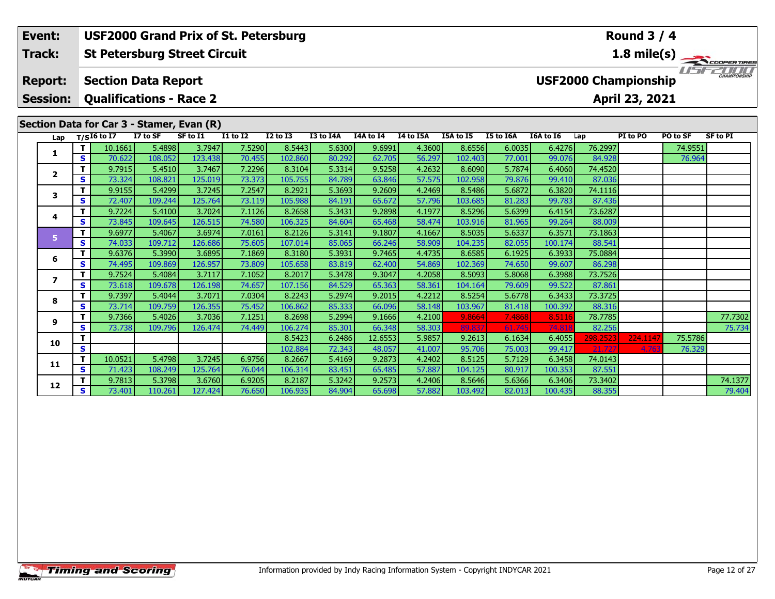| Event:                  |             |                                |          | <b>USF2000 Grand Prix of St. Petersburg</b> |              |                 |           |           |           |           |           |           |                             | <b>Round 3 / 4</b> |          |                 |
|-------------------------|-------------|--------------------------------|----------|---------------------------------------------|--------------|-----------------|-----------|-----------|-----------|-----------|-----------|-----------|-----------------------------|--------------------|----------|-----------------|
| <b>Track:</b>           |             |                                |          | <b>St Petersburg Street Circuit</b>         |              |                 |           |           |           |           |           |           |                             |                    |          | 1.8 mile(s)     |
| <b>Report:</b>          |             | <b>Section Data Report</b>     |          |                                             |              |                 |           |           |           |           |           |           | <b>USF2000 Championship</b> |                    |          | CHAMPIONSHIP    |
| <b>Session:</b>         |             | <b>Qualifications - Race 2</b> |          |                                             |              |                 |           |           |           |           |           |           |                             | April 23, 2021     |          |                 |
|                         |             |                                |          | Section Data for Car 3 - Stamer, Evan (R)   |              |                 |           |           |           |           |           |           |                             |                    |          |                 |
| Lap                     |             | $T/SI6$ to I7                  | I7 to SF | SF to I1                                    | $I1$ to $I2$ | <b>I2 to I3</b> | I3 to I4A | I4A to I4 | I4 to I5A | I5A to I5 | I5 to I6A | I6A to I6 | Lap                         | PI to PO           | PO to SF | <b>SF to PI</b> |
|                         | T.          | 10.1661                        | 5.4898   | 3.7947                                      | 7.5290       | 8.5443          | 5.6300    | 9.6991    | 4.3600    | 8.6556    | 6.0035    | 6.4276    | 76.2997                     |                    | 74.9551  |                 |
|                         | S           | 70.622                         | 108.052  | 123.438                                     | 70.455       | 102.860         | 80.292    | 62.705    | 56.297    | 102.403   | 77.001    | 99.076    | 84.928                      |                    | 76.964   |                 |
| $\overline{\mathbf{2}}$ | $\mathbf T$ | 9.7915                         | 5.4510   | 3.7467                                      | 7.2296       | 8.3104          | 5.3314    | 9.5258    | 4.2632    | 8.6090    | 5.7874    | 6.4060    | 74.4520                     |                    |          |                 |
|                         | S           | 73.324                         | 108.821  | 125.019                                     | 73.373       | 105.755         | 84.789    | 63.846    | 57.575    | 102.958   | 79.876    | 99.410    | 87.036                      |                    |          |                 |
| 3                       | $\mathbf T$ | 9.9155                         | 5.4299   | 3.7245                                      | 7.2547       | 8.2921          | 5.3693    | 9.2609    | 4.2469    | 8.5486    | 5.6872    | 6.3820    | 74.1116                     |                    |          |                 |
|                         | S           | 72.407                         | 109.244  | 125.764                                     | 73.119       | 105.988         | 84.191    | 65.672    | 57.796    | 103.685   | 81.283    | 99.783    | 87.436                      |                    |          |                 |
| 4                       | Т           | 9.7224                         | 5.4100   | 3.7024                                      | 7.1126       | 8.2658          | 5.3431    | 9.2898    | 4.1977    | 8.5296    | 5.6399    | 6.4154    | 73.6287                     |                    |          |                 |
|                         | S           | 73.845                         | 109.645  | 126.515                                     | 74.580       | 106.325         | 84.604    | 65.468    | 58.474    | 103.916   | 81.965    | 99.264    | 88.009                      |                    |          |                 |
| 5                       | $\mathbf T$ | 9.6977                         | 5.4067   | 3.6974                                      | 7.0161       | 8.2126          | 5.3141    | 9.1807    | 4.1667    | 8.5035    | 5.6337    | 6.3571    | 73.1863                     |                    |          |                 |
|                         | <b>S</b>    | 74.033                         | 109.712  | 126.686                                     | 75.605       | 107.014         | 85.065    | 66.246    | 58.909    | 104.235   | 82.055    | 100.174   | 88.541                      |                    |          |                 |
| 6                       | т           | 9.6376                         | 5.3990   | 3.6895                                      | 7.1869       | 8.3180          | 5.3931    | 9.7465    | 4.4735    | 8.6585    | 6.1925    | 6.3933    | 75.0884                     |                    |          |                 |
|                         | S           | 74.495                         | 109.869  | 126.957                                     | 73.809       | 105.658         | 83.819    | 62.400    | 54.869    | 102.369   | 74.650    | 99.607    | 86.298                      |                    |          |                 |
| 7                       |             | 9.7524                         | 5.4084   | 3.7117                                      | 7.1052       | 8.2017          | 5.3478    | 9.3047    | 4.2058    | 8.5093    | 5.8068    | 6.3988    | 73.7526                     |                    |          |                 |
|                         | S           | 73.618                         | 109.678  | 126.198                                     | 74.657       | 107.156         | 84.529    | 65.363    | 58.361    | 104.164   | 79.609    | 99.522    | 87.861                      |                    |          |                 |

**<sup>T</sup>** 9.7366 5.4026 3.7036 7.1251 8.2698 5.2994 9.1666 4.2100 9.8664 7.4868 8.5116 78.7785 77.7302 **<sup>S</sup>** 73.738 109.796 126.474 74.449 106.274 85.301 66.348 58.303 89.837 61.745 74.818 82.256 75.734

**<sup>T</sup>** 9.7813 5.3798 3.6760 6.9205 8.2187 5.3242 9.2573 4.2406 8.5646 5.6366 6.3406 73.3402 74.1377 **<sup>S</sup>** 73.401 110.261 127.424 76.650 106.935 84.904 65.698 57.882 103.492 82.013 100.435 88.355 79.404

**<sup>T</sup>** 8.5423 6.2486 12.6553 5.9857 9.2613 6.1634 6.4055 298.2523 224.1147 75.5786 **<sup>S</sup>** 102.884 72.343 48.057 41.007 95.706 75.003 99.417 21.727 4.763 76.329

**<sup>T</sup>** 9.7397 5.4044 3.7071 7.0304 8.2243 5.2974 9.2015 4.2212 8.5254 5.6778 6.3433 73.3725 **<sup>S</sup>** 73.714 109.759 126.355 75.452 106.862 85.333 66.096 58.148 103.967 81.418 100.392 88.316

**<sup>T</sup>** 10.0521 5.4798 3.7245 6.9756 8.2667 5.4169 9.2873 4.2402 8.5125 5.7129 6.3458 74.0143 **<sup>S</sup>** 71.423 108.249 125.764 76.044 106.314 83.451 65.485 57.887 104.125 80.917 100.353 87.551

**8**

**9**

**10**

**11**

**12**

75.734

87.861

88.316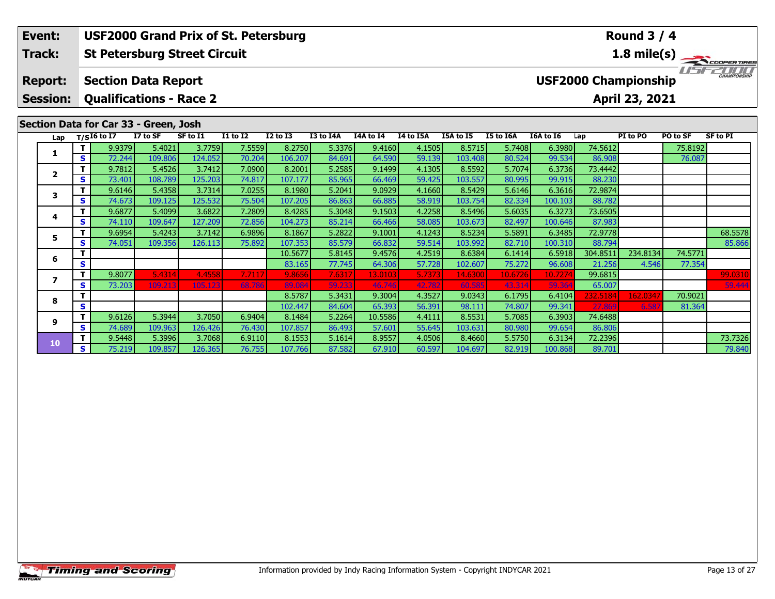#### **St Petersburg Street Circuit Section Data Report April 23, 2021 Event: USF2000 Grand Prix of St. Petersburg Track: Report: Session: Qualifications - Race 2 USF2000 Championship 1.8 mile(s) Round 3 / 4**

# **Section Data for Car 33 - Green, Josh**

| Lap |     | $T/SI6$ to I7 | I7 to SF | SF to I1 | <b>I1 to I2</b> | <b>I2 to I3</b> | I3 to I4A | I4A to I4 | I4 to I5A | I5A to I5 | I5 to I6A | I6A to I6 | Lap      | PI to PO | PO to SF | <b>SF to PI</b> |
|-----|-----|---------------|----------|----------|-----------------|-----------------|-----------|-----------|-----------|-----------|-----------|-----------|----------|----------|----------|-----------------|
|     | Τ.  | 9.9379        | 5.4021   | 3.7759   | 7.5559          | 8.2750          | 5.3376    | 9.4160    | 4.1505    | 8.5715    | 5.7408    | 6.3980    | 74.5612  |          | 75.8192  |                 |
|     | S.  | 72.244        | 109.806  | 124.052  | 70.204          | 106.207         | 84.691    | 64.590    | 59.139    | 103.408   | 80.524    | 99.534    | 86.908   |          | 76.087   |                 |
|     | т.  | 9.7812        | 5.4526   | 3.7412   | 7.0900          | 8.2001          | 5.2585    | 9.1499    | 4.1305    | 8.5592    | 5.7074    | 6.3736    | 73.4442  |          |          |                 |
|     | S.  | 73.401        | 108.789  | 125.203  | 74.817          | 107.177         | 85.965    | 66.469    | 59.425    | 103.557   | 80.995    | 99.915    | 88.230   |          |          |                 |
| 3   | Τ.  | 9.6146        | 5.4358   | 3.7314   | 7.0255          | 8.1980          | 5.2041    | 9.0929    | 4.1660    | 8.5429    | 5.6146    | 6.3616    | 72.9874  |          |          |                 |
|     | S.  | 74.673        | 109.125  | 125.532  | 75.504          | 107.205         | 86.863    | 66.885    | 58.919    | 103.754   | 82.334    | 100.103   | 88.782   |          |          |                 |
|     |     | 9.6877        | 5.4099   | 3.6822   | 7.2809          | 8.4285          | 5.3048    | 9.1503    | 4.2258    | 8.5496    | 5.6035    | 6.3273    | 73.6505  |          |          |                 |
| 4   | S.  | 74.110        | 109.647  | 127.209  | 72.856          | 104.273         | 85.214    | 66.466    | 58.085    | 103.673   | 82.497    | 100.646   | 87.983   |          |          |                 |
| 5.  |     | 9.6954        | 5.4243   | 3.7142   | 6.9896          | 8.1867          | 5.2822    | 9.1001    | 4.1243    | 8.5234    | 5.5891    | 6.3485    | 72.9778  |          |          | 68.5578         |
|     | S.  | 74.051        | 109.356  | 126.113  | 75.892          | 107.353         | 85.579    | 66.832    | 59.514    | 103.992   | 82.710    | 100.310   | 88.794   |          |          | 85.866          |
| 6   | т   |               |          |          |                 | 10.5677         | 5.8145    | 9.4576    | 4.2519    | 8.6384    | 6.1414    | 6.5918    | 304.8511 | 234.8134 | 74.5771  |                 |
|     | S.  |               |          |          |                 | 83.165          | 77.745    | 64.306    | 57.728    | 102.607   | 75.272    | 96.608    | 21.256   | 4.546    | 77.354   |                 |
|     | т.  | 9.8077        | 5.4314   | 4.4558   | 7.7117          | 9.8656          | 7.631     | 13.0103   | 5.7373    | 14.6300   | 10.6726   | 10.7274   | 99.6815  |          |          | 99.0310         |
|     | S.  | 73.203        | 109.213  | 105.123  | 68.786          | 89.084          | 59.233    | 46.746    | 42.782    | 60.585    | 43.314    | 59.364    | 65.007   |          |          | 59.444          |
| 8   | т   |               |          |          |                 | 8.5787          | 5.3431    | 9.3004    | 4.3527    | 9.0343    | 6.1795    | 6.4104    | 232.5184 | 162.0347 | 70.9021  |                 |
|     | S.  |               |          |          |                 | 102.447         | 84.604    | 65.393    | 56.391    | 98.111    | 74.807    | 99.341    | 27,869   | 6.587    | 81.364   |                 |
| 9   |     | 9.6126        | 5.3944   | 3.7050   | 6.9404          | 8.1484          | 5.2264    | 10.5586   | 4.4111    | 8.5531    | 5.7085    | 6.3903    | 74.6488  |          |          |                 |
|     | S.  | 74.689        | 109.963  | 126.426  | 76.430          | 107.857         | 86.493    | 57.601    | 55.645    | 103.631   | 80.980    | 99.654    | 86.806   |          |          |                 |
| 10  | Τ.  | 9.5448        | 5.3996   | 3.7068   | 6.9110          | 8.1553          | 5.1614    | 8.9557    | 4.0506    | 8.4660    | 5.5750    | 6.3134    | 72.2396  |          |          | 73.7326         |
|     | S l | 75.219        | 109.857  | 126.365  | 76.755          | 107.766         | 87.582    | 67.910    | 60.597    | 104.697   | 82.919    | 100.868   | 89.701   |          |          | 79.840          |

TE COOPERTIRES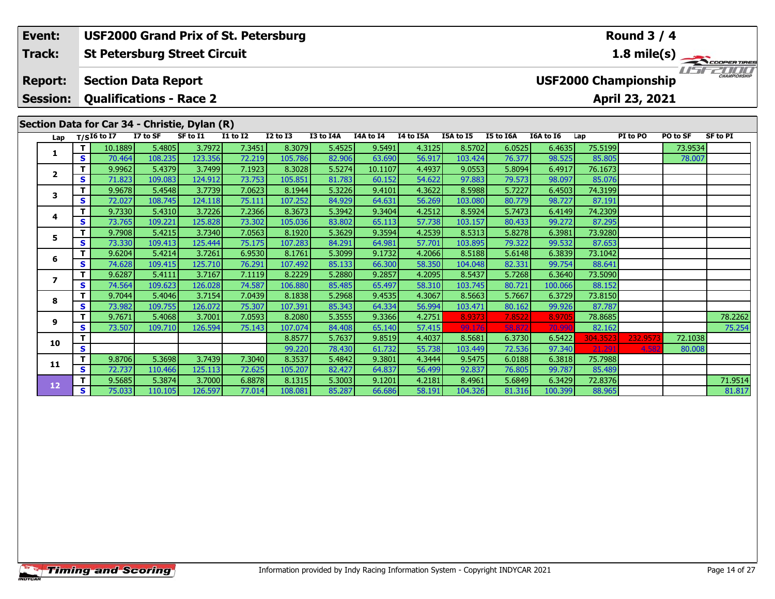| Event:          |   |                                                                                                                                                                  |          | <b>USF2000 Grand Prix of St. Petersburg</b>   |                 |                 |           |           |           |           |           |           |                             | <b>Round 3 / 4</b> |          |                     |
|-----------------|---|------------------------------------------------------------------------------------------------------------------------------------------------------------------|----------|-----------------------------------------------|-----------------|-----------------|-----------|-----------|-----------|-----------|-----------|-----------|-----------------------------|--------------------|----------|---------------------|
| Track:          |   |                                                                                                                                                                  |          | <b>St Petersburg Street Circuit</b>           |                 |                 |           |           |           |           |           |           |                             |                    |          | 1.8 mile(s)         |
| <b>Report:</b>  |   | <b>Section Data Report</b>                                                                                                                                       |          |                                               |                 |                 |           |           |           |           |           |           | <b>USF2000 Championship</b> |                    | $F = F$  | <b>CHAMPIONSHIP</b> |
| <b>Session:</b> |   |                                                                                                                                                                  |          | <b>Qualifications - Race 2</b>                |                 |                 |           |           |           |           |           |           |                             | April 23, 2021     |          |                     |
|                 |   |                                                                                                                                                                  |          | Section Data for Car 34 - Christie, Dylan (R) |                 |                 |           |           |           |           |           |           |                             |                    |          |                     |
| Lap             |   | $T/SI6$ to I7                                                                                                                                                    | I7 to SF | SF to I1                                      | <b>I1 to I2</b> | <b>I2 to I3</b> | I3 to I4A | I4A to I4 | I4 to I5A | I5A to I5 | I5 to I6A | I6A to I6 | Lap                         | PI to PO           | PO to SF | <b>SF to PI</b>     |
| 1               |   | 10.1889                                                                                                                                                          | 5.4805   | 3.7972                                        | 7.3451          | 8.3079          | 5.4525    | 9.5491    | 4.3125    | 8.5702    | 6.0525    | 6.4635    | 75.5199                     |                    | 73.9534  |                     |
|                 | S | 70.464                                                                                                                                                           | 108.235  | 123.356                                       | 72.219          | 105.786         | 82.906    | 63.690    | 56.917    | 103.424   | 76.377    | 98.525    | 85.805                      |                    | 78.007   |                     |
| $\mathbf{2}$    |   | 9.9962                                                                                                                                                           | 5.4379   | 3.7499                                        | 7.1923          | 8.3028          | 5.5274    | 10.1107   | 4.4937    | 9.0553    | 5.8094    | 6.4917    | 76.1673                     |                    |          |                     |
|                 | S | 71.823                                                                                                                                                           | 109.083  | 124.912                                       | 73.753          | 105.851         | 81.783    | 60.152    | 54.622    | 97.883    | 79.573    | 98.097    | 85.076                      |                    |          |                     |
| 3               |   | 9.9678                                                                                                                                                           | 5.4548   | 3.7739                                        | 7.0623          | 8.1944          | 5.3226    | 9.4101    | 4.3622    | 8.5988    | 5.7227    | 6.4503    | 74.3199                     |                    |          |                     |
|                 | S | 72.027                                                                                                                                                           | 108.745  | 124.118                                       | 75.111          | 107.252         | 84.929    | 64.631    | 56.269    | 103.080   | 80.779    | 98.727    | 87.191                      |                    |          |                     |
| 4               |   | 9.7330                                                                                                                                                           | 5.4310   | 3.7226                                        | 7.2366          | 8.3673          | 5.3942    | 9.3404    | 4.2512    | 8.5924    | 5.7473    | 6.4149    | 74.2309                     |                    |          |                     |
|                 | S | 73.765                                                                                                                                                           | 109.221  | 125.828                                       | 73.302          | 105.036         | 83.802    | 65.113    | 57.738    | 103.157   | 80.433    | 99.272    | 87.295                      |                    |          |                     |
|                 |   | 9.7908                                                                                                                                                           | 5.4215   | 3.7340                                        | 7.0563          | 8.1920          | 5.3629    | 9.3594    | 4.2539    | 8.5313    | 5.8278    | 6.3981    | 73.9280                     |                    |          |                     |
|                 | S |                                                                                                                                                                  |          | 125.444                                       | 75.175          | 107.283         | 84.291    | 64.981    | 57.701    | 103.895   | 79.322    | 99.532    | 87.653                      |                    |          |                     |
| 5<br>6          |   |                                                                                                                                                                  |          | 3.7261                                        | 6.9530          | 8.1761          | 5.3099    | 9.1732    | 4.2066    | 8.5188    | 5.6148    | 6.3839    | 73.1042                     |                    |          |                     |
|                 | S |                                                                                                                                                                  |          | 125.710                                       | 76.291          | 107.492         | 85.133    | 66.300    | 58.350    | 104.048   | 82.331    | 99.754    | 88.641                      |                    |          |                     |
| $\overline{ }$  | т |                                                                                                                                                                  |          | 3.7167                                        | 7.1119          | 8.2229          | 5.2880    | 9.2857    | 4.2095    | 8.5437    | 5.7268    | 6.3640    | 73.5090                     |                    |          |                     |
|                 | S |                                                                                                                                                                  |          | 126.028                                       | 74.587          | 106.880         | 85.485    | 65.497    | 58.310    | 103.745   | 80.721    | 100.066   | 88.152                      |                    |          |                     |
| 8               |   |                                                                                                                                                                  |          | 3.7154                                        | 7.0439          | 8.1838          | 5.2968    | 9.4535    | 4.3067    | 8.5663    | 5.7667    | 6.3729    | 73.8150                     |                    |          |                     |
|                 | S | 73.330<br>109.413<br>9.6204<br>5.4214<br>109.415<br>74.628<br>9.6287<br>5.4111<br>109.623<br>74.564<br>9.7044<br>5.4046<br>73.982<br>109.755<br>5.4068<br>9.7671 | 126.072  | 75.307                                        | 107.391         | 85.343          | 64.334    | 56.994    | 103.471   | 80.162    | 99.926    | 87.787    |                             |                    |          |                     |
| 9               |   |                                                                                                                                                                  |          | 3.7001                                        | 7.0593          | 8.2080          | 5.3555    | 9.3366    | 4.2751    | 8.9373    | 7.8522    | 8.970     | 78.8685                     |                    |          | 78.2262             |
|                 | S | 73.507                                                                                                                                                           | 109.710  | 126.594                                       | 75.143          | 107.074         | 84.408    | 65.140    | 57.415    | 99.176    | 58.872    | 70.99     | 82.162                      |                    |          | 75.254              |

**<sup>T</sup>** 8.8577 5.7637 9.8519 4.4037 8.5681 6.3730 6.5422 304.3523 232.9573 72.1038 **<sup>S</sup>** 99.220 78.430 61.732 55.738 103.449 72.536 97.340 21.291 4.582 80.008

**<sup>T</sup>** 9.5685 5.3874 3.7000 6.8878 8.1315 5.3003 9.1201 4.2181 8.4961 5.6849 6.3429 72.8376 71.9514 **<sup>S</sup>** 75.033 110.105 126.597 77.014 108.081 85.287 66.686 58.191 104.326 81.316 100.399 88.965 81.817

**<sup>T</sup>** 9.8706 5.3698 3.7439 7.3040 8.3537 5.4842 9.3801 4.3444 9.5475 6.0188 6.3818 75.7988 **<sup>S</sup>** 72.737 110.466 125.113 72.625 105.207 82.427 64.837 56.499 92.837 76.805 99.787 85.489

**10**

**11**

**12**

81.817

80.008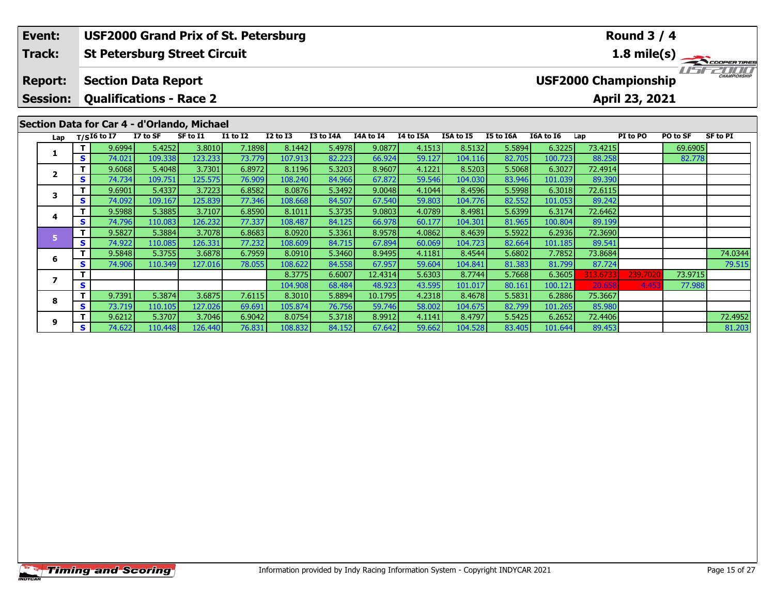| Event:          |          |                                |          | <b>USF2000 Grand Prix of St. Petersburg</b> |                 |              |           |           |           |           |           |           |         | <b>Round 3 / 4</b>          |          |                     |
|-----------------|----------|--------------------------------|----------|---------------------------------------------|-----------------|--------------|-----------|-----------|-----------|-----------|-----------|-----------|---------|-----------------------------|----------|---------------------|
| <b>Track:</b>   |          |                                |          | <b>St Petersburg Street Circuit</b>         |                 |              |           |           |           |           |           |           |         | 1.8 mile(s)                 |          | COOPER TIRES        |
| <b>Report:</b>  |          | <b>Section Data Report</b>     |          |                                             |                 |              |           |           |           |           |           |           |         | <b>USF2000 Championship</b> |          | <b>CHAMPIONSHIP</b> |
| <b>Session:</b> |          | <b>Qualifications - Race 2</b> |          |                                             |                 |              |           |           |           |           |           |           |         | April 23, 2021              |          |                     |
|                 |          |                                |          | Section Data for Car 4 - d'Orlando, Michael |                 |              |           |           |           |           |           |           |         |                             |          |                     |
| Lap             |          | $T/SI6$ to I7                  | I7 to SF | SF to I1                                    | <b>I1 to I2</b> | $I2$ to $I3$ | I3 to I4A | I4A to I4 | I4 to I5A | I5A to I5 | I5 to I6A | I6A to I6 | Lap     | PI to PO                    | PO to SF | SF to PI            |
|                 |          | 9.6994                         | 5.4252   | 3.8010                                      | 7.1898          | 8.1442       | 5.4978    | 9.0877    | 4.1513    | 8.5132    | 5.5894    | 6.3225    | 73.4215 |                             | 69.6905  |                     |
|                 | <b>S</b> | 74.021                         | 109.338  | 123.233                                     | 73.779          | 107.913      | 82.223    | 66.924    | 59.127    | 104.116   | 82.705    | 100.723   | 88.258  |                             | 82.778   |                     |
|                 |          | 9.6068                         | 5.4048   | 3.7301                                      | 6.8972          | 8.1196       | 5.3203    | 8.9607    | 4.1221    | 8.5203    | 5.5068    | 6.3027    | 72.4914 |                             |          |                     |
|                 | <b>S</b> | 74.734                         | 109.751  | 125.575                                     | 76.909          | 108.240      | 84.966    | 67.872    | 59.546    | 104.030   | 83.946    | 101.039   | 89.390  |                             |          |                     |

**<sup>T</sup>** 9.5848 5.3755 3.6878 6.7959 8.0910 5.3460 8.9495 4.1181 8.4544 5.6802 7.7852 73.8684 74.0344 **<sup>S</sup>** 74.906 110.349 127.016 78.055 108.622 84.558 67.957 59.604 104.841 81.383 81.799 87.724 79.515

**<sup>T</sup>** 9.6212 5.3707 3.7046 6.9042 8.0754 5.3718 8.9912 4.1141 8.4797 5.5425 6.2652 72.4406 72.4952 **<sup>S</sup>** 74.622 110.448 126.440 76.831 108.832 84.152 67.642 59.662 104.528 83.405 101.644 89.453 81.203

**<sup>T</sup>** 8.3775 6.6007 12.4314 5.6303 8.7744 5.7668 6.3605 313.6733 239.7020 73.9715 **<sup>S</sup>** 104.908 68.484 48.923 43.595 101.017 80.161 100.121 20.658 4.453 77.988

**<sup>T</sup>** 9.6901 5.4337 3.7223 6.8582 8.0876 5.3492 9.0048 4.1044 8.4596 5.5998 6.3018 72.6115 **<sup>S</sup>** 74.092 109.167 125.839 77.346 108.668 84.507 67.540 59.803 104.776 82.552 101.053 89.242

**<sup>T</sup>** 9.5988 5.3885 3.7107 6.8590 8.1011 5.3735 9.0803 4.0789 8.4981 5.6399 6.3174 72.6462 **<sup>S</sup>** 74.796 110.083 126.232 77.337 108.487 84.125 66.978 60.177 104.301 81.965 100.804 89.199

**<sup>T</sup>** 9.5827 5.3884 3.7078 6.8683 8.0920 5.3361 8.9578 4.0862 8.4639 5.5922 6.2936 72.3690 **<sup>S</sup>** 74.922 110.085 126.331 77.232 108.609 84.715 67.894 60.069 104.723 82.664 101.185 89.541

**<sup>T</sup>** 9.7391 5.3874 3.6875 7.6115 8.3010 5.8894 10.1795 4.2318 8.4678 5.5831 6.2886 75.3667 **<sup>S</sup>** 73.719 110.105 127.026 69.691 105.874 76.756 59.746 58.002 104.675 82.799 101.265 85.980

**3**

**4**

**5**

**6**

**7**

**8**

**9**

81.203

77.988

89.199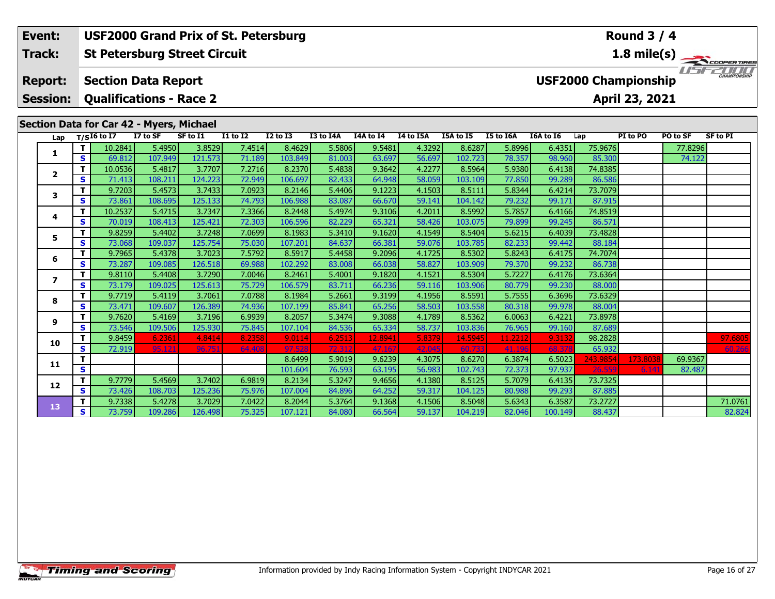#### **Event: USF2000 Grand Prix of St. Petersburg Round 3 / 4St Petersburg Street Circuit 1.8 mile(s) Track:** TEST EDITO **Report: Section Data Report USF2000 Championship Qualifications - Race 2 Session:April 23, 2021**

# **Section Data for Car 42 - Myers, Michael**

| Lap                     |   | T/SI6 to $\overline{I7}$ | I7 to SF | SF to I1 | <b>I1 to I2</b> | <b>I2 to I3</b> | I3 to I4A | I4A to I4 | I4 to I5A | I5A to I5 | I5 to I6A | I6A to I6 | Lap      | PI to PO | PO to SF | <b>SF to PI</b> |
|-------------------------|---|--------------------------|----------|----------|-----------------|-----------------|-----------|-----------|-----------|-----------|-----------|-----------|----------|----------|----------|-----------------|
|                         |   | 10.2841                  | 5.4950   | 3.8529   | 7.4514          | 8.4629          | 5.5806    | 9.5481    | 4.3292    | 8.6287    | 5.8996    | 6.4351    | 75.9676  |          | 77.8296  |                 |
| 1                       | s | 69.812                   | 107.949  | 121.573  | 71.189          | 103.849         | 81.003    | 63.697    | 56.697    | 102.723   | 78.357    | 98.960    | 85.300   |          | 74.122   |                 |
| $\overline{\mathbf{2}}$ | т | 10.0536                  | 5.4817   | 3.7707   | 7.2716          | 8.2370          | 5.4838    | 9.3642    | 4.2277    | 8.5964    | 5.9380    | 6.4138    | 74.8385  |          |          |                 |
|                         | S | 71.413                   | 108.211  | 124.223  | 72.949          | 106.697         | 82.433    | 64.948    | 58.059    | 103.109   | 77.850    | 99.289    | 86.586   |          |          |                 |
| 3                       | Т | 9.7203                   | 5.4573   | 3.7433   | 7.0923          | 8.2146          | 5.4406    | 9.1223    | 4.1503    | 8.5111    | 5.8344    | 6.4214    | 73.7079  |          |          |                 |
|                         | S | 73.861                   | 108.695  | 125.133  | 74.793          | 106.988         | 83.087    | 66.670    | 59.141    | 104.142   | 79.232    | 99.171    | 87.915   |          |          |                 |
| 4                       | т | 10.2537                  | 5.4715   | 3.7347   | 7.3366          | 8.2448          | 5.4974    | 9.3106    | 4.2011    | 8.5992    | 5.7857    | 6.4166    | 74.8519  |          |          |                 |
|                         | S | 70.019                   | 108.413  | 125.421  | 72.303          | 106.596         | 82.229    | 65.321    | 58.426    | 103.075   | 79.899    | 99.245    | 86.571   |          |          |                 |
| 5                       | т | 9.8259                   | 5.4402   | 3.7248   | 7.0699          | 8.1983          | 5.3410    | 9.1620    | 4.1549    | 8.5404    | 5.6215    | 6.4039    | 73.4828  |          |          |                 |
|                         | S | 73.068                   | 109.037  | 125.754  | 75.030          | 107.201         | 84.637    | 66.381    | 59.076    | 103.785   | 82.233    | 99.442    | 88.184   |          |          |                 |
| 6                       | т | 9.7965                   | 5.4378   | 3.7023   | 7.5792          | 8.5917          | 5.4458    | 9.2096    | 4.1725    | 8.5302    | 5.8243    | 6.4175    | 74.7074  |          |          |                 |
|                         | S | 73.287                   | 109.085  | 126.518  | 69.988          | 102.292         | 83.008    | 66.038    | 58.827    | 103.909   | 79.370    | 99.232    | 86.738   |          |          |                 |
| 7                       | т | 9.8110                   | 5.4408   | 3.7290   | 7.0046          | 8.2461          | 5.4001    | 9.1820    | 4.1521    | 8.5304    | 5.7227    | 6.4176    | 73.6364  |          |          |                 |
|                         | S | 73.179                   | 109.025  | 125.613  | 75.729          | 106.579         | 83.711    | 66.236    | 59.116    | 103.906   | 80.779    | 99.230    | 88.000   |          |          |                 |
| 8                       | T | 9.7719                   | 5.4119   | 3.7061   | 7.0788          | 8.1984          | 5.2661    | 9.3199    | 4.1956    | 8.5591    | 5.7555    | 6.3696    | 73.6329  |          |          |                 |
|                         | S | 73.471                   | 109.607  | 126.389  | 74.936          | 107.199         | 85.841    | 65.256    | 58.503    | 103.558   | 80.318    | 99.978    | 88.004   |          |          |                 |
| 9                       | Т | 9.7620                   | 5.4169   | 3.7196   | 6.9939          | 8.2057          | 5.3474    | 9.3088    | 4.1789    | 8.5362    | 6.0063    | 6.4221    | 73.8978  |          |          |                 |
|                         | S | 73.546                   | 109.506  | 125.930  | 75.845          | 107.104         | 84.536    | 65.334    | 58.737    | 103.836   | 76.965    | 99.160    | 87.689   |          |          |                 |
| 10                      | T | 9.8459                   | 6.2361   | 4.8414   | 8.2358          | 9.0114          | 6.2513    | 12.8941   | 5.8379    | 14.5945   | 11.2212   | 9.3132    | 98.2828  |          |          | 97.6805         |
|                         | S | 72.919                   | 95.121   | 96.751   | 64.408          | 97.528          | 72.312    | 47.167    | 42.045    | 60.733    | 41.196    | 68.378    | 65.932   |          |          | 60.266          |
| 11                      | т |                          |          |          |                 | 8.6499          | 5.9019    | 9.6239    | 4.3075    | 8.6270    | 6.3874    | 6.5023    | 243.9854 | 173.8038 | 69.9367  |                 |
|                         | S |                          |          |          |                 | 101.604         | 76.593    | 63.195    | 56.983    | 102.743   | 72.373    | 97.937    | 26.559   | 6.14     | 82.487   |                 |
| 12                      | т | 9.7779                   | 5.4569   | 3.7402   | 6.9819          | 8.2134          | 5.3247    | 9.4656    | 4.1380    | 8.5125    | 5.7079    | 6.4135    | 73.7325  |          |          |                 |
|                         | S | 73.426                   | 108.703  | 125.236  | 75.976          | 107.004         | 84.896    | 64.252    | 59.317    | 104.125   | 80.988    | 99.293    | 87.885   |          |          |                 |
| 13                      | Т | 9.7338                   | 5.4278   | 3.7029   | 7.0422          | 8.2044          | 5.3764    | 9.1368    | 4.1506    | 8.5048    | 5.6343    | 6.3587    | 73.2727  |          |          | 71.0761         |
|                         | S | 73.759                   | 109.286  | 126.498  | 75.325          | 107.121         | 84.080    | 66.564    | 59.137    | 104.219   | 82.046    | 100.149   | 88.437   |          |          | 82.824          |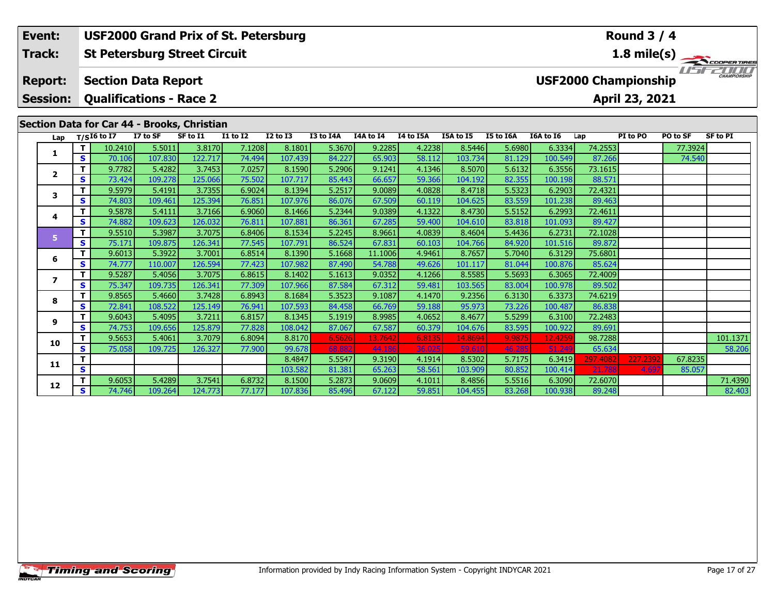#### **Event: USF2000 Grand Prix of St. Petersburg Round 3 / 4St Petersburg Street Circuit 1.8 mile(s) Track:** THE COOPERTIRES **Section Data Report Report: USF2000 Championship Qualifications - Race 2 Session:April 23, 2021 Section Data for Car 44 - Brooks, Christian**

| $T/SI6$ to I7 |                                                                                                                                          | SF to I1                                                                                                                              | I1 to I2                                                                                                                   | <b>I2 to I3</b>                                                                                                                                                         | I3 to I4A                                                                                                         | I4A to I4                                                                                                                                                                        | I4 to I5A                                                                                                                                                                                             | I5A to I5                                                                                                             | I5 to I6A                                                                                                                                                                                            | I6A to I6                                                                                                                                                                                                                                               | Lap                                                                                                                                                                                                                                                                                                                                                                | PI to PO                                                                                  | PO to SF                                                                                                                                | <b>SF to PI</b>   |
|---------------|------------------------------------------------------------------------------------------------------------------------------------------|---------------------------------------------------------------------------------------------------------------------------------------|----------------------------------------------------------------------------------------------------------------------------|-------------------------------------------------------------------------------------------------------------------------------------------------------------------------|-------------------------------------------------------------------------------------------------------------------|----------------------------------------------------------------------------------------------------------------------------------------------------------------------------------|-------------------------------------------------------------------------------------------------------------------------------------------------------------------------------------------------------|-----------------------------------------------------------------------------------------------------------------------|------------------------------------------------------------------------------------------------------------------------------------------------------------------------------------------------------|---------------------------------------------------------------------------------------------------------------------------------------------------------------------------------------------------------------------------------------------------------|--------------------------------------------------------------------------------------------------------------------------------------------------------------------------------------------------------------------------------------------------------------------------------------------------------------------------------------------------------------------|-------------------------------------------------------------------------------------------|-----------------------------------------------------------------------------------------------------------------------------------------|-------------------|
| 10.2410       | 5.5011                                                                                                                                   | 3.8170                                                                                                                                | 7.1208                                                                                                                     | 8.1801                                                                                                                                                                  | 5.3670                                                                                                            | 9.2285                                                                                                                                                                           | 4.2238                                                                                                                                                                                                | 8.5446                                                                                                                | 5.6980                                                                                                                                                                                               | 6.3334                                                                                                                                                                                                                                                  | 74.2553                                                                                                                                                                                                                                                                                                                                                            |                                                                                           | 77.3924                                                                                                                                 |                   |
| 70.106        | 107.830                                                                                                                                  | 122.717                                                                                                                               | 74.494                                                                                                                     | 107.439                                                                                                                                                                 | 84.227                                                                                                            |                                                                                                                                                                                  |                                                                                                                                                                                                       |                                                                                                                       |                                                                                                                                                                                                      | 100.549                                                                                                                                                                                                                                                 |                                                                                                                                                                                                                                                                                                                                                                    |                                                                                           | 74.540                                                                                                                                  |                   |
| 9.7782        | 5.4282                                                                                                                                   | 3.7453                                                                                                                                | 7.0257                                                                                                                     | 8.1590                                                                                                                                                                  |                                                                                                                   |                                                                                                                                                                                  |                                                                                                                                                                                                       |                                                                                                                       |                                                                                                                                                                                                      | 6.3556                                                                                                                                                                                                                                                  |                                                                                                                                                                                                                                                                                                                                                                    |                                                                                           |                                                                                                                                         |                   |
| 73.424        | 109.278                                                                                                                                  | 125.066                                                                                                                               | 75.502                                                                                                                     | 107.717                                                                                                                                                                 | 85.443                                                                                                            | 66.657                                                                                                                                                                           |                                                                                                                                                                                                       |                                                                                                                       | 82.355                                                                                                                                                                                               | 100.198                                                                                                                                                                                                                                                 | 88.571                                                                                                                                                                                                                                                                                                                                                             |                                                                                           |                                                                                                                                         |                   |
| 9.5979        | 5.4191                                                                                                                                   | 3.7355                                                                                                                                | 6.9024                                                                                                                     | 8.1394                                                                                                                                                                  | 5.2517                                                                                                            |                                                                                                                                                                                  |                                                                                                                                                                                                       |                                                                                                                       |                                                                                                                                                                                                      | 6.2903                                                                                                                                                                                                                                                  |                                                                                                                                                                                                                                                                                                                                                                    |                                                                                           |                                                                                                                                         |                   |
| 74.803        | 109.461                                                                                                                                  | 125.394                                                                                                                               | 76.851                                                                                                                     | 107.976                                                                                                                                                                 |                                                                                                                   |                                                                                                                                                                                  |                                                                                                                                                                                                       |                                                                                                                       |                                                                                                                                                                                                      | 101.238                                                                                                                                                                                                                                                 | 89.463                                                                                                                                                                                                                                                                                                                                                             |                                                                                           |                                                                                                                                         |                   |
| 9.5878        | 5.4111                                                                                                                                   | 3.7166                                                                                                                                | 6.9060                                                                                                                     | 8.1466                                                                                                                                                                  | 5.2344                                                                                                            |                                                                                                                                                                                  |                                                                                                                                                                                                       |                                                                                                                       |                                                                                                                                                                                                      | 6.2993                                                                                                                                                                                                                                                  |                                                                                                                                                                                                                                                                                                                                                                    |                                                                                           |                                                                                                                                         |                   |
| 74.882        | 109.623                                                                                                                                  | 126.032                                                                                                                               | 76.811                                                                                                                     | 107.881                                                                                                                                                                 | 86.361                                                                                                            |                                                                                                                                                                                  |                                                                                                                                                                                                       |                                                                                                                       |                                                                                                                                                                                                      | 101.093                                                                                                                                                                                                                                                 | 89.427                                                                                                                                                                                                                                                                                                                                                             |                                                                                           |                                                                                                                                         |                   |
|               |                                                                                                                                          |                                                                                                                                       |                                                                                                                            |                                                                                                                                                                         |                                                                                                                   |                                                                                                                                                                                  |                                                                                                                                                                                                       |                                                                                                                       |                                                                                                                                                                                                      |                                                                                                                                                                                                                                                         |                                                                                                                                                                                                                                                                                                                                                                    |                                                                                           |                                                                                                                                         |                   |
|               |                                                                                                                                          |                                                                                                                                       |                                                                                                                            |                                                                                                                                                                         |                                                                                                                   |                                                                                                                                                                                  |                                                                                                                                                                                                       |                                                                                                                       |                                                                                                                                                                                                      |                                                                                                                                                                                                                                                         |                                                                                                                                                                                                                                                                                                                                                                    |                                                                                           |                                                                                                                                         |                   |
|               |                                                                                                                                          |                                                                                                                                       |                                                                                                                            |                                                                                                                                                                         |                                                                                                                   |                                                                                                                                                                                  |                                                                                                                                                                                                       |                                                                                                                       |                                                                                                                                                                                                      |                                                                                                                                                                                                                                                         |                                                                                                                                                                                                                                                                                                                                                                    |                                                                                           |                                                                                                                                         |                   |
|               |                                                                                                                                          |                                                                                                                                       |                                                                                                                            |                                                                                                                                                                         |                                                                                                                   |                                                                                                                                                                                  |                                                                                                                                                                                                       |                                                                                                                       |                                                                                                                                                                                                      |                                                                                                                                                                                                                                                         |                                                                                                                                                                                                                                                                                                                                                                    |                                                                                           |                                                                                                                                         |                   |
|               |                                                                                                                                          |                                                                                                                                       |                                                                                                                            |                                                                                                                                                                         |                                                                                                                   |                                                                                                                                                                                  |                                                                                                                                                                                                       |                                                                                                                       |                                                                                                                                                                                                      |                                                                                                                                                                                                                                                         |                                                                                                                                                                                                                                                                                                                                                                    |                                                                                           |                                                                                                                                         |                   |
|               |                                                                                                                                          |                                                                                                                                       |                                                                                                                            |                                                                                                                                                                         |                                                                                                                   |                                                                                                                                                                                  |                                                                                                                                                                                                       |                                                                                                                       |                                                                                                                                                                                                      |                                                                                                                                                                                                                                                         |                                                                                                                                                                                                                                                                                                                                                                    |                                                                                           |                                                                                                                                         |                   |
|               |                                                                                                                                          |                                                                                                                                       |                                                                                                                            |                                                                                                                                                                         |                                                                                                                   |                                                                                                                                                                                  |                                                                                                                                                                                                       |                                                                                                                       |                                                                                                                                                                                                      |                                                                                                                                                                                                                                                         |                                                                                                                                                                                                                                                                                                                                                                    |                                                                                           |                                                                                                                                         |                   |
|               |                                                                                                                                          |                                                                                                                                       |                                                                                                                            |                                                                                                                                                                         |                                                                                                                   |                                                                                                                                                                                  |                                                                                                                                                                                                       |                                                                                                                       |                                                                                                                                                                                                      |                                                                                                                                                                                                                                                         |                                                                                                                                                                                                                                                                                                                                                                    |                                                                                           |                                                                                                                                         |                   |
|               |                                                                                                                                          |                                                                                                                                       |                                                                                                                            |                                                                                                                                                                         |                                                                                                                   |                                                                                                                                                                                  |                                                                                                                                                                                                       |                                                                                                                       |                                                                                                                                                                                                      |                                                                                                                                                                                                                                                         |                                                                                                                                                                                                                                                                                                                                                                    |                                                                                           |                                                                                                                                         |                   |
|               |                                                                                                                                          |                                                                                                                                       |                                                                                                                            |                                                                                                                                                                         |                                                                                                                   |                                                                                                                                                                                  |                                                                                                                                                                                                       |                                                                                                                       |                                                                                                                                                                                                      |                                                                                                                                                                                                                                                         |                                                                                                                                                                                                                                                                                                                                                                    |                                                                                           |                                                                                                                                         | 101.1371          |
|               |                                                                                                                                          |                                                                                                                                       |                                                                                                                            |                                                                                                                                                                         |                                                                                                                   |                                                                                                                                                                                  |                                                                                                                                                                                                       |                                                                                                                       |                                                                                                                                                                                                      |                                                                                                                                                                                                                                                         |                                                                                                                                                                                                                                                                                                                                                                    |                                                                                           |                                                                                                                                         | 58.206            |
|               |                                                                                                                                          |                                                                                                                                       |                                                                                                                            |                                                                                                                                                                         |                                                                                                                   |                                                                                                                                                                                  |                                                                                                                                                                                                       |                                                                                                                       |                                                                                                                                                                                                      |                                                                                                                                                                                                                                                         |                                                                                                                                                                                                                                                                                                                                                                    |                                                                                           |                                                                                                                                         |                   |
|               |                                                                                                                                          |                                                                                                                                       |                                                                                                                            |                                                                                                                                                                         |                                                                                                                   |                                                                                                                                                                                  |                                                                                                                                                                                                       |                                                                                                                       |                                                                                                                                                                                                      |                                                                                                                                                                                                                                                         |                                                                                                                                                                                                                                                                                                                                                                    |                                                                                           |                                                                                                                                         |                   |
|               |                                                                                                                                          |                                                                                                                                       |                                                                                                                            |                                                                                                                                                                         |                                                                                                                   |                                                                                                                                                                                  |                                                                                                                                                                                                       |                                                                                                                       |                                                                                                                                                                                                      |                                                                                                                                                                                                                                                         |                                                                                                                                                                                                                                                                                                                                                                    |                                                                                           |                                                                                                                                         | 71.4390           |
|               |                                                                                                                                          |                                                                                                                                       |                                                                                                                            |                                                                                                                                                                         |                                                                                                                   |                                                                                                                                                                                  |                                                                                                                                                                                                       |                                                                                                                       |                                                                                                                                                                                                      |                                                                                                                                                                                                                                                         |                                                                                                                                                                                                                                                                                                                                                                    |                                                                                           |                                                                                                                                         | 82.403            |
|               | 9.5510<br>75.171<br>9.6013<br>74.777<br>9.5287<br>75.347<br>9.8565<br>72.841<br>9.6043<br>74.753<br>9.5653<br>75.058<br>9.6053<br>74.746 | 5.3987<br>109.875<br>5.3922<br>110.007<br>5.4056<br>109.735<br>5.4660<br>108.522<br>5.4095<br>109.656<br>5.4061<br>109.725<br>109.264 | 3.7075<br>126.341<br>3.7001<br>126.594<br>3.7075<br>126.341<br>3.7211<br>125.879<br>126.327<br>5.4289<br>3.7541<br>124.773 | 6.8406<br>77.545<br>6.8514<br>77.423<br>6.8615<br>77.309<br>3.7428<br>6.8943<br>76.941<br>125.149<br>6.8157<br>77.828<br>6.8094<br>3.7079<br>77.900<br>6.8732<br>77.177 | 8.1534<br>107.791<br>107.982<br>8.1402<br>107.966<br>8.1684<br>107.593<br>108.042<br>8.4847<br>103.582<br>107.836 | 86.524<br>8.1390<br>5.1668<br>87.490<br>5.1613<br>87.584<br>5.3523<br>8.1345<br>87.067<br>8.8170<br>6.5626<br>99.678<br>68.882<br>5.5547<br>81.381<br>8.1500<br>5.2873<br>85.496 | 65.903<br>5.2906<br>9.1241<br>86.076<br>67.285<br>8.9661<br>5.2245<br>67.831<br>54.788<br>9.0352<br>67.312<br>9.1087<br>84.458<br>66.769<br>5.1919<br>67.587<br>13.7642<br>44.186<br>65.263<br>67.122 | 9.0089<br>67.509<br>9.0389<br>4.9461<br>11.1006<br>59.481<br>8.9985<br>36.025<br>9.3190<br>58.561<br>9.0609<br>4.1011 | 58.112<br>4.1346<br>59.366<br>4.0828<br>60.119<br>4.1322<br>59.400<br>4.0839<br>60.103<br>49.626<br>4.1266<br>4.1470<br>59.188<br>4.0652<br>8.4677<br>60.379<br>6.8135<br>59.610<br>4.1914<br>59.851 | 103.734<br>8.5070<br>104.192<br>8.4718<br>104.625<br>8.4730<br>104.610<br>8.4604<br>104.766<br>84.920<br>8.7657<br>101.117<br>8.5585<br>103.565<br>9.2356<br>95.973<br>104.676<br>14.8694<br>9.9875<br>8.5302<br>103.909<br>80.852<br>8.4856<br>104.455 | 81.129<br>5.6132<br>5.5323<br>83.559<br>5.5152<br>83.818<br>6.2731<br>5.4436<br>101.516<br>6.3129<br>5.7040<br>100.876<br>81.044<br>5.5693<br>6.3065<br>83.004<br>100.978<br>6.3130<br>6.3373<br>73.226<br>100.487<br>5.5299<br>6.3100<br>83.595<br>100.922<br>12.4259<br>46.285<br>51.249<br>5.7175<br>6.3419<br>100.414<br>6.3090<br>5.5516<br>100.938<br>83.268 | 89.872<br>75.6801<br>85.624<br>89.502<br>86.838<br>89.691<br>65.634<br>297.4082<br>21.788 | 87.266<br>73.1615<br>72.4321<br>72.4611<br>72.1028<br>72.4009<br>74.6219<br>72.2483<br>98.7288<br>227.2392<br>4.69<br>72.6070<br>89.248 | 67.8235<br>85.057 |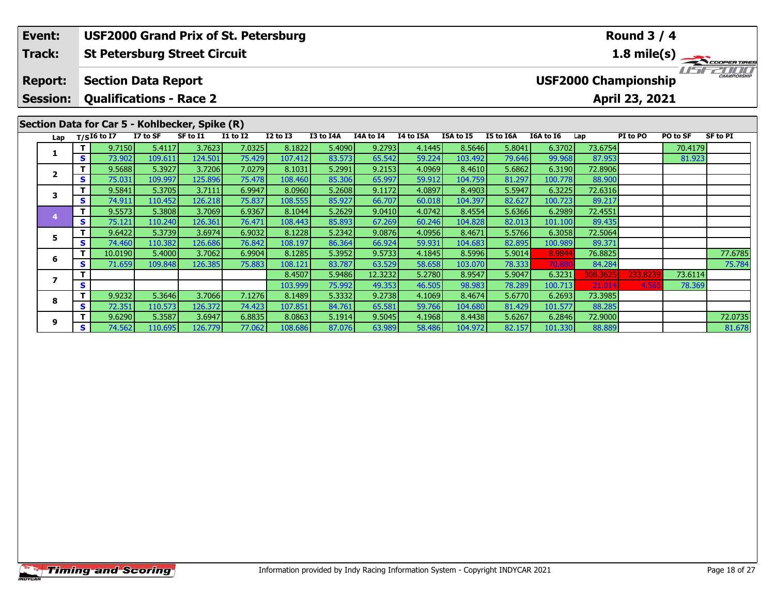|  | Event:                  | <b>USF2000 Grand Prix of St. Petersburg</b><br><b>St Petersburg Street Circuit</b> |                                                                 |          |          |                 |                 |           |           |           |           |           |           |          | <b>Round 3 / 4</b>          |          |              |
|--|-------------------------|------------------------------------------------------------------------------------|-----------------------------------------------------------------|----------|----------|-----------------|-----------------|-----------|-----------|-----------|-----------|-----------|-----------|----------|-----------------------------|----------|--------------|
|  | Track:                  |                                                                                    |                                                                 |          |          |                 |                 |           |           |           |           |           |           |          |                             |          | 1.8 mile(s)  |
|  | <b>Report:</b>          |                                                                                    | <b>Section Data Report</b>                                      |          |          |                 |                 |           |           |           |           |           |           |          | <b>USF2000 Championship</b> |          | CHAMPIONSHIP |
|  | <b>Session:</b>         |                                                                                    | <b>Qualifications - Race 2</b>                                  |          |          |                 |                 |           |           |           |           |           |           |          | April 23, 2021              |          |              |
|  | Lap                     |                                                                                    | Section Data for Car 5 - Kohlbecker, Spike (R)<br>$T/SI6$ to I7 | I7 to SF | SF to I1 | <b>I1 to I2</b> | <b>I2 to I3</b> | I3 to I4A | I4A to I4 | I4 to I5A | I5A to I5 | I5 to I6A | I6A to I6 | Lap      | PI to PO                    | PO to SF | SF to PI     |
|  |                         |                                                                                    | 9.7150                                                          | 5.4117   | 3.7623   | 7.0325          | 8.1822          | 5.4090    | 9.2793    | 4.1445    | 8.5646    | 5.8041    | 6.3702    | 73.6754  |                             | 70.4179  |              |
|  |                         | S                                                                                  | 73.902                                                          | 109.611  | 124.501  | 75.429          | 107.412         | 83.573    | 65.542    | 59.224    | 103.492   | 79.646    | 99.968    | 87.953   |                             | 81.923   |              |
|  | $\mathbf{2}$<br>3<br>5. |                                                                                    | 9.5688                                                          | 5.3927   | 3.7206   | 7.0279          | 8.1031          | 5.2991    | 9.2153    | 4.0969    | 8.4610    | 5.6862    | 6.3190    | 72.8906  |                             |          |              |
|  |                         | S.                                                                                 | 75.031                                                          | 109.997  | 125.896  | 75.478          | 108.460         | 85.306    | 65.997    | 59.912    | 104.759   | 81.297    | 100.778   | 88.900   |                             |          |              |
|  |                         |                                                                                    | 9.5841                                                          | 5.3705   | 3.7111   | 6.9947          | 8.0960          | 5.2608    | 9.1172    | 4.0897    | 8.4903    | 5.5947    | 6.3225    | 72.6316  |                             |          |              |
|  |                         | S.                                                                                 | 74.911                                                          | 110.452  | 126.218  | 75.837          | 108.555         | 85.927    | 66.707    | 60.018    | 104.397   | 82.627    | 100.723   | 89.217   |                             |          |              |
|  |                         | т                                                                                  | 9.5573                                                          | 5.3808   | 3.7069   | 6.9367          | 8.1044          | 5.2629    | 9.0410    | 4.0742    | 8.4554    | 5.6366    | 6.2989    | 72.4551  |                             |          |              |
|  |                         | S.                                                                                 | 75.121                                                          | 110.240  | 126.361  | 76.471          | 108.443         | 85.893    | 67.269    | 60.246    | 104.828   | 82.013    | 101.100   | 89.435   |                             |          |              |
|  |                         |                                                                                    | 9.6422                                                          | 5.3739   | 3.6974   | 6.9032          | 8.1228          | 5.2342    | 9.0876    | 4.0956    | 8.4671    | 5.5766    | 6.3058    | 72.5064  |                             |          |              |
|  |                         | S.                                                                                 | 74.460                                                          | 110.382  | 126.686  | 76.842          | 108.197         | 86.364    | 66.924    | 59.931    | 104.683   | 82.895    | 100.989   | 89.371   |                             |          |              |
|  | 6                       |                                                                                    | 10.0190                                                         | 5.4000   | 3.7062   | 6.9904          | 8.1285          | 5.3952    | 9.5733    | 4.1845    | 8.5996    | 5.9014    | 8.9844    | 76.8825  |                             |          | 77.6785      |
|  |                         | S.                                                                                 | 71.659                                                          | 109.848  | 126.385  | 75.883          | 108.121         | 83.787    | 63.529    | 58.658    | 103.070   | 78.333    | 70.88     | 84.284   |                             |          | 75.784       |
|  |                         |                                                                                    |                                                                 |          |          |                 | 8.4507          | 5.9486    | 12.3232   | 5.2780    | 8.9547    | 5.9047    | 6.3231    | 308.3625 | 233.8239                    | 73.6114  |              |
|  |                         | s.                                                                                 |                                                                 |          |          |                 | 103.999         | 75.992    | 49.353    | 46.505    | 98.983    | 78.289    | 100.713   | 21.014   | 4.565                       | 78.369   |              |

7 1 9.6290 5.3587 3.6947 6.8835 8.0863 5.1914 9.5045 4.1968 8.4438 5.6267 6.2846 72.9000 72.0735<br>S S 74.562 110.695 126.779 77.062 108.686 87.076 63.989 58.486 104.972 82.157 101.330 88.889 8

**<sup>T</sup>** 9.9232 5.3646 3.7066 7.1276 8.1489 5.3332 9.2738 4.1069 8.4674 5.6770 6.2693 73.3985 **<sup>S</sup>** 72.351 110.573 126.372 74.423 107.851 84.761 65.581 59.766 104.680 81.429 101.577 88.285

**8**

**9**

81.678

78.369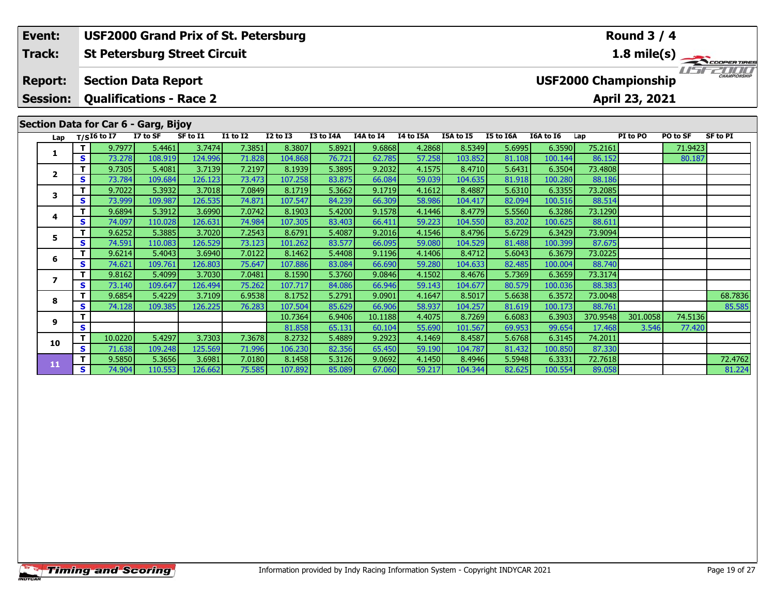#### **St Petersburg Street Circuit Section Data Report April 23, 2021 Event: USF2000 Grand Prix of St. Petersburg Track: Report: Session: Qualifications - Race 2 USF2000 Championship 1.8 mile(s) Round 3 / 4**

## **Section Data for Car 6 - Garg, Bijoy**

| Lap            |    | $T/SI6$ to $\overline{I7}$ | <i>ar -</i><br>I7 to SF | SF to I1 | <b>I1 to I2</b> | <b>I2 to I3</b>   | I3 to I4A        | I4A to I4         | I4 to I5A        | I5A to I5         | <b>I5 to I6A</b> | <b>I6A to 16</b> | Lap                | PI to PO          | PO to SF          | <b>SF to PI</b> |
|----------------|----|----------------------------|-------------------------|----------|-----------------|-------------------|------------------|-------------------|------------------|-------------------|------------------|------------------|--------------------|-------------------|-------------------|-----------------|
|                |    | 9.7977                     | 5.4461                  | 3.7474   | 7.3851          | 8.3807            | 5.8921           | 9.6868            | 4.2868           | 8.5349            | 5.6995           | 6.3590           | 75.2161            |                   | 71.9423           |                 |
|                | S. | 73.278                     | 108.919                 | 124.996  | 71.828          | 104.868           | 76.721           | 62.785            | 57.258           | 103.852           | 81.108           | 100.144          | 86.152             |                   | 80.187            |                 |
| $\overline{2}$ | т  | 9.7305                     | 5.4081                  | 3.7139   | 7.2197          | 8.1939            | 5.3895           | 9.2032            | 4.1575           | 8.4710            | 5.6431           | 6.3504           | 73.4808            |                   |                   |                 |
|                | S. | 73.784                     | 109.684                 | 126.123  | 73.473          | 107.258           | 83.875           | 66.084            | 59.039           | 104.635           | 81.918           | 100.280          | 88.186             |                   |                   |                 |
| 3              | T. | 9.7022                     | 5.3932                  | 3.7018   | 7.0849          | 8.1719            | 5.3662           | 9.1719            | 4.1612           | 8.4887            | 5.6310           | 6.3355           | 73.2085            |                   |                   |                 |
|                | S  | 73.999                     | 109.987                 | 126.535  | 74.871          | 107.547           | 84.239           | 66.309            | 58.986           | 104.417           | 82.094           | 100.516          | 88.514             |                   |                   |                 |
| 4              | т  | 9.6894                     | 5.3912                  | 3.6990   | 7.0742          | 8.1903            | 5.4200           | 9.1578            | 4.1446           | 8.4779            | 5.5560           | 6.3286           | 73.1290            |                   |                   |                 |
|                | S  | 74.097                     | 110.028                 | 126.631  | 74.984          | 107.305           | 83.403           | 66.411            | 59.223           | 104.550           | 83.202           | 100.625          | 88.611             |                   |                   |                 |
| 5              | т  | 9.6252                     | 5.3885                  | 3.7020   | 7.2543          | 8.6791            | 5.4087           | 9.2016            | 4.1546           | 8.4796            | 5.6729           | 6.3429           | 73.9094            |                   |                   |                 |
|                | S. | 74.591                     | 110.083                 | 126.529  | 73.123          | 101.262           | 83.577           | 66.095            | 59.080           | 104.529           | 81.488           | 100.399          | 87.675             |                   |                   |                 |
| 6              | т  | 9.6214                     | 5.4043                  | 3.6940   | 7.0122          | 8.1462            | 5.4408           | 9.1196            | 4.1406           | 8.4712            | 5.6043           | 6.3679           | 73.0225            |                   |                   |                 |
|                | S. | 74.621                     | 109.761                 | 126.803  | 75.647          | 107.886           | 83.084           | 66.690            | 59.280           | 104.633           | 82.485           | 100.004          | 88.740             |                   |                   |                 |
|                | т  | 9.8162                     | 5.4099                  | 3.7030   | 7.0481          | 8.1590            | 5.3760           | 9.0846            | 4.1502           | 8.4676            | 5.7369           | 6.3659           | 73.3174            |                   |                   |                 |
|                | S. | 73.140                     | 109.647                 | 126.494  | 75.262          | 107.717           | 84.086           | 66.946            | 59.143           | 104.677           | 80.579           | 100.036          | 88.383             |                   |                   |                 |
| 8              |    | 9.6854                     | 5.4229                  | 3.7109   | 6.9538          | 8.1752            | 5.2791           | 9.0901            | 4.1647           | 8.5017            | 5.6638           | 6.3572           | 73.0048            |                   |                   | 68.7836         |
|                | s  | 74.128                     | 109.385                 | 126.225  | 76.283          | 107.504           | 85.629           | 66.906            | 58.937           | 104.257           | 81.619           | 100.173          | 88.761             |                   |                   | 85.585          |
| 9              | s  |                            |                         |          |                 | 10.7364<br>81.858 | 6.9406<br>65.131 | 10.1188<br>60.104 | 4.4075<br>55.690 | 8.7269<br>101.567 | 6.6083<br>69.953 | 6.3903<br>99.654 | 370.9548<br>17.468 | 301.0058<br>3.546 | 74.5136<br>77.420 |                 |
|                | т  | 10.0220                    | 5.4297                  | 3.7303   | 7.3678          | 8.2732            | 5.4889           | 9.2923            | 4.1469           | 8.4587            | 5.6768           | 6.3145           | 74.2011            |                   |                   |                 |
| 10             | S  | 71.638                     | 109.248                 | 125.569  | 71.996          | 106.230           | 82.356           | 65.450            | 59.190           | 104.787           | 81.432           | 100.850          | 87.330             |                   |                   |                 |
|                | т  | 9.5850                     | 5.3656                  | 3.6981   | 7.0180          | 8.1458            | 5.3126           | 9.0692            | 4.1450           | 8.4946            | 5.5948           | 6.3331           | 72.7618            |                   |                   | 72.4762         |
| 11             | S. | 74.904                     | 110.553                 | 126.662  | 75.585          | 107.892           | 85.089           | 67.060            | 59.217           | 104.344           | 82.625           | 100.554          | 89.058             |                   |                   | 81.224          |
|                |    |                            |                         |          |                 |                   |                  |                   |                  |                   |                  |                  |                    |                   |                   |                 |

TEST EDITO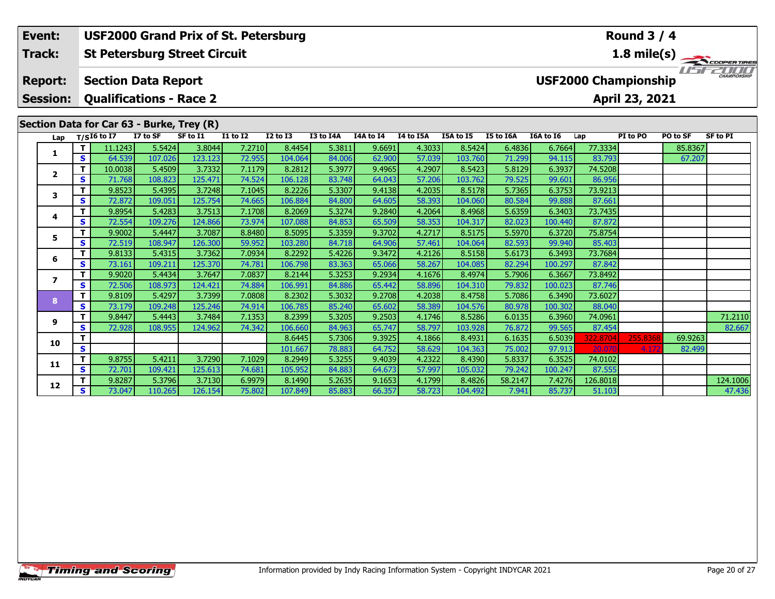|  | Event:                            |          | <b>USF2000 Grand Prix of St. Petersburg</b>                  |                   |                   |                  |                   |                  |                  |                  |                   |                  |                  |                             | <b>Round 3 / 4</b> |          |                     |
|--|-----------------------------------|----------|--------------------------------------------------------------|-------------------|-------------------|------------------|-------------------|------------------|------------------|------------------|-------------------|------------------|------------------|-----------------------------|--------------------|----------|---------------------|
|  | <b>Track:</b>                     |          | <b>St Petersburg Street Circuit</b>                          |                   |                   |                  |                   |                  |                  |                  |                   |                  |                  |                             |                    |          | 1.8 mile(s)         |
|  | <b>Report:</b><br><b>Session:</b> |          | <b>Section Data Report</b><br><b>Qualifications - Race 2</b> |                   |                   |                  |                   |                  |                  |                  |                   |                  |                  | <b>USF2000 Championship</b> | April 23, 2021     |          | <b>CHAMPIONSHIP</b> |
|  |                                   |          | Section Data for Car 63 - Burke, Trey (R)                    |                   |                   |                  |                   |                  |                  |                  |                   |                  |                  |                             |                    |          |                     |
|  |                                   |          | Lap $T/SI6$ to I7                                            | I7 to SF          | SF to I1          | <b>I1 to I2</b>  | <b>I2 to I3</b>   | I3 to I4A        | I4A to I4        | I4 to I5A        | I5A to I5         | I5 to I6A        | I6A to I6        | Lap                         | PI to PO           | PO to SF | <b>SF to PI</b>     |
|  | 1                                 | т        | 11.1243                                                      | 5.5424            | 3.8044            | 7.2710           | 8.4454            | 5.3811           | 9.6691           | 4.3033           | 8.5424            | 6.4836           | 6.7664           | 77.3334                     |                    | 85.8367  |                     |
|  |                                   | S        | 64.539                                                       | 107.026           | 123.123           | 72.955           | 104.064           | 84.006           | 62.900           | 57.039           | 103.760           | 71.299           | 94.115           | 83.793                      |                    | 67.207   |                     |
|  | $\mathbf{2}$                      | т        | 10.0038                                                      | 5.4509            | 3.7332            | 7.1179           | 8.2812            | 5.3977           | 9.4965           | 4.2907           | 8.5423            | 5.8129           | 6.3937           | 74.5208                     |                    |          |                     |
|  | 3<br>4<br>5.                      | S        | 71.768                                                       | 108.823           | 125.471           | 74.524<br>7.1045 | 106.128<br>8.2226 | 83.748<br>5.3307 | 64.043           | 57.206<br>4.2035 | 103.762           | 79.525<br>5.7365 | 99.601           | 86.956                      |                    |          |                     |
|  |                                   | S        | 9.8523<br>72,872                                             | 5.4395<br>109.051 | 3.7248<br>125.754 | 74.665           | 106.884           | 84.800           | 9.4138<br>64.605 | 58.393           | 8.5178<br>104.060 | 80.584           | 6.3753<br>99.888 | 73.9213<br>87.661           |                    |          |                     |
|  |                                   |          | 9.8954                                                       | 5.4283            | 3.7513            | 7.1708           | 8.2069            | 5.3274           | 9.2840           | 4.2064           | 8.4968            | 5.6359           | 6.3403           | 73.7435                     |                    |          |                     |
|  |                                   | S        | 72.554                                                       | 109.276           | 124.866           | 73.974           | 107.088           | 84.853           | 65.509           | 58.353           | 104.317           | 82.023           | 100.440          | 87.872                      |                    |          |                     |
|  |                                   | т        | 9.9002                                                       | 5.4447            | 3.7087            | 8.8480           | 8.5095            | 5.3359           | 9.3702           | 4.2717           | 8.5175            | 5.5970           | 6.3720           | 75.8754                     |                    |          |                     |
|  |                                   | S        | 72.519                                                       | 108.947           | 126.300           | 59.952           | 103.280           | 84.718           | 64.906           | 57.461           | 104.064           | 82.593           | 99.940           | 85.403                      |                    |          |                     |
|  |                                   |          | 9.8133                                                       | 5.4315            | 3.7362            | 7.0934           | 8.2292            | 5.4226           | 9.3472           | 4.2126           | 8.5158            | 5.6173           | 6.3493           | 73.7684                     |                    |          |                     |
|  | 6                                 | S        | 73.161                                                       | 109.211           | 125.370           | 74.781           | 106.798           | 83.363           | 65.066           | 58.267           | 104.085           | 82.294           | 100.297          | 87.842                      |                    |          |                     |
|  | $\overline{ }$<br>8<br>9          | т        | 9.9020                                                       | 5.4434            | 3.7647            | 7.0837           | 8.2144            | 5.3253           | 9.2934           | 4.1676           | 8.4974            | 5.7906           | 6.3667           | 73.8492                     |                    |          |                     |
|  |                                   | S        | 72.506                                                       | 108.973           | 124.421           | 74.884           | 106.991           | 84.886           | 65.442           | 58.896           | 104.310           | 79.832           | 100.023          | 87.746                      |                    |          |                     |
|  |                                   | т        | 9.8109                                                       | 5.4297            | 3.7399            | 7.0808           | 8.2302            | 5.3032           | 9.2708           | 4.2038           | 8.4758            | 5.7086           | 6.3490           | 73.6027                     |                    |          |                     |
|  |                                   | <b>S</b> | 73.179                                                       | 109.248           | 125.246           | 74.914           | 106.785           | 85.240           | 65.602           | 58.389           | 104.576           | 80.978           | 100.302          | 88.040                      |                    |          |                     |
|  |                                   | т        | 9.8447                                                       | 5.4443            | 3.7484            | 7.1353           | 8.2399            | 5.3205           | 9.2503           | 4.1746           | 8.5286            | 6.0135           | 6.3960           | 74.0961                     |                    |          | 71.2110             |
|  |                                   | S        | 72.928                                                       | 108.955           | 124.962           | 74.342           | 106.660           | 84.963           | 65.747           | 58.797           | 103.928           | 76.872           | 99.565           | 87.454                      |                    |          | 82.667              |
|  | 10                                |          |                                                              |                   |                   |                  | 8.6445            | 5.7306           | 9.3925           | 4.1866           | 8.4931            | 6.1635           | 6.5039           | 322.8704                    | 255.836            | 69.9263  |                     |
|  |                                   | S        |                                                              |                   |                   |                  | 101.667           | 78.883           | 64.752           | 58.629           | 104.363           | 75.002           | 97.913           | 20.070                      | 4.17               | 82.499   |                     |

**<sup>T</sup>** 9.8755 5.4211 3.7290 7.1029 8.2949 5.3255 9.4039 4.2322 8.4390 5.8337 6.3525 74.0102 **<sup>S</sup>** 72.701 109.421 125.613 74.681 105.952 84.883 64.673 57.997 105.032 79.242 100.247 87.555

**11**

**12**

**<sup>T</sup>** 9.8287 5.3796 3.7130 6.9979 8.1490 5.2635 9.1653 4.1799 8.4826 58.2147 7.4276 126.8018 124.1006 **<sup>S</sup>** 73.047 110.265 126.154 75.802 107.849 85.883 66.357 58.723 104.492 7.941 85.737 51.103 47.436

47.436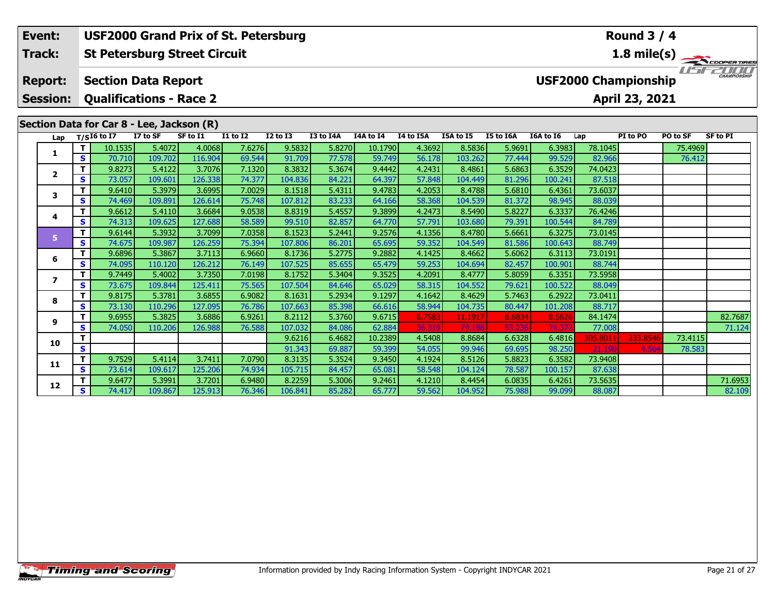### **Round 3 / 4Event: USF2000 Grand Prix of St. Petersburg Track:St Petersburg Street Circuit 1.8 mile(s)** USE2000 **Report: Section Data Report USF2000 Championship Session: Qualifications - Race 2 April 23, 2021 Section Data for Car 8 - Lee, Jackson (R)**<br>Lap T/SI6 to I7 I7 to SF SF to I1 **Lap T/SI6 to I7 I7 to SF SF to I1 I1 to I2 I2 to I3 I3 to I4A I4A to I4 I4 to I5A I5A to I5 I5 to I6A I6A to I6 Lap PI to PO PO to SF SF to PI <sup>T</sup>** 10.1535 5.4072 4.0068 7.6276 9.5832 5.8270 10.1790 4.3692 8.5836 5.9691 6.3983 78.1045 75.4969 **<sup>S</sup>** 70.710 109.702 116.904 69.544 91.709 77.578 59.749 56.178 103.262 77.444 99.529 82.966 76.412**1 <sup>T</sup>** 9.8273 5.4122 3.7076 7.1320 8.3832 5.3674 9.4442 4.2431 8.4861 5.6863 6.3529 74.0423 **<sup>S</sup>** 73.057 109.601 126.338 74.377 104.836 84.221 64.397 57.848 104.449 81.296 100.241 87.518**2 <sup>T</sup>** 9.6410 5.3979 3.6995 7.0029 8.1518 5.4311 9.4783 4.2053 8.4788 5.6810 6.4361 73.6037 **<sup>S</sup>** 74.469 109.891 126.614 75.748 107.812 83.233 64.166 58.368 104.539 81.372 98.945 88.039**3**

|                |   | 10.15351 | 5.4072  | 4.00681 | 7.62761         | 9.5832  | 5.82701 | 10.1790 | 4.36921 | 8.58361 | 5.96911 | 6.39831 | 78.10451 |          | 75.49691 |         |
|----------------|---|----------|---------|---------|-----------------|---------|---------|---------|---------|---------|---------|---------|----------|----------|----------|---------|
|                | S | 70.710   | 109.702 | 116.904 | 69.544          | 91.709  | 77.578  | 59.749  | 56.178  | 103.262 | 77.444  | 99.529  | 82.966   |          | 76.412   |         |
| $\overline{2}$ | т | 9.8273   | 5.4122  | 3.7076  | 7.1320          | 8.3832  | 5.3674  | 9.4442  | 4.2431  | 8.4861  | 5.6863  | 6.3529  | 74.0423  |          |          |         |
|                | S | 73.057   | 109.601 | 126.338 | 74.377          | 104.836 | 84.221  | 64.397  | 57.848  | 104.449 | 81.296  | 100.241 | 87.518   |          |          |         |
| 3              |   | 9.6410   | 5.3979  | 3.6995  | 7.0029          | 8.1518  | 5.4311  | 9.4783  | 4.2053  | 8.4788  | 5.6810  | 6.4361  | 73.6037  |          |          |         |
|                | S | 74.469   | 109.891 | 126.614 | 75.748          | 107.812 | 83.233  | 64.166  | 58.368  | 104.539 | 81.372  | 98.945  | 88.039   |          |          |         |
| 4              |   | 9.6612   | 5.4110  | 3.6684  | 9.0538          | 8.8319  | 5.4557  | 9.3899  | 4.2473  | 8.5490  | 5.8227  | 6.3337  | 76.4246  |          |          |         |
|                | S | 74.313   | 109.625 | 127.688 | 58.589          | 99.510  | 82.857  | 64.770  | 57.791  | 103.680 | 79.391  | 100.544 | 84.789   |          |          |         |
|                |   | 9.6144   | 5.3932  | 3.7099  | 7.0358          | 8.1523  | 5.2441  | 9.2576  | 4.1356  | 8.4780  | 5.6661  | 6.3275  | 73.0145  |          |          |         |
|                | S | 74.675   | 109.987 | 126.259 | 75.394          | 107.806 | 86.201  | 65.695  | 59.352  | 104.549 | 81.586  | 100.643 | 88.749   |          |          |         |
| 6              | т | 9.6896   | 5.3867  | 3.7113  | 6.9660          | 8.1736  | 5.2775  | 9.2882  | 4.1425  | 8.4662  | 5.6062  | 6.3113  | 73.0191  |          |          |         |
|                | S | 74.095   | 110.120 | 126.212 | 76.149          | 107.525 | 85.655  | 65.479  | 59.253  | 104.694 | 82.457  | 100.901 | 88.744   |          |          |         |
|                | т | 9.7449   | 5.4002  | 3.7350  | 7.0198          | 8.1752  | 5.3404  | 9.3525  | 4.2091  | 8.4777  | 5.8059  | 6.3351  | 73.5958  |          |          |         |
|                | S | 73.675   | 109.844 | 125.411 | 75.565          | 107.504 | 84.646  | 65.029  | 58.315  | 104.552 | 79.621  | 100.522 | 88.049   |          |          |         |
| 8              |   | 9.8175   | 5.3781  | 3.6855  | 6.9082          | 8.1631  | 5.2934  | 9.1297  | 4.1642  | 8.4629  | 5.7463  | 6.2922  | 73.0411  |          |          |         |
|                | S | 73.130   | 110.296 | 127.095 | 76.786          | 107.663 | 85.398  | 66.616  | 58.944  | 104.735 | 80.447  | 101.208 | 88.717   |          |          |         |
| 9              |   | 9.6955   | 5.3825  | 3.6886  | 6.9261          | 8.2112  | 5.3760  | 9.6715  | 6.7583  | 11.1917 | 8.6834  | 8.5626  | 84.1474  |          |          | 82.7687 |
|                | S | 74.050   | 110.206 | 126.988 | 76.588          | 107.032 | 84.086  | 62.884  | 36.319  | 79.198  | 53.236  | 74.372  | 77.008   |          |          | 71.124  |
| 0.             |   |          |         |         |                 | 9.6216  | 6.4682  | 10.2389 | 4.5408  | 8.8684  | 6.6328  | 6.4816  | 305.801  | 233.8546 | 73.4115  |         |
|                | S |          |         |         |                 | 91.343  | 69.887  | 59.399  | 54.055  | 99.946  | 69.695  | 98.250  | 21.190   | 4.564    | 78.583   |         |
|                |   | 9.7529   | 5.4114  | 3.7411  | 7.0790          | 8.3135  | 5.3524  | 9.3450  | 4.1924  | 8.5126  | 5.8823  | 6.3582  | 73.9408  |          |          |         |
|                | S | 73.614   | 109.617 | 125.206 | 74.934          | 105.715 | 84.457  | 65.081  | 58.548  | 104.124 | 78.587  | 100.157 | 87.638   |          |          |         |
| .2             |   | 9.6477   | 5.3991  | 3.7201  | 6.9480          | 8.2259  | 5.3006  | 9.2461  | 4.1210  | 8.4454  | 6.0835  | 6.4261  | 73.5635  |          |          | 71.6953 |
|                | S | 74.417   | 109.867 | 125.913 | 76.346 <b>I</b> | 106.841 | 85.282  | 65.777  | 59.562  | 104.952 | 75.988  | 99.099  | 88.087   |          |          | 82.109  |

**4**

**5**

**6**

**7**

**8**

**9**

**10**

**11**

**12**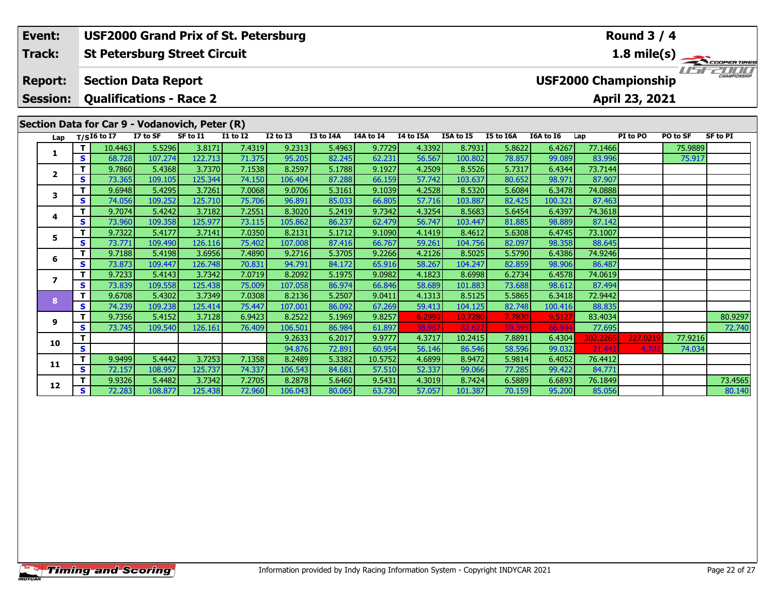| 1.8 mile(s)<br><b>St Petersburg Street Circuit</b><br>Track:<br><i>' ' ' i '</i><br><b>CHAMPIONSHIP</b><br><b>USF2000 Championship</b><br><b>Section Data Report</b><br><b>Report:</b><br>April 23, 2021<br><b>Session:</b><br><b>Qualifications - Race 2</b><br>Section Data for Car 9 - Vodanovich, Peter (R)<br>I7 to SF<br>SF to I1<br><b>I1 to I2</b><br>I3 to I4A<br>I4A to I4<br>I4 to I5A<br>I5A to I5<br><b>I5 to I6A</b><br>$T/SI6$ to I7<br><b>I2 to I3</b><br>I6A to I6<br>PI to PO<br>PO to SF<br><b>SF to PI</b><br>Lap<br>Lap<br>7.4319<br>10.4463<br>5.5296<br>3.8171<br>9.2313<br>5.4963<br>9.7729<br>4.3392<br>8.7931<br>5.8622<br>77.1466<br>6.4267<br>75.9889<br>т<br>1<br>122.713<br>107.274<br>71.375<br>82.245<br>62.231<br>56.567<br>78.857<br>83.996<br>S<br>68.728<br>95.205<br>100.802<br>99.089<br>75.917<br>3.7370<br>7.1538<br>9.1927<br>4.2509<br>5.7317<br>73.7144<br>9.7860<br>5.4368<br>8.2597<br>5.1788<br>8.5526<br>6.4344<br>$\mathbf{2}$<br>125.344<br>74.150<br>57.742<br>87.907<br>73.365<br>109.105<br>87.288<br>66.159<br>103.637<br>98.971<br>S<br>106.404<br>80.652<br>3.7261<br>5.4295<br>7.0068<br>9.1039<br>4.2528<br>6.3478<br>74.0888<br>т<br>9.6948<br>9.0706<br>5.3161<br>8.5320<br>5.6084<br>3<br>109.252<br>75.706<br>S<br>74.056<br>125.710<br>96.891<br>85.033<br>66.805<br>57.716<br>103.887<br>82.425<br>100.321<br>87.463<br>3.7182<br>7.2551<br>9.7342<br>4.3254<br>т<br>9.7074<br>5.4242<br>8.3020<br>5.2419<br>8.5683<br>5.6454<br>6.4397<br>74.3618<br>4<br>56.747<br>125.977<br>73.115<br>103.447<br>87.142<br>73.960<br>109.358<br>105.862<br>86.237<br>62.479<br>81.885<br>98.889<br>S<br>7.0350<br>9.1090<br>73.1007<br>9.7322<br>5.4177<br>3.7141<br>8.2131<br>5.1712<br>4.1419<br>5.6308<br>8.4612<br>6.4745<br>5.<br>75.402<br>88.645<br>S<br>73.771<br>109.490<br>126.116<br>107.008<br>87.416<br>66.767<br>59.261<br>98.358<br>104.756<br>82.097<br>3.6956<br>9.2266<br>4.2126<br>9.7188<br>5.4198<br>7.4890<br>9.2716<br>5.3705<br>5.5790<br>6.4386<br>74.9246<br>8.5025 |
|--------------------------------------------------------------------------------------------------------------------------------------------------------------------------------------------------------------------------------------------------------------------------------------------------------------------------------------------------------------------------------------------------------------------------------------------------------------------------------------------------------------------------------------------------------------------------------------------------------------------------------------------------------------------------------------------------------------------------------------------------------------------------------------------------------------------------------------------------------------------------------------------------------------------------------------------------------------------------------------------------------------------------------------------------------------------------------------------------------------------------------------------------------------------------------------------------------------------------------------------------------------------------------------------------------------------------------------------------------------------------------------------------------------------------------------------------------------------------------------------------------------------------------------------------------------------------------------------------------------------------------------------------------------------------------------------------------------------------------------------------------------------------------------------------------------------------------------------------------------------------------------------------------------------------------------------------------------------------------------------------------------------------------------------------|
|                                                                                                                                                                                                                                                                                                                                                                                                                                                                                                                                                                                                                                                                                                                                                                                                                                                                                                                                                                                                                                                                                                                                                                                                                                                                                                                                                                                                                                                                                                                                                                                                                                                                                                                                                                                                                                                                                                                                                                                                                                                  |
|                                                                                                                                                                                                                                                                                                                                                                                                                                                                                                                                                                                                                                                                                                                                                                                                                                                                                                                                                                                                                                                                                                                                                                                                                                                                                                                                                                                                                                                                                                                                                                                                                                                                                                                                                                                                                                                                                                                                                                                                                                                  |
|                                                                                                                                                                                                                                                                                                                                                                                                                                                                                                                                                                                                                                                                                                                                                                                                                                                                                                                                                                                                                                                                                                                                                                                                                                                                                                                                                                                                                                                                                                                                                                                                                                                                                                                                                                                                                                                                                                                                                                                                                                                  |
|                                                                                                                                                                                                                                                                                                                                                                                                                                                                                                                                                                                                                                                                                                                                                                                                                                                                                                                                                                                                                                                                                                                                                                                                                                                                                                                                                                                                                                                                                                                                                                                                                                                                                                                                                                                                                                                                                                                                                                                                                                                  |
|                                                                                                                                                                                                                                                                                                                                                                                                                                                                                                                                                                                                                                                                                                                                                                                                                                                                                                                                                                                                                                                                                                                                                                                                                                                                                                                                                                                                                                                                                                                                                                                                                                                                                                                                                                                                                                                                                                                                                                                                                                                  |
|                                                                                                                                                                                                                                                                                                                                                                                                                                                                                                                                                                                                                                                                                                                                                                                                                                                                                                                                                                                                                                                                                                                                                                                                                                                                                                                                                                                                                                                                                                                                                                                                                                                                                                                                                                                                                                                                                                                                                                                                                                                  |
|                                                                                                                                                                                                                                                                                                                                                                                                                                                                                                                                                                                                                                                                                                                                                                                                                                                                                                                                                                                                                                                                                                                                                                                                                                                                                                                                                                                                                                                                                                                                                                                                                                                                                                                                                                                                                                                                                                                                                                                                                                                  |
|                                                                                                                                                                                                                                                                                                                                                                                                                                                                                                                                                                                                                                                                                                                                                                                                                                                                                                                                                                                                                                                                                                                                                                                                                                                                                                                                                                                                                                                                                                                                                                                                                                                                                                                                                                                                                                                                                                                                                                                                                                                  |
|                                                                                                                                                                                                                                                                                                                                                                                                                                                                                                                                                                                                                                                                                                                                                                                                                                                                                                                                                                                                                                                                                                                                                                                                                                                                                                                                                                                                                                                                                                                                                                                                                                                                                                                                                                                                                                                                                                                                                                                                                                                  |
|                                                                                                                                                                                                                                                                                                                                                                                                                                                                                                                                                                                                                                                                                                                                                                                                                                                                                                                                                                                                                                                                                                                                                                                                                                                                                                                                                                                                                                                                                                                                                                                                                                                                                                                                                                                                                                                                                                                                                                                                                                                  |
|                                                                                                                                                                                                                                                                                                                                                                                                                                                                                                                                                                                                                                                                                                                                                                                                                                                                                                                                                                                                                                                                                                                                                                                                                                                                                                                                                                                                                                                                                                                                                                                                                                                                                                                                                                                                                                                                                                                                                                                                                                                  |
|                                                                                                                                                                                                                                                                                                                                                                                                                                                                                                                                                                                                                                                                                                                                                                                                                                                                                                                                                                                                                                                                                                                                                                                                                                                                                                                                                                                                                                                                                                                                                                                                                                                                                                                                                                                                                                                                                                                                                                                                                                                  |
|                                                                                                                                                                                                                                                                                                                                                                                                                                                                                                                                                                                                                                                                                                                                                                                                                                                                                                                                                                                                                                                                                                                                                                                                                                                                                                                                                                                                                                                                                                                                                                                                                                                                                                                                                                                                                                                                                                                                                                                                                                                  |
|                                                                                                                                                                                                                                                                                                                                                                                                                                                                                                                                                                                                                                                                                                                                                                                                                                                                                                                                                                                                                                                                                                                                                                                                                                                                                                                                                                                                                                                                                                                                                                                                                                                                                                                                                                                                                                                                                                                                                                                                                                                  |
|                                                                                                                                                                                                                                                                                                                                                                                                                                                                                                                                                                                                                                                                                                                                                                                                                                                                                                                                                                                                                                                                                                                                                                                                                                                                                                                                                                                                                                                                                                                                                                                                                                                                                                                                                                                                                                                                                                                                                                                                                                                  |
| 6<br>58.267<br>S<br>73.873<br>109.447<br>126.748<br>70.831<br>94.791<br>65.916<br>82.859<br>98.906<br>86.487<br>84.172<br>104.247                                                                                                                                                                                                                                                                                                                                                                                                                                                                                                                                                                                                                                                                                                                                                                                                                                                                                                                                                                                                                                                                                                                                                                                                                                                                                                                                                                                                                                                                                                                                                                                                                                                                                                                                                                                                                                                                                                                |
| 9.7233<br>3.7342<br>7.0719<br>8.2092<br>9.0982<br>4.1823<br>74.0619<br>5.4143<br>5.1975<br>8.6998<br>6.2734<br>6.4578                                                                                                                                                                                                                                                                                                                                                                                                                                                                                                                                                                                                                                                                                                                                                                                                                                                                                                                                                                                                                                                                                                                                                                                                                                                                                                                                                                                                                                                                                                                                                                                                                                                                                                                                                                                                                                                                                                                            |
| 7<br>75.009<br>73.839<br>125.438<br>66.846<br>58.689<br>87.494<br>S<br>109.558<br>107.058<br>86.974<br>101.883<br>73.688<br>98.612                                                                                                                                                                                                                                                                                                                                                                                                                                                                                                                                                                                                                                                                                                                                                                                                                                                                                                                                                                                                                                                                                                                                                                                                                                                                                                                                                                                                                                                                                                                                                                                                                                                                                                                                                                                                                                                                                                               |
| 3.7349<br>72.9442<br>9.6708<br>5.4302<br>7.0308<br>9.0411<br>4.1313<br>т<br>8.2136<br>5.2507<br>8.5125<br>5.5865<br>6.3418                                                                                                                                                                                                                                                                                                                                                                                                                                                                                                                                                                                                                                                                                                                                                                                                                                                                                                                                                                                                                                                                                                                                                                                                                                                                                                                                                                                                                                                                                                                                                                                                                                                                                                                                                                                                                                                                                                                       |
| 8<br>75.447<br>S<br>74.239<br>125.414<br>67.269<br>59.413<br>104.125<br>88.835<br>109.238<br>107.001<br>86.092<br>82.748<br>100.416                                                                                                                                                                                                                                                                                                                                                                                                                                                                                                                                                                                                                                                                                                                                                                                                                                                                                                                                                                                                                                                                                                                                                                                                                                                                                                                                                                                                                                                                                                                                                                                                                                                                                                                                                                                                                                                                                                              |
| 5.4152<br>3.7128<br>6.9423<br>5.1969<br>9.8257<br>80.9297<br>9.7356<br>8.2522<br>6.2990<br>10.7280<br>7.7830<br>9.512<br>83.4034<br>9                                                                                                                                                                                                                                                                                                                                                                                                                                                                                                                                                                                                                                                                                                                                                                                                                                                                                                                                                                                                                                                                                                                                                                                                                                                                                                                                                                                                                                                                                                                                                                                                                                                                                                                                                                                                                                                                                                            |
| S<br>109.540<br>126.161<br>76.409<br>59.39<br>77.695<br>72.740<br>73.745<br>106.501<br>86.984<br>61.897<br>38.967<br>82.622<br>66.94                                                                                                                                                                                                                                                                                                                                                                                                                                                                                                                                                                                                                                                                                                                                                                                                                                                                                                                                                                                                                                                                                                                                                                                                                                                                                                                                                                                                                                                                                                                                                                                                                                                                                                                                                                                                                                                                                                             |

**<sup>T</sup>** 9.2633 6.2017 9.9777 4.3717 10.2415 7.8891 6.4304 302.2265 227.0219 77.9216 **<sup>S</sup>** 94.876 72.891 60.954 56.146 86.546 58.596 99.032 21.441 4.702 74.034

**<sup>T</sup>** 9.9326 5.4482 3.7342 7.2705 8.2878 5.6460 9.5431 4.3019 8.7424 6.5889 6.6893 76.1849 73.4565 **<sup>S</sup>** 72.283 108.877 125.438 72.960 106.043 80.065 63.730 57.057 101.387 70.159 95.200 85.056 80.140

**<sup>T</sup>** 9.9499 5.4442 3.7253 7.1358 8.2489 5.3382 10.5752 4.6899 8.9472 5.9814 6.4052 76.4412 **<sup>S</sup>** 72.157 108.957 125.737 74.337 106.543 84.681 57.510 52.337 99.066 77.285 99.422 84.771

**10**

**11**

**12**

80.140

74.034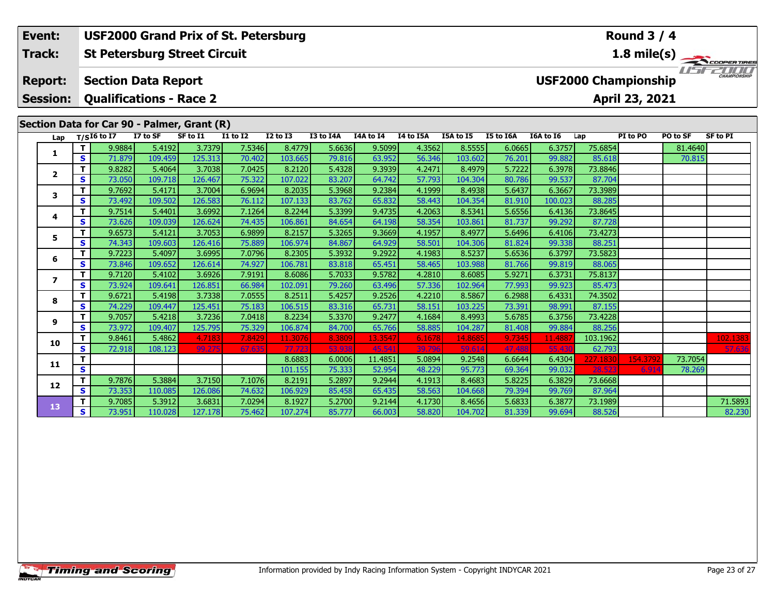| Event:<br>Track: |   |                                |          | <b>USF2000 Grand Prix of St. Petersburg</b><br><b>St Petersburg Street Circuit</b> |                 |                 |           |           |           |           |           |           |                             | <b>Round 3 / 4</b> |          | 1.8 mile(s)         |
|------------------|---|--------------------------------|----------|------------------------------------------------------------------------------------|-----------------|-----------------|-----------|-----------|-----------|-----------|-----------|-----------|-----------------------------|--------------------|----------|---------------------|
| <b>Report:</b>   |   | <b>Section Data Report</b>     |          |                                                                                    |                 |                 |           |           |           |           |           |           | <b>USF2000 Championship</b> |                    |          | <b>CHAMPIONSHIP</b> |
| <b>Session:</b>  |   | <b>Qualifications - Race 2</b> |          |                                                                                    |                 |                 |           |           |           |           |           |           |                             | April 23, 2021     |          |                     |
|                  |   |                                |          | Section Data for Car 90 - Palmer, Grant (R)                                        |                 |                 |           |           |           |           |           |           |                             |                    |          |                     |
| Lap              |   | $T/SI6$ to I7                  | I7 to SF | SF to I1                                                                           | <b>I1 to I2</b> | <b>I2 to I3</b> | I3 to I4A | I4A to I4 | I4 to I5A | I5A to I5 | I5 to I6A | I6A to I6 | Lap                         | PI to PO           | PO to SF | <b>SF to PI</b>     |
| 1                |   | 9.9884                         | 5.4192   | 3.7379                                                                             | 7.5346          | 8.4779          | 5.6636    | 9.5099    | 4.3562    | 8.5555    | 6.0665    | 6.3757    | 75.6854                     |                    | 81.4640  |                     |
|                  | S | 71.879                         | 109.459  | 125.313                                                                            | 70.402          | 103.665         | 79.816    | 63.952    | 56.346    | 103.602   | 76.201    | 99.882    | 85.618                      |                    | 70.815   |                     |
| $\mathbf{2}$     |   | 9.8282                         | 5.4064   | 3.7038                                                                             | 7.0425          | 8.2120          | 5.4328    | 9.3939    | 4.2471    | 8.4979    | 5.7222    | 6.3978    | 73.8846                     |                    |          |                     |
|                  | S | 73.050                         | 109.718  | 126.467                                                                            | 75.322          | 107.022         | 83.207    | 64.742    | 57.793    | 104.304   | 80.786    | 99.537    | 87.704                      |                    |          |                     |
| 3                |   | 9.7692                         | 5.4171   | 3.7004                                                                             | 6.9694          | 8.2035          | 5.3968    | 9.2384    | 4.1999    | 8.4938    | 5.6437    | 6.3667    | 73.3989                     |                    |          |                     |
|                  | S | 73.492                         | 109.502  | 126.583                                                                            | 76.112          | 107.133         | 83.762    | 65.832    | 58.443    | 104.354   | 81.910    | 100.023   | 88.285                      |                    |          |                     |
| 4                |   | 9.7514                         | 5.4401   | 3.6992                                                                             | 7.1264          | 8.2244          | 5.3399    | 9.4735    | 4.2063    | 8.5341    | 5.6556    | 6.4136    | 73.8645                     |                    |          |                     |
|                  | S | 73.626                         | 109.039  | 126.624                                                                            | 74.435          | 106.861         | 84.654    | 64.198    | 58.354    | 103.861   | 81.737    | 99.292    | 87.728                      |                    |          |                     |
| 5.               |   | 9.6573                         | 5.4121   | 3.7053                                                                             | 6.9899          | 8.2157          | 5.3265    | 9.3669    | 4.1957    | 8.4977    | 5.6496    | 6.4106    | 73.4273                     |                    |          |                     |
|                  | S | 74.343                         | 109.603  | 126.416                                                                            | 75.889          | 106.974         | 84.867    | 64.929    | 58.501    | 104.306   | 81.824    | 99.338    | 88.251                      |                    |          |                     |
| 6                |   | 9.7223                         | 5.4097   | 3.6995                                                                             | 7.0796          | 8.2305          | 5.3932    | 9.2922    | 4.1983    | 8.5237    | 5.6536    | 6.3797    | 73.5823                     |                    |          |                     |
|                  | S | 73.846                         | 109.652  | 126.614                                                                            | 74.927          | 106.781         | 83.818    | 65.451    | 58.465    | 103.988   | 81.766    | 99.819    | 88.065                      |                    |          |                     |
| 7                |   | 9.7120                         | 5.4102   | 3.6926                                                                             | 7.9191          | 8.6086          | 5.7033    | 9.5782    | 4.2810    | 8.6085    | 5.9271    | 6.3731    | 75.8137                     |                    |          |                     |
|                  | s | 73.924                         | 109.641  | 126.851                                                                            | 66.984          | 102.091         | 79.260    | 63.496    | 57.336    | 102.964   | 77.993    | 99.923    | 85.473                      |                    |          |                     |
| 8                |   | 9.6721                         | 5.4198   | 3.7338                                                                             | 7.0555          | 8.2511          | 5.4257    | 9.2526    | 4.2210    | 8.5867    | 6.2988    | 6.4331    | 74.3502                     |                    |          |                     |
|                  | S | 74.229                         | 109.447  | 125.451                                                                            | 75.183          | 106.515         | 83.316    | 65.731    | 58.151    | 103.225   | 73.391    | 98.991    | 87.155                      |                    |          |                     |
| 9                |   | 9.7057                         | 5.4218   | 3.7236                                                                             | 7.0418          | 8.2234          | 5.3370    | 9.2477    | 4.1684    | 8.4993    | 5.6785    | 6.3756    | 73.4228                     |                    |          |                     |
|                  | s | 73.972                         | 109.407  | 125.795                                                                            | 75.329          | 106.874         | 84.700    | 65.766    | 58.885    | 104.287   | 81.408    | 99.884    | 88.256                      |                    |          |                     |

**<sup>T</sup>** 9.8461 5.4862 4.7183 7.8429 11.3076 8.3809 13.3547 6.1678 14.8685 9.7345 11.4887 103.1962 102.1383 **<sup>S</sup>** 72.918 108.123 99.275 67.635 77.723 53.938 45.541 39.796 59.614 47.488 55.430 62.793 57.636

**<sup>T</sup>** 9.7085 5.3912 3.6831 7.0294 8.1927 5.2700 9.2144 4.1730 8.4656 5.6833 6.3877 73.1989 71.5893 **<sup>S</sup>** 73.951 110.028 127.178 75.462 107.274 85.777 66.003 58.820 104.702 81.339 99.694 88.526 82.230

**<sup>T</sup>** 8.6883 6.0006 11.4851 5.0894 9.2548 6.6644 6.4304 227.1830 154.3792 73.7054 **<sup>S</sup>** 101.155 75.333 52.954 48.229 95.773 69.364 99.032 28.523 6.914 78.269

**<sup>T</sup>** 9.7876 5.3884 3.7150 7.1076 8.2191 5.2897 9.2944 4.1913 8.4683 5.8225 6.3829 73.6668 **<sup>S</sup>** 73.353 110.085 126.086 74.632 106.929 85.458 65.435 58.563 104.668 79.394 99.769 87.964

**10**

**11**

**12**

**13**

82.230

78.269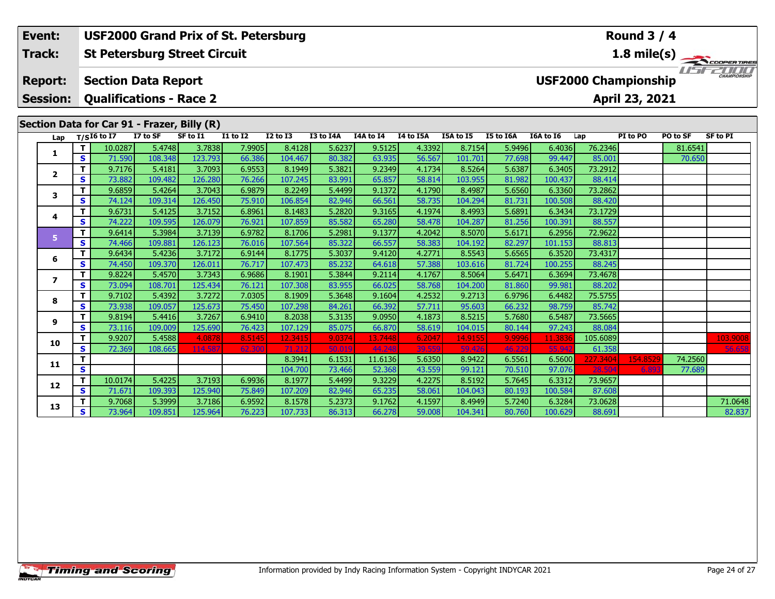|  | Event:                  |   |               |                                | <b>USF2000 Grand Prix of St. Petersburg</b> |                 |                 |           |           |           |           |           |                             |         | <b>Round 3 / 4</b> |          |              |
|--|-------------------------|---|---------------|--------------------------------|---------------------------------------------|-----------------|-----------------|-----------|-----------|-----------|-----------|-----------|-----------------------------|---------|--------------------|----------|--------------|
|  | <b>Track:</b>           |   |               |                                | <b>St Petersburg Street Circuit</b>         |                 |                 |           |           |           |           |           |                             |         |                    |          | 1.8 mile(s)  |
|  | <b>Report:</b>          |   |               | <b>Section Data Report</b>     |                                             |                 |                 |           |           |           |           |           | <b>USF2000 Championship</b> |         |                    |          | CHAMPIONSHIP |
|  | <b>Session:</b>         |   |               | <b>Qualifications - Race 2</b> |                                             |                 |                 |           |           |           |           |           |                             |         | April 23, 2021     |          |              |
|  |                         |   |               |                                | Section Data for Car 91 - Frazer, Billy (R) |                 |                 |           |           |           |           |           |                             |         |                    |          |              |
|  | Lap                     |   | $T/SI6$ to I7 | I7 to SF                       | SF to I1                                    | <b>I1 to I2</b> | <b>I2 to I3</b> | I3 to I4A | I4A to I4 | I4 to I5A | I5A to I5 | I5 to I6A | I6A to I6                   | Lap     | PI to PO           | PO to SF | SF to PI     |
|  |                         |   | 10.0287       | 5.4748                         | 3.7838                                      | 7.9905          | 8.4128          | 5.6237    | 9.5125    | 4.3392    | 8.7154    | 5.9496    | 6.4036                      | 76.2346 |                    | 81.6541  |              |
|  |                         | s | 71.590        | 108.348                        | 123.793                                     | 66.386          | 104.467         | 80.382    | 63.935    | 56.567    | 101.701   | 77.698    | 99.447                      | 85.001  |                    | 70.650   |              |
|  | $\overline{2}$          |   | 9.7176        | 5.4181                         | 3.7093                                      | 6.9553          | 8.1949          | 5.3821    | 9.2349    | 4.1734    | 8.5264    | 5.6387    | 6.3405                      | 73.2912 |                    |          |              |
|  |                         | S | 73.882        | 109.482                        | 126.280                                     | 76.266          | 107.245         | 83.991    | 65.857    | 58.814    | 103.955   | 81.982    | 100.437                     | 88.414  |                    |          |              |
|  | 3<br>4                  |   | 9.6859        | 5.4264                         | 3.7043                                      | 6.9879          | 8.2249          | 5.4499    | 9.1372    | 4.1790    | 8.4987    | 5.6560    | 6.3360                      | 73.2862 |                    |          |              |
|  |                         | S | 74.124        | 109.314                        | 126.450                                     | 75.910          | 106.854         | 82.946    | 66.561    | 58.735    | 104.294   | 81.731    | 100.508                     | 88,420  |                    |          |              |
|  |                         |   | 9.6731        | 5.4125                         | 3.7152                                      | 6.8961          | 8.1483          | 5.2820    | 9.3165    | 4.1974    | 8.4993    | 5.6891    | 6.3434                      | 73.1729 |                    |          |              |
|  |                         | S | 74.222        | 109.595                        | 126.079                                     | 76.921          | 107.859         | 85.582    | 65.280    | 58.478    | 104.287   | 81.256    | 100.391                     | 88.557  |                    |          |              |
|  | 5.                      | т | 9.6414        | 5.3984                         | 3.7139                                      | 6.9782          | 8.1706          | 5.2981    | 9.1377    | 4.2042    | 8.5070    | 5.6171    | 6.2956                      | 72.9622 |                    |          |              |
|  |                         | s | 74.466        | 109.881                        | 126.123                                     | 76.016          | 107.564         | 85.322    | 66.557    | 58.383    | 104.192   | 82.297    | 101.153                     | 88.813  |                    |          |              |
|  | 6                       |   | 9.6434        | 5.4236                         | 3.7172                                      | 6.9144          | 8.1775          | 5.3037    | 9.4120    | 4.2771    | 8.5543    | 5.6565    | 6.3520                      | 73.4317 |                    |          |              |
|  |                         | S | 74.450        | 109.370                        | 126.011                                     | 76.717          | 107.473         | 85.232    | 64.618    | 57.388    | 103.616   | 81.724    | 100.255                     | 88.245  |                    |          |              |
|  | $\overline{\mathbf{z}}$ |   | 9.8224        | 5.4570                         | 3.7343                                      | 6.9686          | 8.1901          | 5.3844    | 9.2114    | 4.1767    | 8.5064    | 5.6471    | 6.3694                      | 73.4678 |                    |          |              |
|  |                         | S | 73.094        | 108.701                        | 125.434                                     | 76.121          | 107.308         | 83.955    | 66.025    | 58.768    | 104.200   | 81.860    | 99.981                      | 88.202  |                    |          |              |
|  | 8                       |   | 9.7102        | 5.4392                         | 3.7272                                      | 7.0305          | 8.1909          | 5.3648    | 9.1604    | 4.2532    | 9.2713    | 6.9796    | 6.4482                      | 75.5755 |                    |          |              |
|  |                         | S | 73.938        | 109.057                        | 125.673                                     | 75.450          | 107.298         | 84.261    | 66.392    | 57.711    | 95.603    | 66.232    | 98.759                      | 85.742  |                    |          |              |

**<sup>T</sup>** 9.9207 5.4588 4.0878 8.5145 12.3415 9.0374 13.7448 6.2047 14.9155 9.9996 11.3836 105.6089 103.9008 **<sup>S</sup>** 72.369 108.665 114.587 62.300 71.212 50.019 44.248 39.559 59.426 46.229 55.942 61.358 56.658

**<sup>T</sup>** 9.7068 5.3999 3.7186 6.9592 8.1578 5.2373 9.1762 4.1597 8.4949 5.7240 6.3284 73.0628 71.0648 **<sup>S</sup>** 73.964 109.851 125.964 76.223 107.733 86.313 66.278 59.008 104.341 80.760 100.629 88.691 82.837

**<sup>T</sup>** 8.3941 6.1531 11.6136 5.6350 8.9422 6.5561 6.5600 227.3404 154.8529 74.2560 **<sup>S</sup>** 104.700 73.466 52.368 43.559 99.121 70.510 97.076 28.504 6.893 77.689

**<sup>T</sup>** 9.8194 5.4416 3.7267 6.9410 8.2038 5.3135 9.0950 4.1873 8.5215 5.7680 6.5487 73.5665 **<sup>S</sup>** 73.116 109.009 125.690 76.423 107.129 85.075 66.870 58.619 104.015 80.144 97.243 88.084

**<sup>T</sup>** 10.0174 5.4225 3.7193 6.9936 8.1977 5.4499 9.3229 4.2275 8.5192 5.7645 6.3312 73.9657 **<sup>S</sup>** 71.671 109.393 125.940 75.849 107.209 82.946 65.235 58.061 104.043 80.193 100.584 87.608

**9**

**10**

**11**

**12**

**13**

82.837

77.689

88.08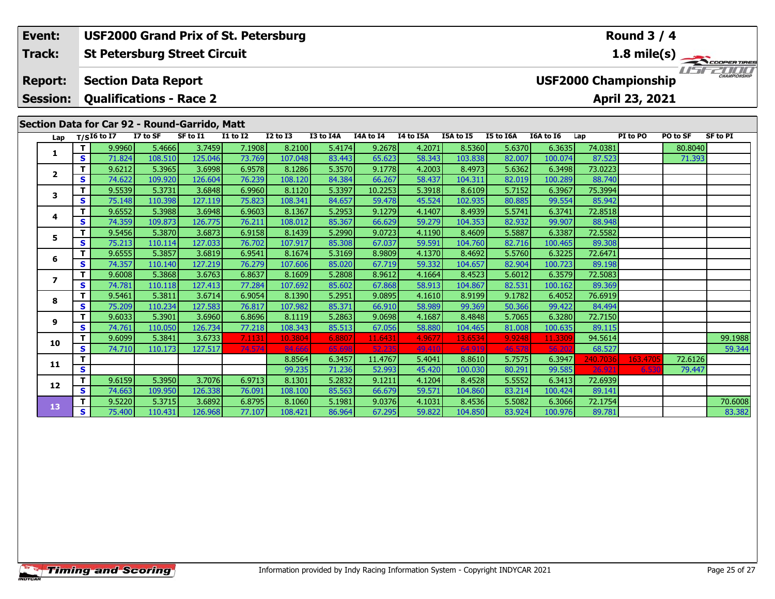| Event:                            |         | <b>USF2000 Grand Prix of St. Petersburg</b>                  |                   |                   |                  |                   |                  |                  |                  |                   |                  |                   |                             | <b>Round 3 / 4</b> |          |                                                                    |
|-----------------------------------|---------|--------------------------------------------------------------|-------------------|-------------------|------------------|-------------------|------------------|------------------|------------------|-------------------|------------------|-------------------|-----------------------------|--------------------|----------|--------------------------------------------------------------------|
| Track:                            |         | <b>St Petersburg Street Circuit</b>                          |                   |                   |                  |                   |                  |                  |                  |                   |                  |                   |                             |                    |          | $\frac{1.8 \text{ mile(s)}}{\sqrt{1.5} + \sqrt{2.00 \text{ μH}}}}$ |
| <b>Report:</b><br><b>Session:</b> |         | <b>Section Data Report</b><br><b>Qualifications - Race 2</b> |                   |                   |                  |                   |                  |                  |                  |                   |                  |                   | <b>USF2000 Championship</b> | April 23, 2021     |          |                                                                    |
|                                   |         | Section Data for Car 92 - Round-Garrido, Matt                |                   |                   |                  |                   |                  |                  |                  |                   |                  |                   |                             |                    |          |                                                                    |
| Lap                               |         | $T/SI6$ to I7                                                | I7 to SF          | SF to I1          | <b>I1 to I2</b>  | <b>I2 to I3</b>   | I3 to I4A        | I4A to I4        | I4 to I5A        | I5A to I5         | I5 to I6A        | I6A to I6         | Lap                         | PI to PO           | PO to SF | <b>SF to PI</b>                                                    |
| 1                                 | т       | 9.9960                                                       | 5.4666            | 3.7459            | 7.1908           | 8.2100            | 5.4174           | 9.2678           | 4.2071           | 8.5360            | 5.6370           | 6.3635            | 74.0381                     |                    | 80.8040  |                                                                    |
|                                   | S.      | 71.824                                                       | 108.510           | 125.046           | 73.769           | 107.048           | 83.443           | 65.623           | 58.343           | 103.838           | 82.007           | 100.074           | 87.523                      |                    | 71.393   |                                                                    |
| $\mathbf{2}$                      | т       | 9.6212                                                       | 5.3965            | 3.6998            | 6.9578           | 8.1286            | 5.3570           | 9.1778           | 4.2003           | 8.4973            | 5.6362           | 6.3498            | 73.0223                     |                    |          |                                                                    |
|                                   | S       | 74.622                                                       | 109.920           | 126.604           | 76.239           | 108.120           | 84.384           | 66.267           | 58.437           | 104.311           | 82.019           | 100.289           | 88.740                      |                    |          |                                                                    |
| 3                                 | т       | 9.5539                                                       | 5.3731            | 3.6848            | 6.9960           | 8.1120            | 5.3397           | 10.2253          | 5.3918           | 8.6109            | 5.7152           | 6.3967            | 75.3994                     |                    |          |                                                                    |
|                                   | S       | 75.148                                                       | 110.398           | 127.119           | 75.823           | 108.341           | 84.657           | 59.478           | 45.524           | 102.935           | 80.885           | 99.554            | 85.942                      |                    |          |                                                                    |
| 4                                 | т       | 9.6552                                                       | 5.3988            | 3.6948            | 6.9603           | 8.1367            | 5.2953           | 9.1279           | 4.1407           | 8.4939            | 5.5741           | 6.3741            | 72.8518                     |                    |          |                                                                    |
|                                   | S       | 74.359                                                       | 109.873           | 126.775           | 76.211           | 108.012           | 85.367           | 66.629           | 59.279           | 104.353           | 82.932           | 99.907            | 88.948                      |                    |          |                                                                    |
| 5.                                | T.<br>S | 9.5456<br>75.213                                             | 5.3870<br>110.114 | 3.6873<br>127.033 | 6.9158<br>76.702 | 8.1439<br>107.917 | 5.2990<br>85.308 | 9.0723<br>67.037 | 4.1190<br>59.591 | 8.4609<br>104.760 | 5.5887<br>82.716 | 6.3387<br>100.465 | 72.5582<br>89.308           |                    |          |                                                                    |
|                                   | т       | 9.6555                                                       | 5.3857            | 3.6819            | 6.9541           | 8.1674            | 5.3169           | 8.9809           | 4.1370           | 8.4692            | 5.5760           | 6.3225            | 72.6471                     |                    |          |                                                                    |
| 6                                 | S       | 74.357                                                       | 110.140           | 127.219           | 76.279           | 107.606           | 85.020           | 67.719           | 59.332           | 104.657           | 82.904           | 100.723           | 89.198                      |                    |          |                                                                    |
|                                   |         | 9.6008                                                       | 5.3868            | 3.6763            | 6.8637           | 8.1609            | 5.2808           | 8.9612           | 4.1664           | 8.4523            | 5.6012           | 6.3579            | 72.5083                     |                    |          |                                                                    |
| 7                                 | S       | 74.781                                                       | 110.118           | 127.413           | 77.284           | 107.692           | 85.602           | 67.868           | 58.913           | 104.867           | 82.531           | 100.162           | 89.369                      |                    |          |                                                                    |
|                                   | т       | 9.5461                                                       | 5.3811            | 3.6714            | 6.9054           | 8.1390            | 5.2951           | 9.0895           | 4.1610           | 8.9199            | 9.1782           | 6.4052            | 76.6919                     |                    |          |                                                                    |
| 8                                 | S       | 75.209                                                       | 110.234           | 127.583           | 76.817           | 107.982           | 85.371           | 66.910           | 58.989           | 99.369            | 50.366           | 99.422            | 84.494                      |                    |          |                                                                    |
|                                   | т       | 9.6033                                                       | 5.3901            | 3.6960            | 6.8696           | 8.1119            | 5.2863           | 9.0698           | 4.1687           | 8.4848            | 5.7065           | 6.3280            | 72.7150                     |                    |          |                                                                    |
| 9                                 | S       | 74.761                                                       | 110.050           | 126.734           | 77.218           | 108.343           | 85.513           | 67.056           | 58.880           | 104.465           | 81.008           | 100.635           | 89.115                      |                    |          |                                                                    |
|                                   |         | 9.6099                                                       | 5.3841            | 3.6733            | 7.1131           | 10.3804           | 6.8807           | 11.6431          | 4.9677           | 13.6534           | 9.9248           | 11.3309           | 94.5614                     |                    |          | 99.1988                                                            |
| 10                                | S       | 74.710                                                       | 110.173           | 127.517           | 74.574           | 84.666            | 65.698           | 52.235           | 49.410           | 64.919            | 46.578           | 56.20             | 68.527                      |                    |          | 59.344                                                             |
|                                   |         |                                                              |                   |                   |                  |                   |                  |                  |                  |                   |                  |                   |                             |                    |          |                                                                    |

**<sup>T</sup>** 8.8564 6.3457 11.4767 5.4041 8.8610 5.7575 6.3947 240.7036 163.4705 72.6126 **<sup>S</sup>** 99.235 71.236 52.993 45.420 100.030 80.291 99.585 26.921 6.530 79.447

**<sup>T</sup>** 9.5220 5.3715 3.6892 6.8795 8.1060 5.1981 9.0376 4.1031 8.4536 5.5082 6.3066 72.1754 70.6008 **<sup>S</sup>** 75.400 110.431 126.968 77.107 108.421 86.964 67.295 59.822 104.850 83.924 100.976 89.781 83.382

**<sup>T</sup>** 9.6159 5.3950 3.7076 6.9713 8.1301 5.2832 9.1211 4.1204 8.4528 5.5552 6.3413 72.6939 **<sup>S</sup>** 74.663 109.950 126.338 76.091 108.100 85.563 66.679 59.571 104.860 83.214 100.424 89.141

**11**

**12**

**13**

83.382

79.447

 $\frac{89.141}{72.1754}$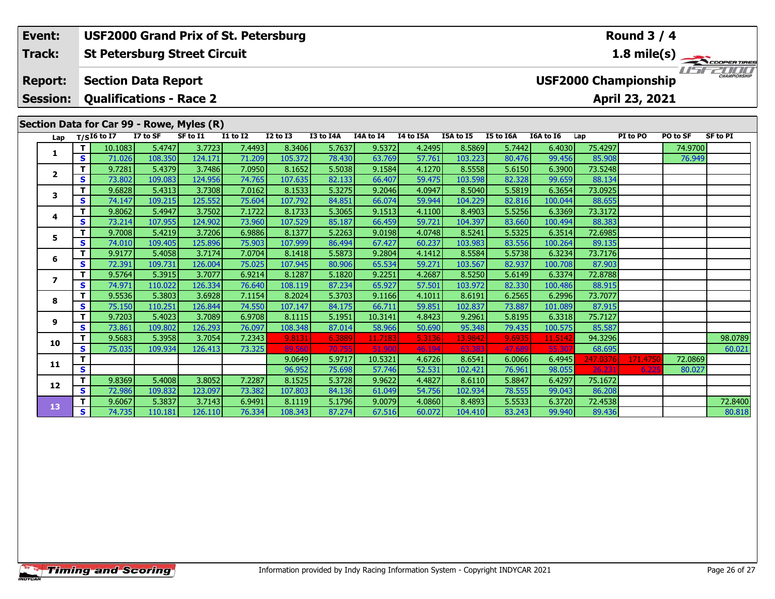| Event:                            |              | <b>USF2000 Grand Prix of St. Petersburg</b><br><b>St Petersburg Street Circuit</b> |                   |                   |                  |                   |                  |                  |                  |                   |                  |                   | <b>Round 3 / 4</b>          |                |          |                                                                         |
|-----------------------------------|--------------|------------------------------------------------------------------------------------|-------------------|-------------------|------------------|-------------------|------------------|------------------|------------------|-------------------|------------------|-------------------|-----------------------------|----------------|----------|-------------------------------------------------------------------------|
| Track:                            |              |                                                                                    |                   |                   |                  |                   |                  |                  |                  |                   |                  |                   |                             |                |          | $\frac{1.8 \text{ mile(s)}}{1.57 - 2.00 \text{ percent} \text{ times}}$ |
| <b>Report:</b><br><b>Session:</b> |              | <b>Section Data Report</b><br><b>Qualifications - Race 2</b>                       |                   |                   |                  |                   |                  |                  |                  |                   |                  |                   | <b>USF2000 Championship</b> | April 23, 2021 |          |                                                                         |
|                                   |              | Section Data for Car 99 - Rowe, Myles (R)                                          |                   |                   |                  |                   |                  |                  |                  |                   |                  |                   |                             |                |          |                                                                         |
| Lap                               |              | $T/SI6$ to I7                                                                      | I7 to SF          | SF to I1          | <b>I1 to I2</b>  | <b>I2 to I3</b>   | I3 to I4A        | I4A to I4        | I4 to I5A        | I5A to I5         | I5 to I6A        | I6A to I6         | Lap                         | PI to PO       | PO to SF | <b>SF to PI</b>                                                         |
| 1                                 | т            | 10.1083                                                                            | 5.4747            | 3.7723            | 7.4493           | 8.3406            | 5.7637           | 9.5372           | 4.2495           | 8.5869            | 5.7442           | 6.4030            | 75.4297                     |                | 74.9700  |                                                                         |
|                                   | S            | 71.026                                                                             | 108.350           | 124.171           | 71.209           | 105.372           | 78.430           | 63.769           | 57.761           | 103.223           | 80.476           | 99.456            | 85,908                      |                | 76.949   |                                                                         |
| $\overline{2}$                    | т            | 9.7281                                                                             | 5.4379            | 3.7486            | 7.0950           | 8.1652            | 5.5038           | 9.1584           | 4.1270           | 8.5558            | 5.6150           | 6.3900            | 73.5248                     |                |          |                                                                         |
|                                   | S            | 73.802                                                                             | 109.083           | 124.956           | 74.765           | 107.635           | 82.133           | 66.407           | 59.475           | 103.598           | 82.328           | 99.659            | 88.134                      |                |          |                                                                         |
| 3                                 | т            | 9.6828                                                                             | 5.4313            | 3.7308            | 7.0162           | 8.1533            | 5.3275           | 9.2046           | 4.0947           | 8.5040            | 5.5819           | 6.3654            | 73.0925                     |                |          |                                                                         |
|                                   | S            | 74.147                                                                             | 109.215           | 125.552           | 75.604<br>7.1722 | 107.792<br>8.1733 | 84.851           | 66.074           | 59.944           | 104.229<br>8.4903 | 82.816           | 100.044           | 88.655<br>73.3172           |                |          |                                                                         |
| 4                                 | т<br>S       | 9.8062<br>73.214                                                                   | 5.4947<br>107.955 | 3.7502<br>124.902 | 73.960           |                   | 5.3065<br>85.187 | 9.1513<br>66.459 | 4.1100<br>59.721 | 104.397           | 5.5256<br>83.660 | 6.3369            | 88.383                      |                |          |                                                                         |
|                                   | т            | 9.7008                                                                             | 5.4219            | 3.7206            | 6.9886           | 107.529<br>8.1377 | 5.2263           | 9.0198           | 4.0748           | 8.5241            | 5.5325           | 100.494<br>6.3514 | 72.6985                     |                |          |                                                                         |
| 5.                                | S            | 74.010                                                                             | 109.405           | 125.896           | 75.903           | 107.999           | 86.494           | 67.427           | 60.237           | 103.983           | 83.556           | 100.264           | 89.135                      |                |          |                                                                         |
|                                   | T.           | 9.9177                                                                             | 5.4058            | 3.7174            | 7.0704           | 8.1418            | 5.5873           | 9.2804           | 4.1412           | 8.5584            | 5.5738           | 6.3234            | 73.7176                     |                |          |                                                                         |
| 6                                 | S            | 72.391                                                                             | 109.731           | 126.004           | 75.025           | 107.945           | 80.906           | 65.534           | 59.271           | 103.567           | 82.937           | 100.708           | 87,903                      |                |          |                                                                         |
|                                   | т            | 9.5764                                                                             | 5.3915            | 3.7077            | 6.9214           | 8.1287            | 5.1820           | 9.2251           | 4.2687           | 8.5250            | 5.6149           | 6.3374            | 72.8788                     |                |          |                                                                         |
| $\overline{ }$                    | S            | 74.971                                                                             | 110.022           | 126.334           | 76.640           | 108.119           | 87.234           | 65.927           | 57.501           | 103.972           | 82.330           | 100.486           | 88.915                      |                |          |                                                                         |
|                                   | т            | 9.5536                                                                             | 5.3803            | 3.6928            | 7.1154           | 8.2024            | 5.3703           | 9.1166           | 4.1011           | 8.6191            | 6.2565           | 6.2996            | 73.7077                     |                |          |                                                                         |
| 8                                 | S            | 75.150                                                                             | 110.251           | 126.844           | 74.550           | 107.147           | 84.175           | 66.711           | 59.851           | 102.837           | 73.887           | 101.089           | 87.915                      |                |          |                                                                         |
|                                   | Т            | 9.7203                                                                             | 5.4023            | 3.7089            | 6.9708           | 8.1115            | 5.1951           | 10.3141          | 4.8423           | 9.2961            | 5.8195           | 6.3318            | 75.7127                     |                |          |                                                                         |
| 9                                 | $\mathbf{s}$ | 73.861                                                                             | 109.802           | 126.293           | 76.097           | 108.348           | 87.014           | 58.966           | 50.690           | 95.348            | 79.435           | 100.575           | 85.587                      |                |          |                                                                         |
| 10                                |              | 9.5683                                                                             | 5.3958            | 3.7054            | 7.2343           | 9.8131            | 6.3889           | 11.7183          | 5.3136           | 13.9842           | 9.6935           | 11.514            | 94.3296                     |                |          | 98.0789                                                                 |
|                                   | S            | 75.035                                                                             | 109.934           | 126.413           | 73.325           | 89.56             | 70.755           | 51,900           | 46.194           | 63.383            | 47.689           | 55.30             | 68.695                      |                |          | 60.021                                                                  |
| 11                                |              |                                                                                    |                   |                   |                  | 9.0649            | 5.9717           | 10.5321          | 4.6726           | 8.6541            | 6.0066           | 6.4945            | 247.0376                    | 171.475        | 72.0869  |                                                                         |
|                                   | S.           |                                                                                    |                   |                   |                  | 96.952            | 75.698           | 57.746           | 52.531           | 102.421           | 76.961           | 98.055            | 76 73.                      |                | 80.027   |                                                                         |

**<sup>T</sup>** 9.8369 5.4008 3.8052 7.2287 8.1525 5.3728 9.9622 4.4827 8.6110 5.8847 6.4297 75.1672 **<sup>S</sup>** 72.986 109.832 123.097 73.382 107.803 84.136 61.049 54.756 102.934 78.555 99.043 86.208

**12**

**13**

**<sup>T</sup>** 9.6067 5.3837 3.7143 6.9491 8.1119 5.1796 9.0079 4.0860 8.4893 5.5533 6.3720 72.4538 72.8400 **<sup>S</sup>** 74.735 110.181 126.110 76.334 108.343 87.274 67.516 60.072 104.410 83.243 99.940 89.436 80.818

80.818

80.027